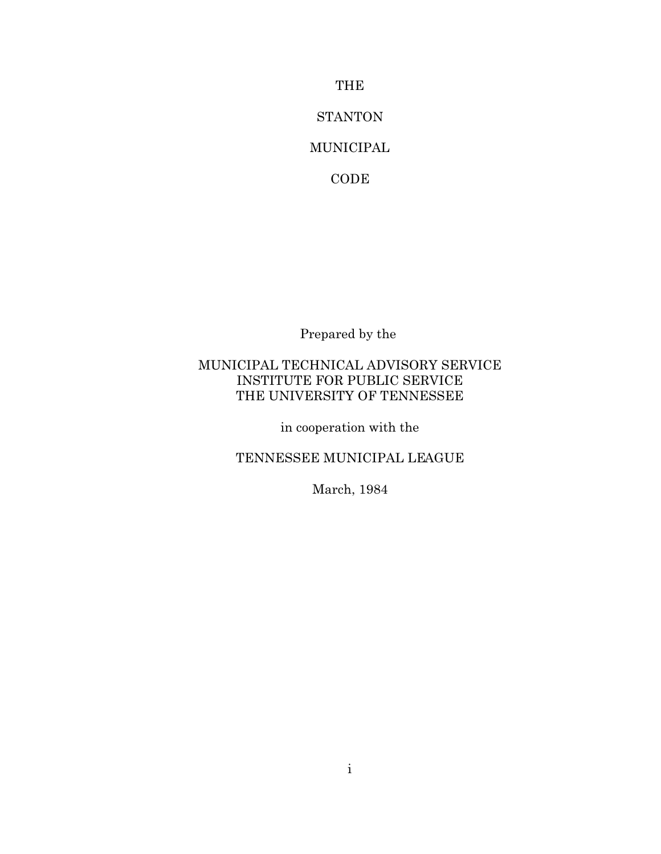THE

**STANTON** 

# MUNICIPAL

CODE

Prepared by the

# MUNICIPAL TECHNICAL ADVISORY SERVICE INSTITUTE FOR PUBLIC SERVICE THE UNIVERSITY OF TENNESSEE

in cooperation with the

# TENNESSEE MUNICIPAL LEAGUE

March, 1984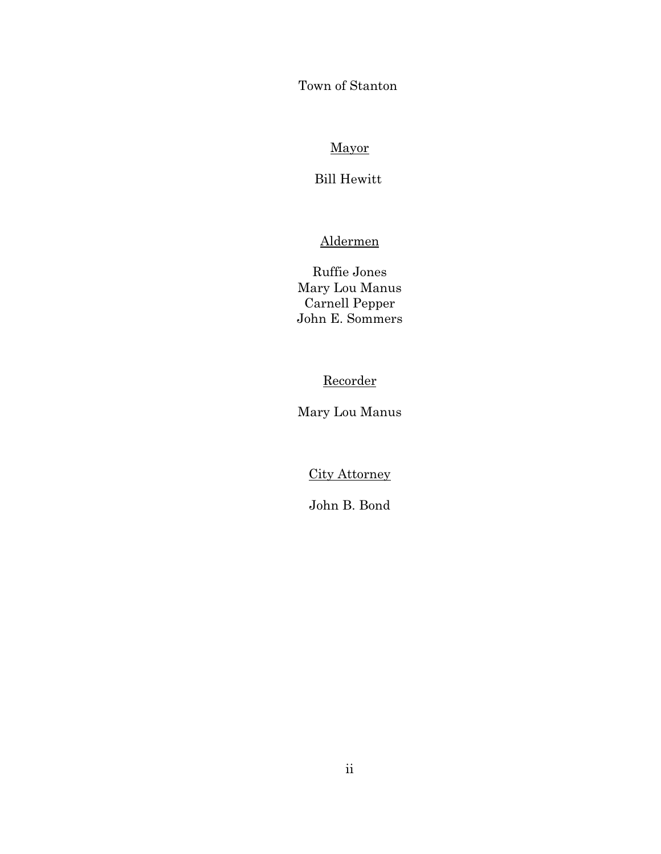Town of Stanton

# Mayor

# Bill Hewitt

# Aldermen

Ruffie Jones Mary Lou Manus Carnell Pepper John E. Sommers

# Recorder

Mary Lou Manus

City Attorney

John B. Bond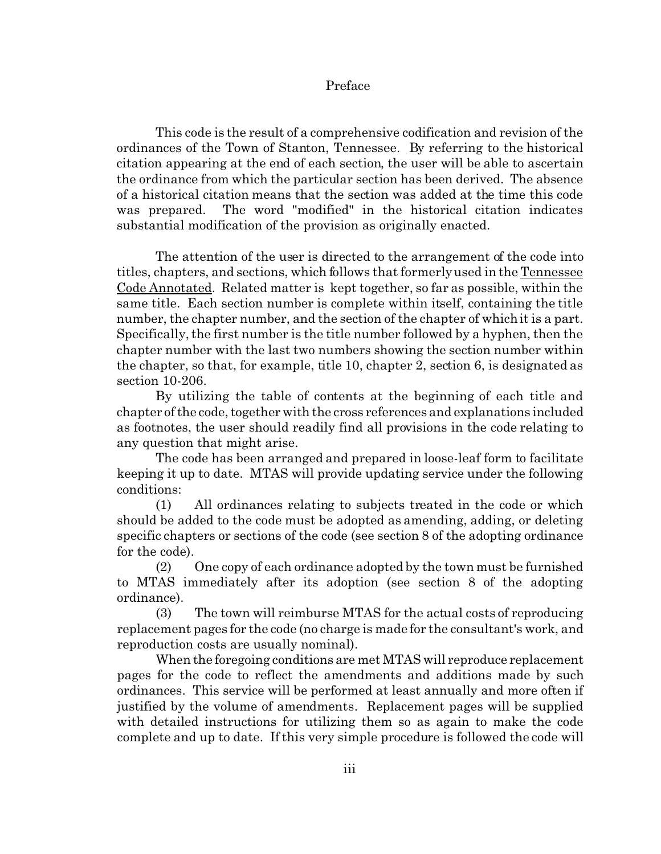## Preface

This code is the result of a comprehensive codification and revision of the ordinances of the Town of Stanton, Tennessee. By referring to the historical citation appearing at the end of each section, the user will be able to ascertain the ordinance from which the particular section has been derived. The absence of a historical citation means that the section was added at the time this code was prepared. The word "modified" in the historical citation indicates substantial modification of the provision as originally enacted.

The attention of the user is directed to the arrangement of the code into titles, chapters, and sections, which follows that formerly used in the Tennessee Code Annotated. Related matter is kept together, so far as possible, within the same title. Each section number is complete within itself, containing the title number, the chapter number, and the section of the chapter of which it is a part. Specifically, the first number is the title number followed by a hyphen, then the chapter number with the last two numbers showing the section number within the chapter, so that, for example, title 10, chapter 2, section 6, is designated as section 10-206.

By utilizing the table of contents at the beginning of each title and chapter of the code, together with the cross references and explanations included as footnotes, the user should readily find all provisions in the code relating to any question that might arise.

The code has been arranged and prepared in loose-leaf form to facilitate keeping it up to date. MTAS will provide updating service under the following conditions:

(1) All ordinances relating to subjects treated in the code or which should be added to the code must be adopted as amending, adding, or deleting specific chapters or sections of the code (see section 8 of the adopting ordinance for the code).

(2) One copy of each ordinance adopted by the town must be furnished to MTAS immediately after its adoption (see section 8 of the adopting ordinance).

(3) The town will reimburse MTAS for the actual costs of reproducing replacement pages for the code (no charge is made for the consultant's work, and reproduction costs are usually nominal).

When the foregoing conditions are met MTAS will reproduce replacement pages for the code to reflect the amendments and additions made by such ordinances. This service will be performed at least annually and more often if justified by the volume of amendments. Replacement pages will be supplied with detailed instructions for utilizing them so as again to make the code complete and up to date. If this very simple procedure is followed the code will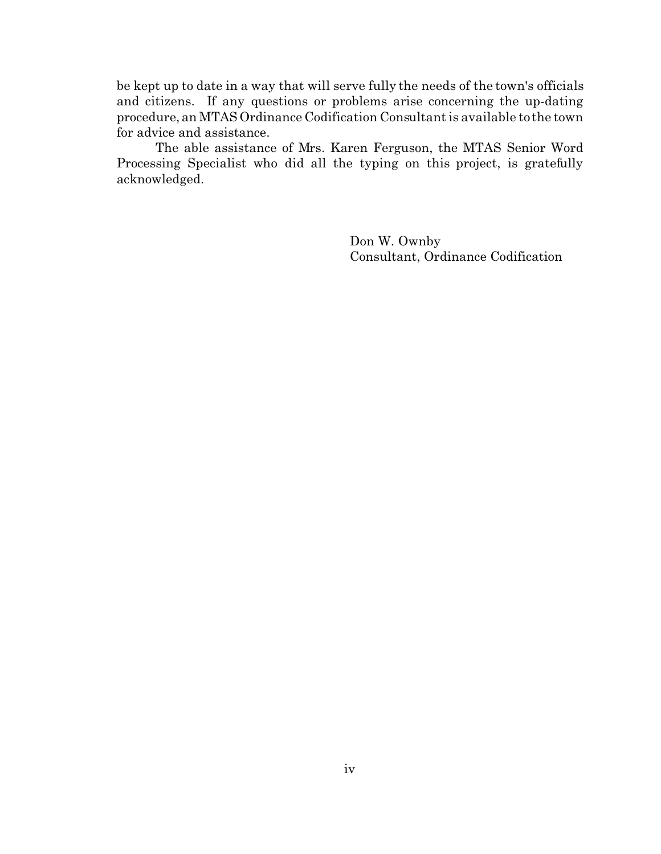be kept up to date in a way that will serve fully the needs of the town's officials and citizens. If any questions or problems arise concerning the up-dating procedure, an MTAS Ordinance Codification Consultant is available to the town for advice and assistance.

The able assistance of Mrs. Karen Ferguson, the MTAS Senior Word Processing Specialist who did all the typing on this project, is gratefully acknowledged.

> Don W. Ownby Consultant, Ordinance Codification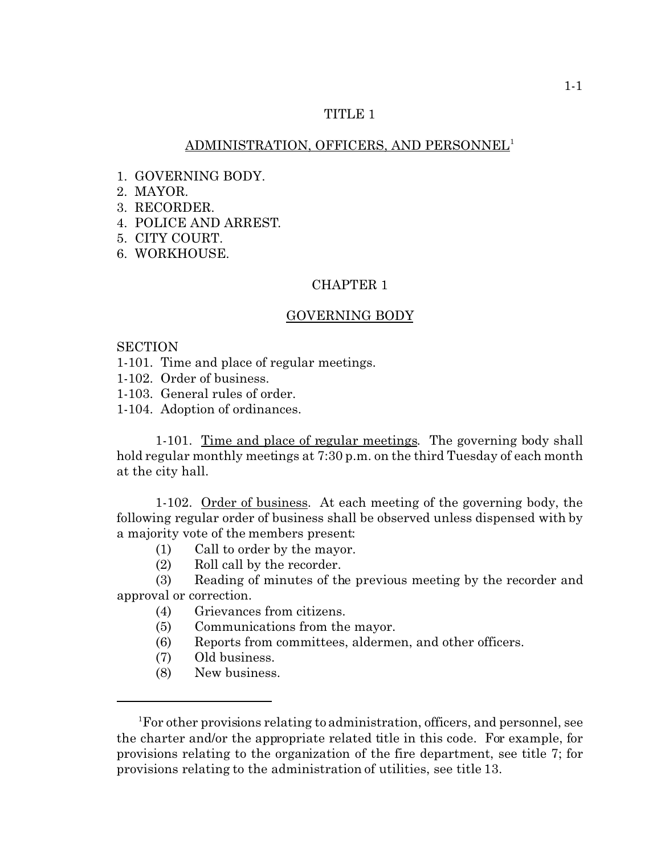## ADMINISTRATION, OFFICERS, AND PERSONNEL<sup>1</sup>

- 1. GOVERNING BODY.
- 2. MAYOR.
- 3. RECORDER.
- 4. POLICE AND ARREST.
- 5. CITY COURT.
- 6. WORKHOUSE.

## CHAPTER 1

### GOVERNING BODY

### **SECTION**

- 1-101. Time and place of regular meetings.
- 1-102. Order of business.
- 1-103. General rules of order.
- 1-104. Adoption of ordinances.

1-101. Time and place of regular meetings. The governing body shall hold regular monthly meetings at 7:30 p.m. on the third Tuesday of each month at the city hall.

1-102. Order of business. At each meeting of the governing body, the following regular order of business shall be observed unless dispensed with by a majority vote of the members present:

- (1) Call to order by the mayor.
- (2) Roll call by the recorder.

(3) Reading of minutes of the previous meeting by the recorder and approval or correction.

- (4) Grievances from citizens.
- (5) Communications from the mayor.
- (6) Reports from committees, aldermen, and other officers.
- (7) Old business.
- (8) New business.

<sup>&</sup>lt;sup>1</sup>For other provisions relating to administration, officers, and personnel, see the charter and/or the appropriate related title in this code. For example, for provisions relating to the organization of the fire department, see title 7; for provisions relating to the administration of utilities, see title 13.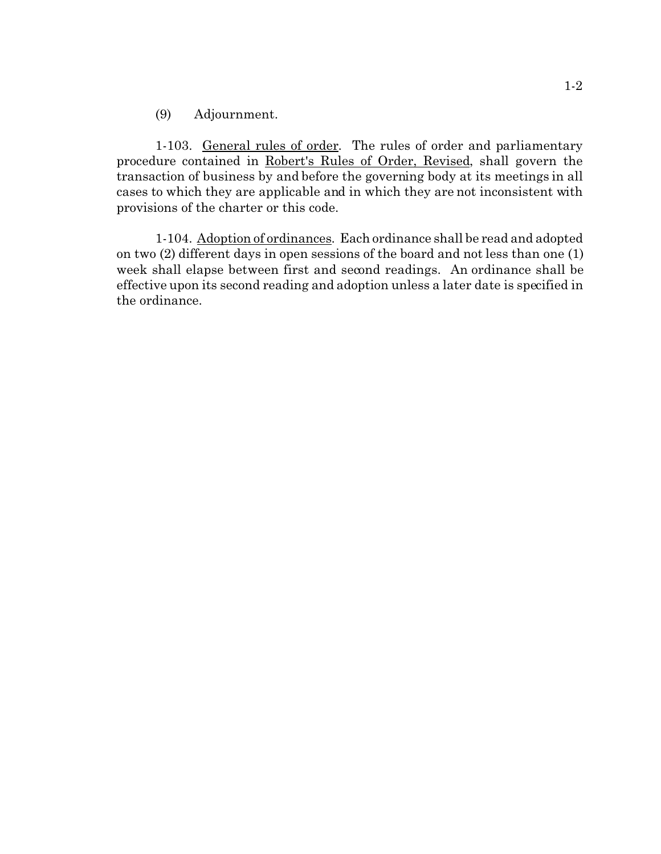(9) Adjournment.

1-103. General rules of order. The rules of order and parliamentary procedure contained in Robert's Rules of Order, Revised, shall govern the transaction of business by and before the governing body at its meetings in all cases to which they are applicable and in which they are not inconsistent with provisions of the charter or this code.

1-104. Adoption of ordinances. Each ordinance shall be read and adopted on two (2) different days in open sessions of the board and not less than one (1) week shall elapse between first and second readings. An ordinance shall be effective upon its second reading and adoption unless a later date is specified in the ordinance.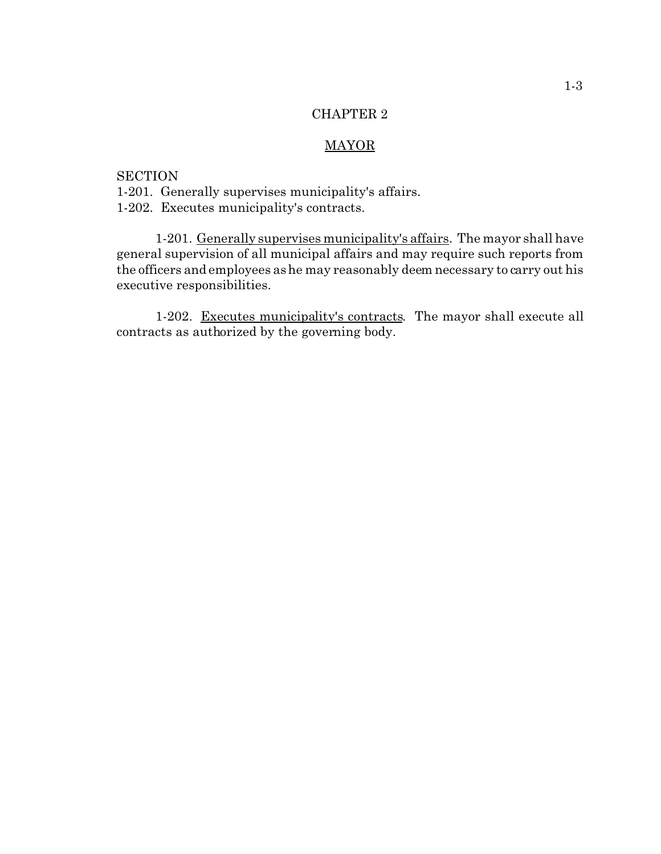# MAYOR

## **SECTION**

1-201. Generally supervises municipality's affairs.

1-202. Executes municipality's contracts.

1-201. Generally supervises municipality's affairs. The mayor shall have general supervision of all municipal affairs and may require such reports from the officers and employees as he may reasonably deem necessary to carry out his executive responsibilities.

1-202. Executes municipality's contracts. The mayor shall execute all contracts as authorized by the governing body.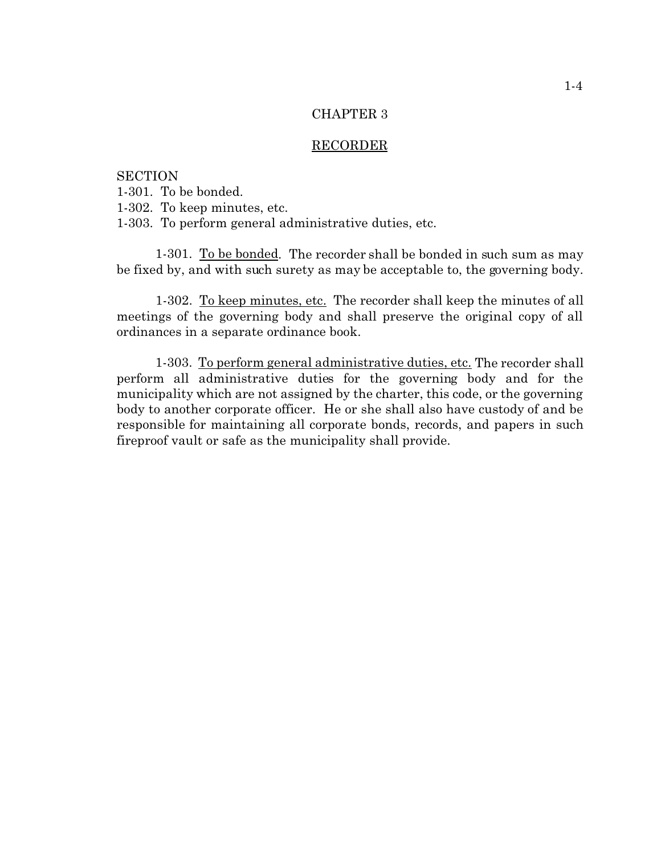#### RECORDER

**SECTION** 1-301. To be bonded. 1-302. To keep minutes, etc. 1-303. To perform general administrative duties, etc.

1-301. To be bonded. The recorder shall be bonded in such sum as may be fixed by, and with such surety as may be acceptable to, the governing body.

1-302. To keep minutes, etc. The recorder shall keep the minutes of all meetings of the governing body and shall preserve the original copy of all ordinances in a separate ordinance book.

1-303. To perform general administrative duties, etc. The recorder shall perform all administrative duties for the governing body and for the municipality which are not assigned by the charter, this code, or the governing body to another corporate officer. He or she shall also have custody of and be responsible for maintaining all corporate bonds, records, and papers in such fireproof vault or safe as the municipality shall provide.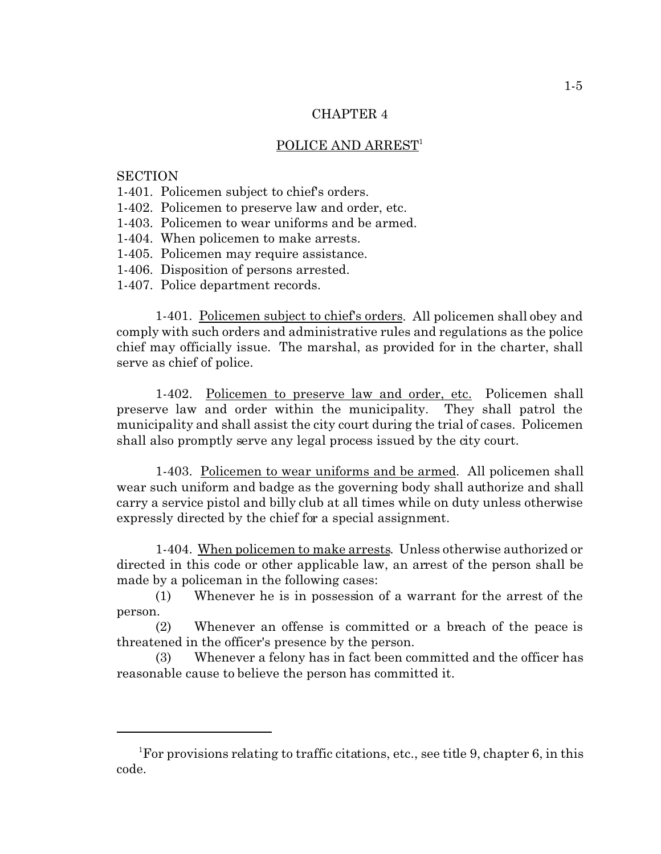#### POLICE AND ARREST<sup>1</sup>

**SECTION** 

- 1-401. Policemen subject to chief's orders.
- 1-402. Policemen to preserve law and order, etc.
- 1-403. Policemen to wear uniforms and be armed.
- 1-404. When policemen to make arrests.
- 1-405. Policemen may require assistance.
- 1-406. Disposition of persons arrested.
- 1-407. Police department records.

1-401. Policemen subject to chief's orders. All policemen shall obey and comply with such orders and administrative rules and regulations as the police chief may officially issue. The marshal, as provided for in the charter, shall serve as chief of police.

1-402. Policemen to preserve law and order, etc. Policemen shall preserve law and order within the municipality. They shall patrol the municipality and shall assist the city court during the trial of cases. Policemen shall also promptly serve any legal process issued by the city court.

1-403. Policemen to wear uniforms and be armed. All policemen shall wear such uniform and badge as the governing body shall authorize and shall carry a service pistol and billy club at all times while on duty unless otherwise expressly directed by the chief for a special assignment.

1-404. When policemen to make arrests. Unless otherwise authorized or directed in this code or other applicable law, an arrest of the person shall be made by a policeman in the following cases:

(1) Whenever he is in possession of a warrant for the arrest of the person.

(2) Whenever an offense is committed or a breach of the peace is threatened in the officer's presence by the person.

(3) Whenever a felony has in fact been committed and the officer has reasonable cause to believe the person has committed it.

<sup>&</sup>lt;sup>1</sup>For provisions relating to traffic citations, etc., see title 9, chapter 6, in this code.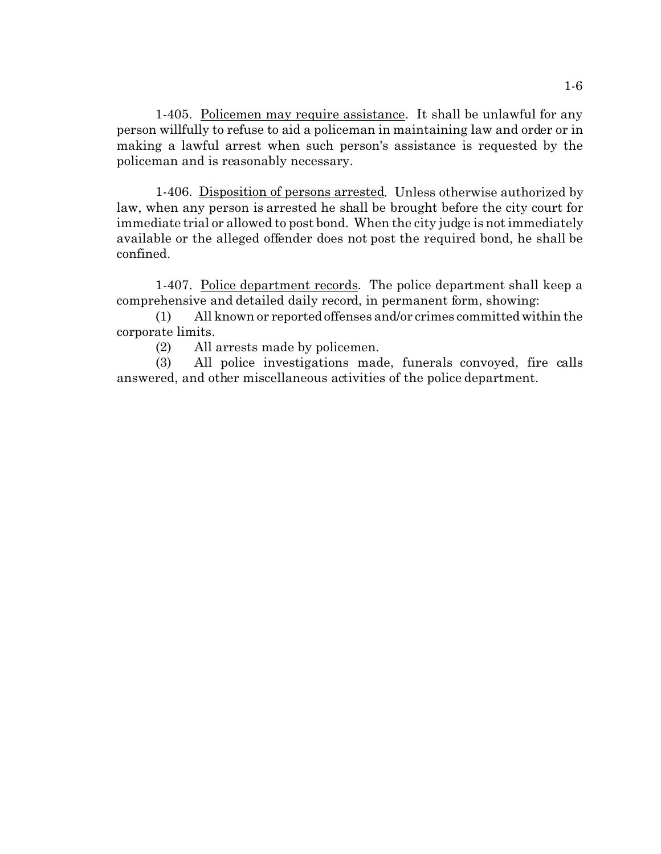1-405. Policemen may require assistance. It shall be unlawful for any person willfully to refuse to aid a policeman in maintaining law and order or in making a lawful arrest when such person's assistance is requested by the policeman and is reasonably necessary.

1-406. Disposition of persons arrested. Unless otherwise authorized by law, when any person is arrested he shall be brought before the city court for immediate trial or allowed to post bond. When the city judge is not immediately available or the alleged offender does not post the required bond, he shall be confined.

1-407. Police department records. The police department shall keep a comprehensive and detailed daily record, in permanent form, showing:

(1) All known or reported offenses and/or crimes committed within the corporate limits.

(2) All arrests made by policemen.

(3) All police investigations made, funerals convoyed, fire calls answered, and other miscellaneous activities of the police department.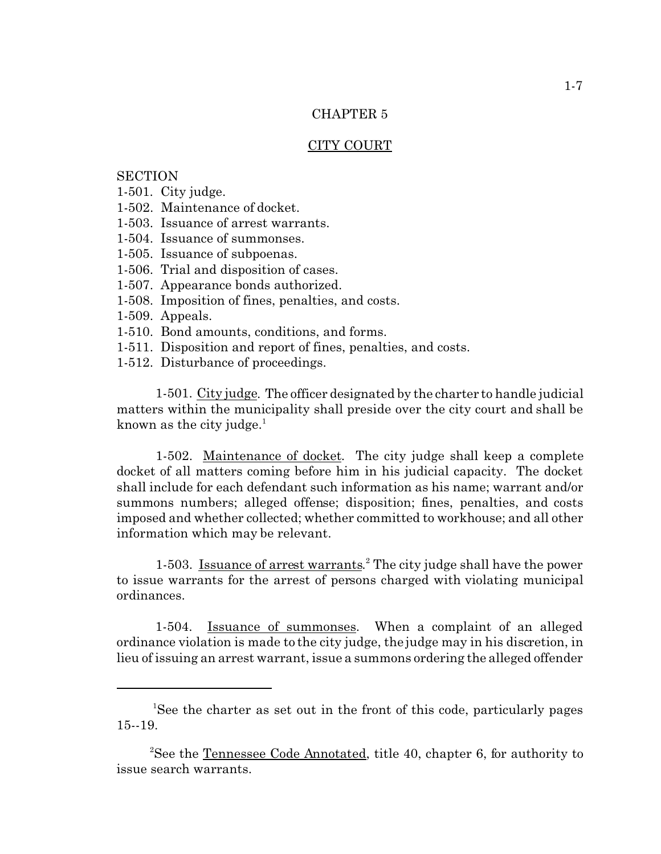### CITY COURT

## **SECTION**

- 1-501. City judge.
- 1-502. Maintenance of docket.
- 1-503. Issuance of arrest warrants.
- 1-504. Issuance of summonses.
- 1-505. Issuance of subpoenas.
- 1-506. Trial and disposition of cases.
- 1-507. Appearance bonds authorized.
- 1-508. Imposition of fines, penalties, and costs.
- 1-509. Appeals.
- 1-510. Bond amounts, conditions, and forms.
- 1-511. Disposition and report of fines, penalties, and costs.
- 1-512. Disturbance of proceedings.

1-501. City judge. The officer designated by the charter to handle judicial matters within the municipality shall preside over the city court and shall be known as the city judge. $<sup>1</sup>$ </sup>

1-502. Maintenance of docket. The city judge shall keep a complete docket of all matters coming before him in his judicial capacity. The docket shall include for each defendant such information as his name; warrant and/or summons numbers; alleged offense; disposition; fines, penalties, and costs imposed and whether collected; whether committed to workhouse; and all other information which may be relevant.

1-503. Issuance of arrest warrants.<sup>2</sup> The city judge shall have the power to issue warrants for the arrest of persons charged with violating municipal ordinances.

1-504. Issuance of summonses. When a complaint of an alleged ordinance violation is made to the city judge, the judge may in his discretion, in lieu of issuing an arrest warrant, issue a summons ordering the alleged offender

<sup>&</sup>lt;sup>1</sup>See the charter as set out in the front of this code, particularly pages 15--19.

<sup>&</sup>lt;sup>2</sup>See the Tennessee Code Annotated, title 40, chapter 6, for authority to issue search warrants.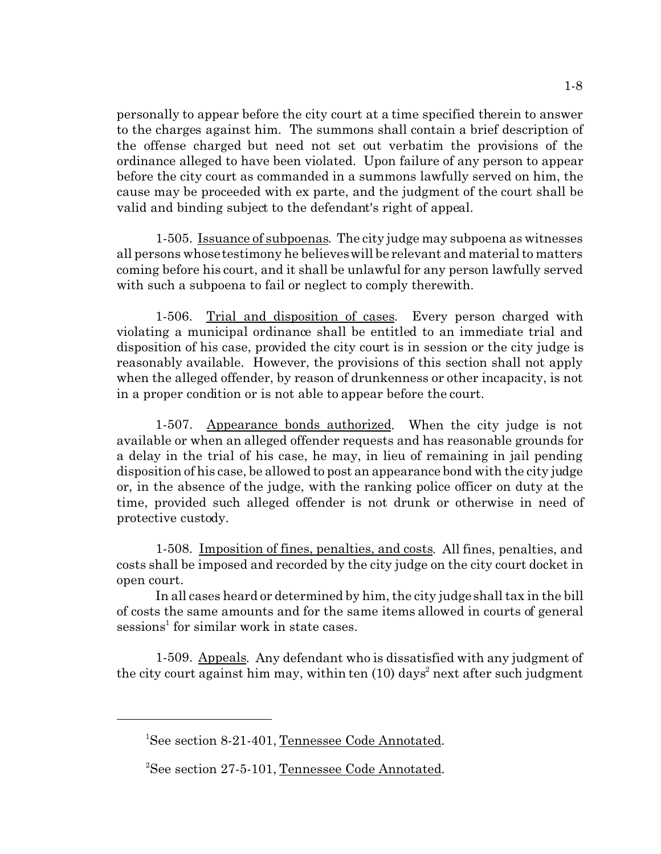personally to appear before the city court at a time specified therein to answer to the charges against him. The summons shall contain a brief description of the offense charged but need not set out verbatim the provisions of the ordinance alleged to have been violated. Upon failure of any person to appear before the city court as commanded in a summons lawfully served on him, the cause may be proceeded with ex parte, and the judgment of the court shall be valid and binding subject to the defendant's right of appeal.

1-505. Issuance of subpoenas. The city judge may subpoena as witnesses all persons whose testimony he believes will be relevant and material to matters coming before his court, and it shall be unlawful for any person lawfully served with such a subpoena to fail or neglect to comply therewith.

1-506. Trial and disposition of cases. Every person charged with violating a municipal ordinance shall be entitled to an immediate trial and disposition of his case, provided the city court is in session or the city judge is reasonably available. However, the provisions of this section shall not apply when the alleged offender, by reason of drunkenness or other incapacity, is not in a proper condition or is not able to appear before the court.

1-507. Appearance bonds authorized. When the city judge is not available or when an alleged offender requests and has reasonable grounds for a delay in the trial of his case, he may, in lieu of remaining in jail pending disposition of his case, be allowed to post an appearance bond with the city judge or, in the absence of the judge, with the ranking police officer on duty at the time, provided such alleged offender is not drunk or otherwise in need of protective custody.

1-508. Imposition of fines, penalties, and costs. All fines, penalties, and costs shall be imposed and recorded by the city judge on the city court docket in open court.

In all cases heard or determined by him, the city judge shall tax in the bill of costs the same amounts and for the same items allowed in courts of general sessions<sup>1</sup> for similar work in state cases.

1-509. Appeals. Any defendant who is dissatisfied with any judgment of the city court against him may, within ten (10) days<sup>2</sup> next after such judgment

<sup>&</sup>lt;sup>1</sup>See section 8-21-401, Tennessee Code Annotated.

<sup>&</sup>lt;sup>2</sup>See section 27-5-101, Tennessee Code Annotated.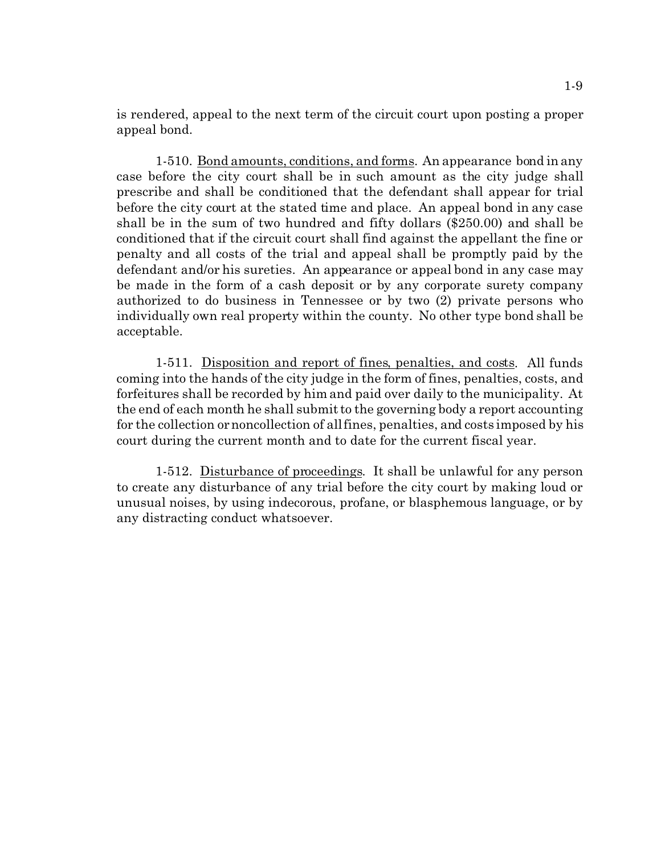is rendered, appeal to the next term of the circuit court upon posting a proper appeal bond.

1-510. Bond amounts, conditions, and forms. An appearance bond in any case before the city court shall be in such amount as the city judge shall prescribe and shall be conditioned that the defendant shall appear for trial before the city court at the stated time and place. An appeal bond in any case shall be in the sum of two hundred and fifty dollars (\$250.00) and shall be conditioned that if the circuit court shall find against the appellant the fine or penalty and all costs of the trial and appeal shall be promptly paid by the defendant and/or his sureties. An appearance or appeal bond in any case may be made in the form of a cash deposit or by any corporate surety company authorized to do business in Tennessee or by two (2) private persons who individually own real property within the county. No other type bond shall be acceptable.

1-511. Disposition and report of fines, penalties, and costs. All funds coming into the hands of the city judge in the form of fines, penalties, costs, and forfeitures shall be recorded by him and paid over daily to the municipality. At the end of each month he shall submit to the governing body a report accounting for the collection or noncollection of all fines, penalties, and costs imposed by his court during the current month and to date for the current fiscal year.

1-512. Disturbance of proceedings. It shall be unlawful for any person to create any disturbance of any trial before the city court by making loud or unusual noises, by using indecorous, profane, or blasphemous language, or by any distracting conduct whatsoever.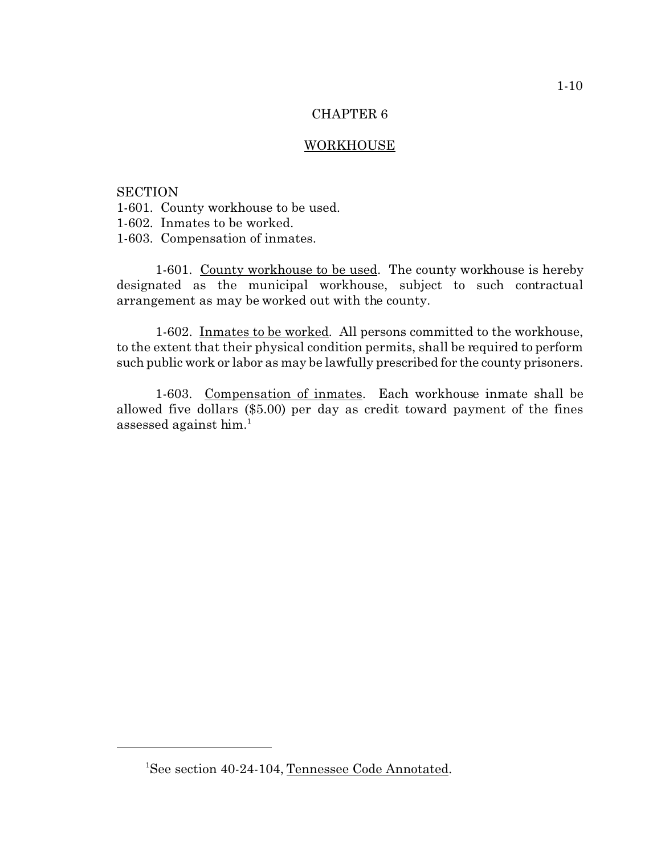### **WORKHOUSE**

### **SECTION**

- 1-601. County workhouse to be used.
- 1-602. Inmates to be worked.
- 1-603. Compensation of inmates.

1-601. County workhouse to be used. The county workhouse is hereby designated as the municipal workhouse, subject to such contractual arrangement as may be worked out with the county.

1-602. Inmates to be worked. All persons committed to the workhouse, to the extent that their physical condition permits, shall be required to perform such public work or labor as may be lawfully prescribed for the county prisoners.

1-603. Compensation of inmates. Each workhouse inmate shall be allowed five dollars (\$5.00) per day as credit toward payment of the fines assessed against him.<sup>1</sup>

<sup>&</sup>lt;sup>1</sup>See section 40-24-104, Tennessee Code Annotated.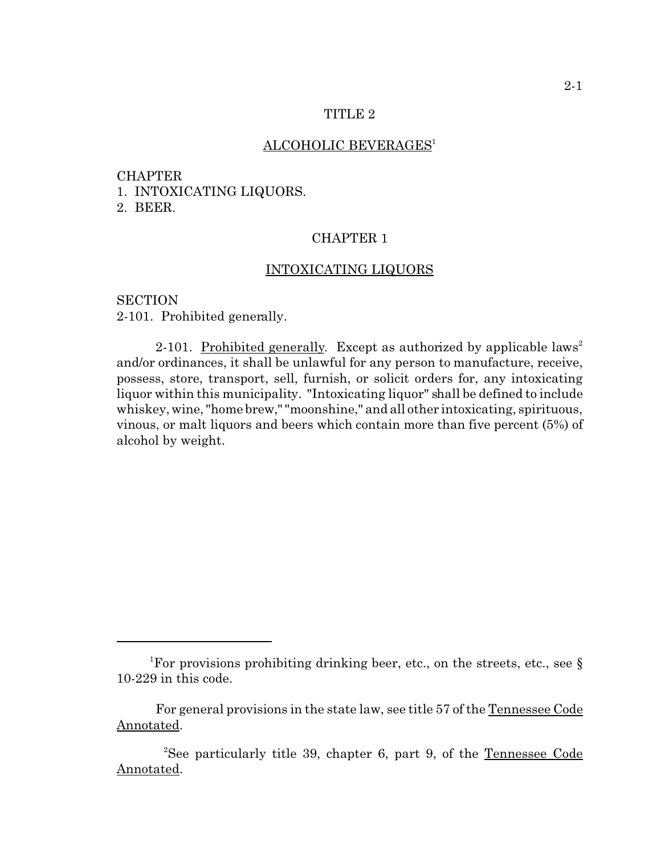## ALCOHOLIC BEVERAGES<sup>1</sup>

#### CHAPTER

1. INTOXICATING LIQUORS.

2. BEER.

## CHAPTER 1

### INTOXICATING LIQUORS

**SECTION** 2-101. Prohibited generally.

2-101. Prohibited generally. Except as authorized by applicable laws<sup>2</sup> and/or ordinances, it shall be unlawful for any person to manufacture, receive, possess, store, transport, sell, furnish, or solicit orders for, any intoxicating liquor within this municipality. "Intoxicating liquor" shall be defined to include whiskey, wine, "home brew," "moonshine," and all other intoxicating, spirituous, vinous, or malt liquors and beers which contain more than five percent (5%) of alcohol by weight.

<sup>&</sup>lt;sup>1</sup>For provisions prohibiting drinking beer, etc., on the streets, etc., see  $\S$ 10-229 in this code.

For general provisions in the state law, see title 57 of the Tennessee Code Annotated.

<sup>2</sup>See particularly title 39, chapter 6, part 9, of the Tennessee Code Annotated.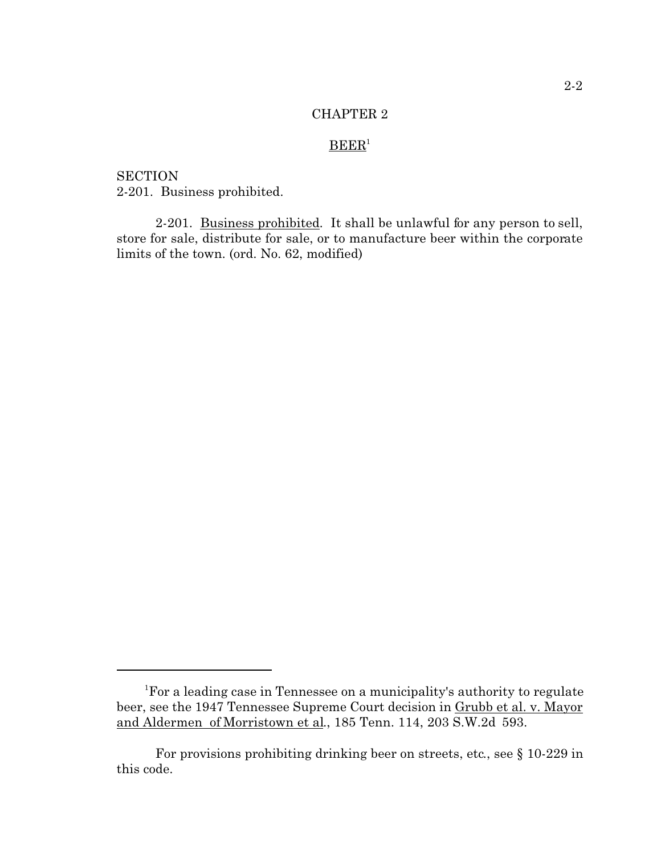# $B E E R<sup>1</sup>$

**SECTION** 2-201. Business prohibited.

2-201. Business prohibited. It shall be unlawful for any person to sell, store for sale, distribute for sale, or to manufacture beer within the corporate limits of the town. (ord. No. 62, modified)

<sup>&</sup>lt;sup>1</sup>For a leading case in Tennessee on a municipality's authority to regulate beer, see the 1947 Tennessee Supreme Court decision in Grubb et al. v. Mayor and Aldermen of Morristown et al., 185 Tenn. 114, 203 S.W.2d 593.

For provisions prohibiting drinking beer on streets, etc., see § 10-229 in this code.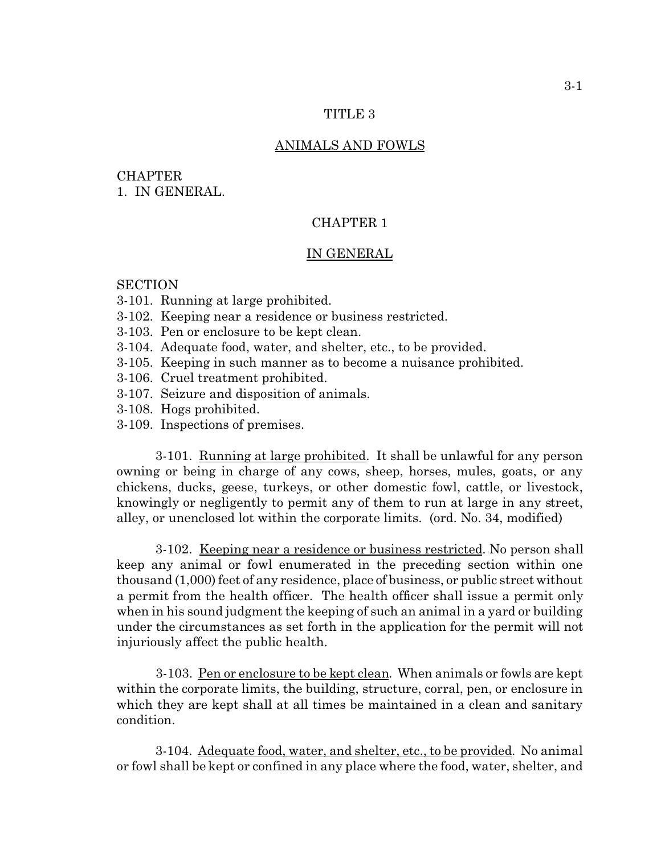#### TITLE<sub>3</sub>

## ANIMALS AND FOWLS

## **CHAPTER** 1. IN GENERAL.

## CHAPTER 1

#### IN GENERAL

## **SECTION**

- 3-101. Running at large prohibited.
- 3-102. Keeping near a residence or business restricted.
- 3-103. Pen or enclosure to be kept clean.
- 3-104. Adequate food, water, and shelter, etc., to be provided.
- 3-105. Keeping in such manner as to become a nuisance prohibited.
- 3-106. Cruel treatment prohibited.
- 3-107. Seizure and disposition of animals.
- 3-108. Hogs prohibited.
- 3-109. Inspections of premises.

3-101. Running at large prohibited. It shall be unlawful for any person owning or being in charge of any cows, sheep, horses, mules, goats, or any chickens, ducks, geese, turkeys, or other domestic fowl, cattle, or livestock, knowingly or negligently to permit any of them to run at large in any street, alley, or unenclosed lot within the corporate limits. (ord. No. 34, modified)

3-102. Keeping near a residence or business restricted. No person shall keep any animal or fowl enumerated in the preceding section within one thousand (1,000) feet of any residence, place of business, or public street without a permit from the health officer. The health officer shall issue a permit only when in his sound judgment the keeping of such an animal in a yard or building under the circumstances as set forth in the application for the permit will not injuriously affect the public health.

3-103. Pen or enclosure to be kept clean. When animals or fowls are kept within the corporate limits, the building, structure, corral, pen, or enclosure in which they are kept shall at all times be maintained in a clean and sanitary condition.

3-104. Adequate food, water, and shelter, etc., to be provided. No animal or fowl shall be kept or confined in any place where the food, water, shelter, and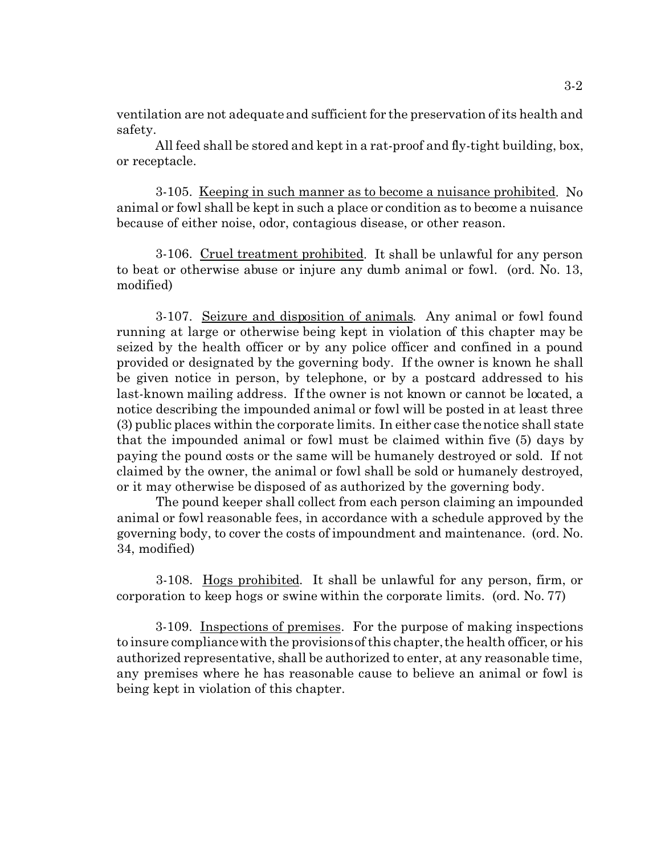ventilation are not adequate and sufficient for the preservation of its health and safety.

All feed shall be stored and kept in a rat-proof and fly-tight building, box, or receptacle.

3-105. Keeping in such manner as to become a nuisance prohibited. No animal or fowl shall be kept in such a place or condition as to become a nuisance because of either noise, odor, contagious disease, or other reason.

3-106. Cruel treatment prohibited. It shall be unlawful for any person to beat or otherwise abuse or injure any dumb animal or fowl. (ord. No. 13, modified)

3-107. Seizure and disposition of animals. Any animal or fowl found running at large or otherwise being kept in violation of this chapter may be seized by the health officer or by any police officer and confined in a pound provided or designated by the governing body. If the owner is known he shall be given notice in person, by telephone, or by a postcard addressed to his last-known mailing address. If the owner is not known or cannot be located, a notice describing the impounded animal or fowl will be posted in at least three (3) public places within the corporate limits. In either case the notice shall state that the impounded animal or fowl must be claimed within five (5) days by paying the pound costs or the same will be humanely destroyed or sold. If not claimed by the owner, the animal or fowl shall be sold or humanely destroyed, or it may otherwise be disposed of as authorized by the governing body.

The pound keeper shall collect from each person claiming an impounded animal or fowl reasonable fees, in accordance with a schedule approved by the governing body, to cover the costs of impoundment and maintenance. (ord. No. 34, modified)

3-108. Hogs prohibited. It shall be unlawful for any person, firm, or corporation to keep hogs or swine within the corporate limits. (ord. No. 77)

3-109. Inspections of premises. For the purpose of making inspections to insure compliance with the provisions of this chapter, the health officer, or his authorized representative, shall be authorized to enter, at any reasonable time, any premises where he has reasonable cause to believe an animal or fowl is being kept in violation of this chapter.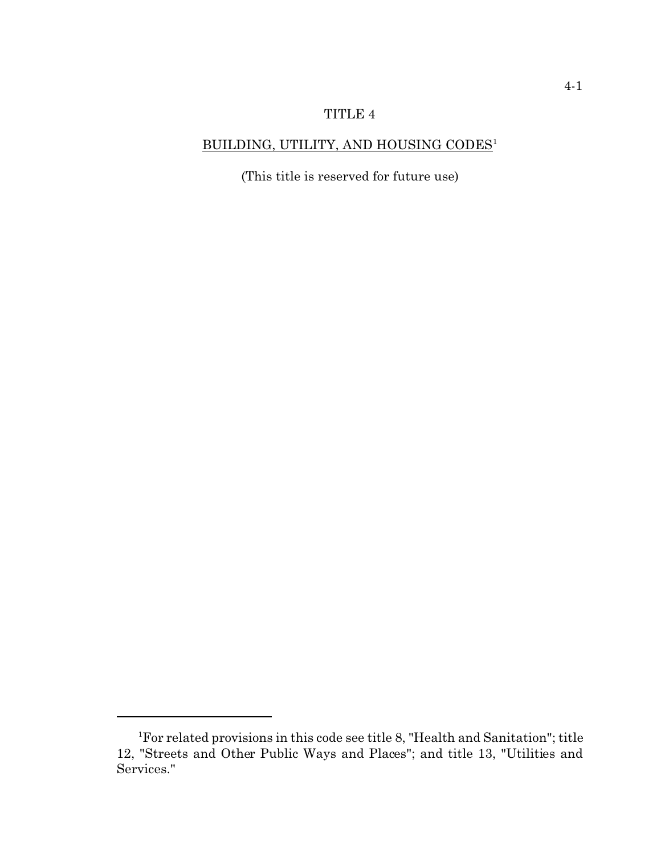# BUILDING, UTILITY, AND HOUSING CODES<sup>1</sup>

(This title is reserved for future use)

<sup>1</sup>For related provisions in this code see title 8, "Health and Sanitation"; title 12, "Streets and Other Public Ways and Places"; and title 13, "Utilities and Services."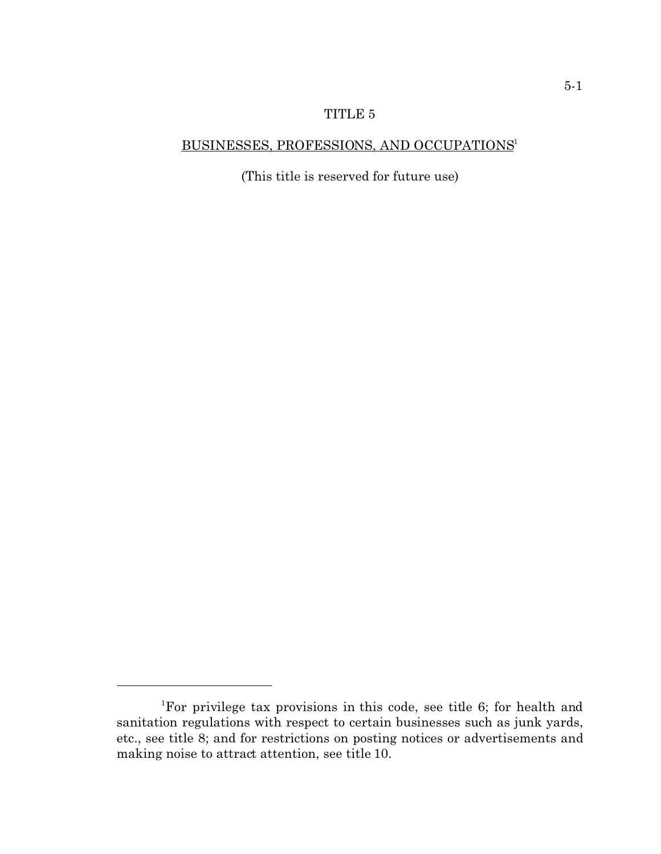# BUSINESSES, PROFESSIONS, AND OCCUPATIONS<sup>1</sup>

(This title is reserved for future use)

<sup>1</sup>For privilege tax provisions in this code, see title 6; for health and sanitation regulations with respect to certain businesses such as junk yards, etc., see title 8; and for restrictions on posting notices or advertisements and making noise to attract attention, see title 10.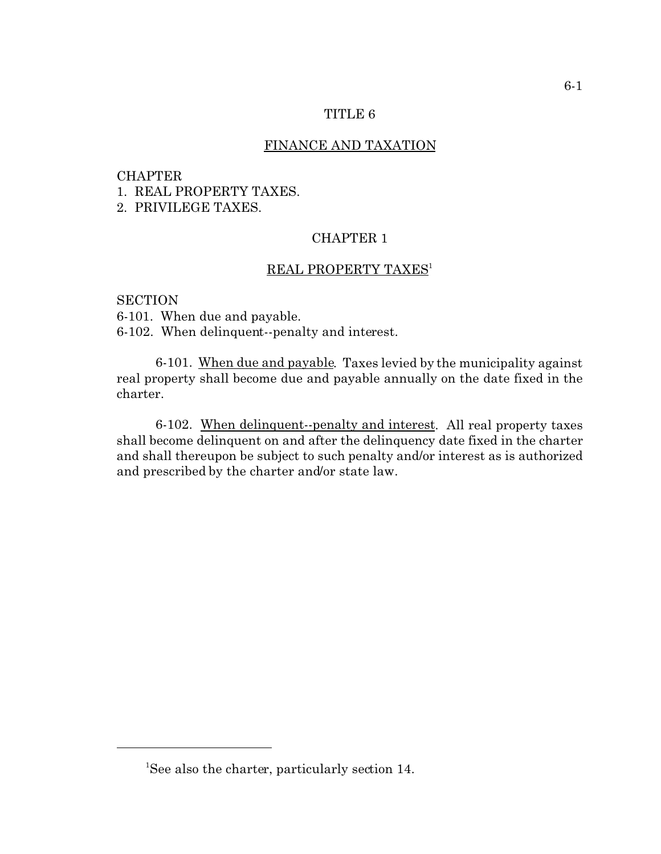### FINANCE AND TAXATION

#### CHAPTER

1. REAL PROPERTY TAXES.

2. PRIVILEGE TAXES.

## CHAPTER 1

### REAL PROPERTY TAXES<sup>1</sup>

**SECTION** 6-101. When due and payable. 6-102. When delinquent--penalty and interest.

6-101. When due and payable. Taxes levied by the municipality against real property shall become due and payable annually on the date fixed in the charter.

6-102. When delinquent--penalty and interest. All real property taxes shall become delinquent on and after the delinquency date fixed in the charter and shall thereupon be subject to such penalty and/or interest as is authorized and prescribed by the charter and/or state law.

<sup>&</sup>lt;sup>1</sup>See also the charter, particularly section 14.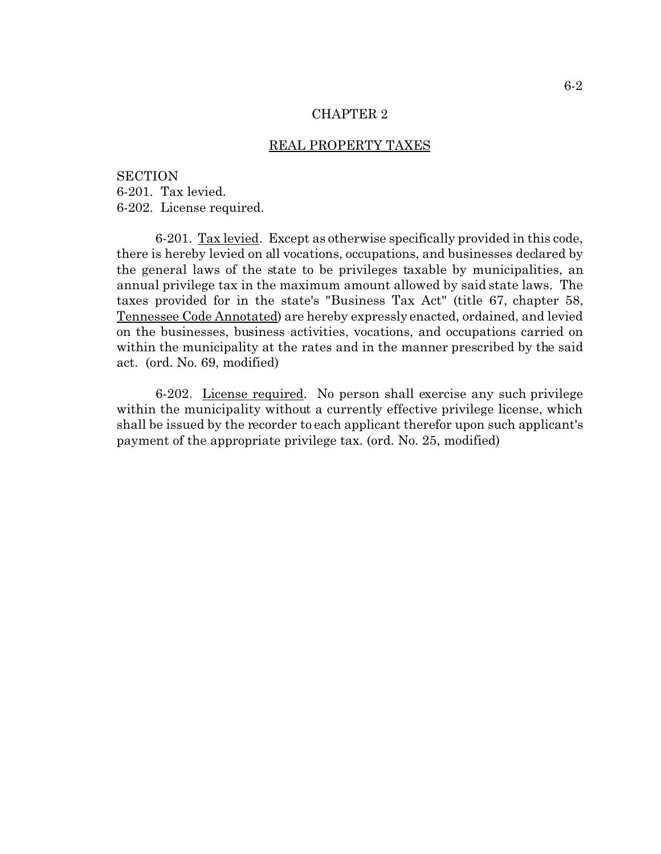### REAL PROPERTY TAXES

**SECTION** 6-201. Tax levied. 6-202. License required.

6-201. Tax levied. Except as otherwise specifically provided in this code, there is hereby levied on all vocations, occupations, and businesses declared by the general laws of the state to be privileges taxable by municipalities, an annual privilege tax in the maximum amount allowed by said state laws. The taxes provided for in the state's "Business Tax Act" (title 67, chapter 58, Tennessee Code Annotated) are hereby expressly enacted, ordained, and levied on the businesses, business activities, vocations, and occupations carried on within the municipality at the rates and in the manner prescribed by the said act. (ord. No. 69, modified)

6-202. License required. No person shall exercise any such privilege within the municipality without a currently effective privilege license, which shall be issued by the recorder to each applicant therefor upon such applicant's payment of the appropriate privilege tax. (ord. No. 25, modified)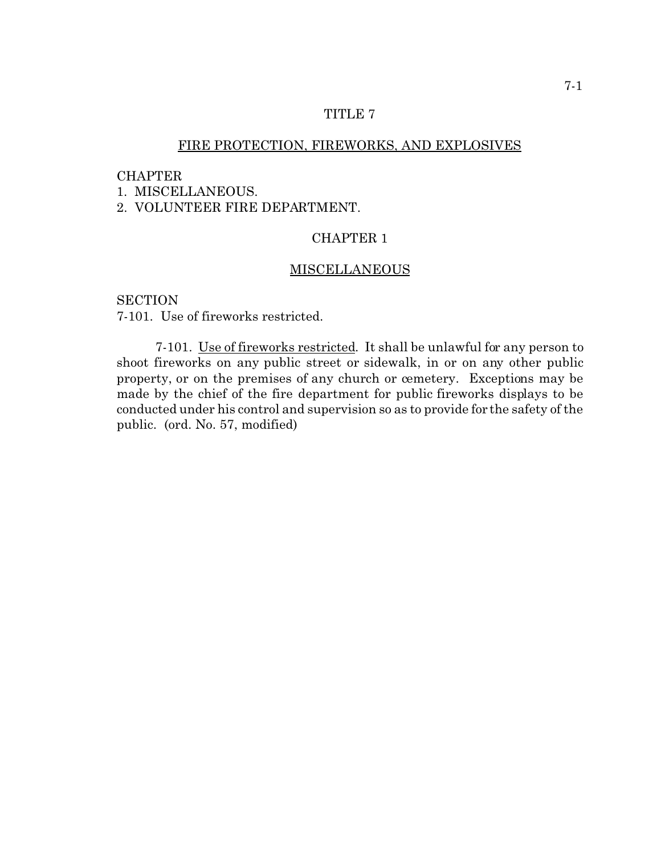# FIRE PROTECTION, FIREWORKS, AND EXPLOSIVES

### CHAPTER

1. MISCELLANEOUS.

2. VOLUNTEER FIRE DEPARTMENT.

## CHAPTER 1

### MISCELLANEOUS

**SECTION** 7-101. Use of fireworks restricted.

7-101. Use of fireworks restricted. It shall be unlawful for any person to shoot fireworks on any public street or sidewalk, in or on any other public property, or on the premises of any church or cemetery. Exceptions may be made by the chief of the fire department for public fireworks displays to be conducted under his control and supervision so as to provide for the safety of the public. (ord. No. 57, modified)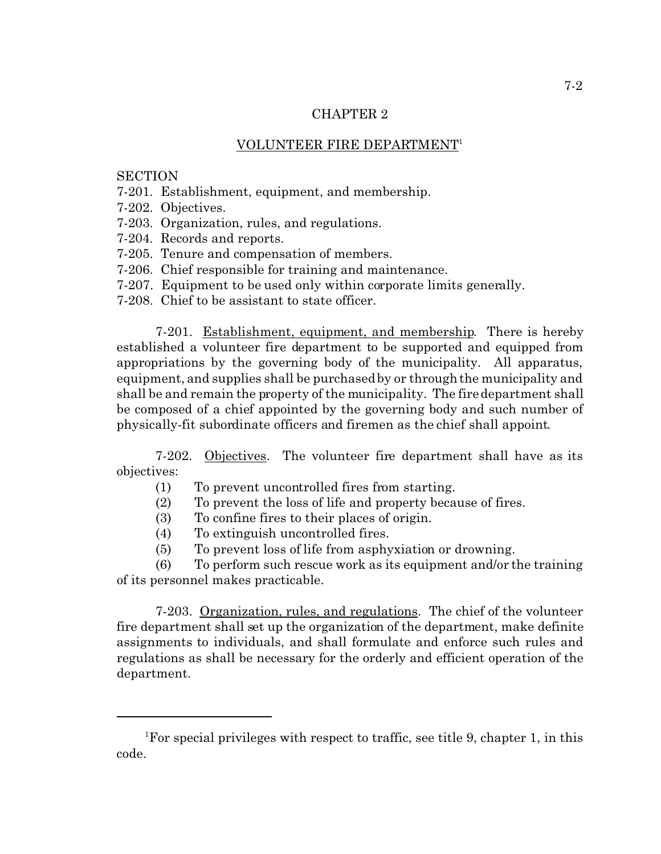## VOLUNTEER FIRE DEPARTMENT<sup>1</sup>

## **SECTION**

- 7-201. Establishment, equipment, and membership.
- 7-202. Objectives.
- 7-203. Organization, rules, and regulations.
- 7-204. Records and reports.
- 7-205. Tenure and compensation of members.
- 7-206. Chief responsible for training and maintenance.
- 7-207. Equipment to be used only within corporate limits generally.
- 7-208. Chief to be assistant to state officer.

7-201. Establishment, equipment, and membership. There is hereby established a volunteer fire department to be supported and equipped from appropriations by the governing body of the municipality. All apparatus, equipment, and supplies shall be purchased by or through the municipality and shall be and remain the property of the municipality. The fire department shall be composed of a chief appointed by the governing body and such number of physically-fit subordinate officers and firemen as the chief shall appoint.

7-202. Objectives. The volunteer fire department shall have as its objectives:

- (1) To prevent uncontrolled fires from starting.
- (2) To prevent the loss of life and property because of fires.
- (3) To confine fires to their places of origin.
- (4) To extinguish uncontrolled fires.
- (5) To prevent loss of life from asphyxiation or drowning.

(6) To perform such rescue work as its equipment and/or the training of its personnel makes practicable.

7-203. Organization, rules, and regulations. The chief of the volunteer fire department shall set up the organization of the department, make definite assignments to individuals, and shall formulate and enforce such rules and regulations as shall be necessary for the orderly and efficient operation of the department.

<sup>&</sup>lt;sup>1</sup>For special privileges with respect to traffic, see title 9, chapter 1, in this code.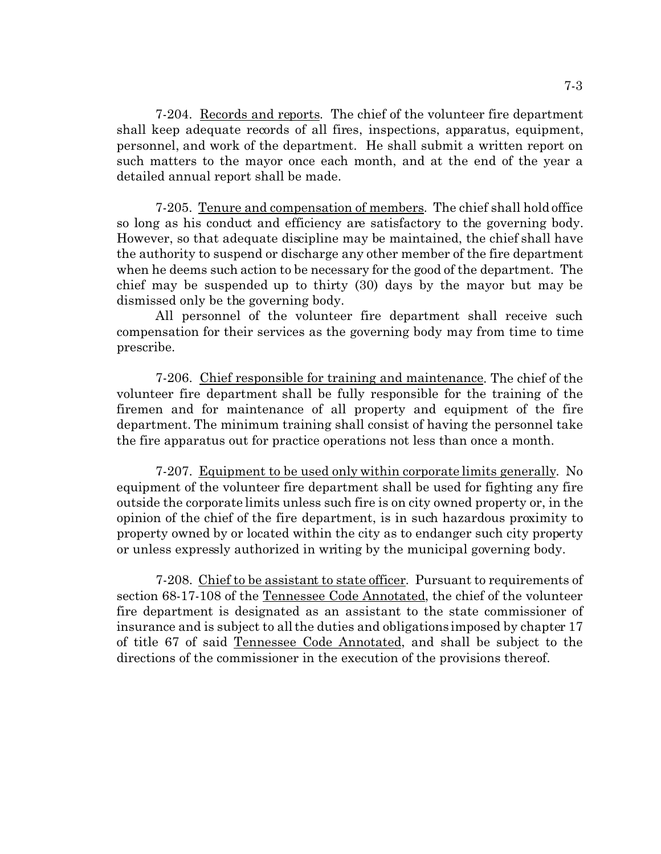7-204. Records and reports. The chief of the volunteer fire department shall keep adequate records of all fires, inspections, apparatus, equipment, personnel, and work of the department. He shall submit a written report on such matters to the mayor once each month, and at the end of the year a detailed annual report shall be made.

7-205. Tenure and compensation of members. The chief shall hold office so long as his conduct and efficiency are satisfactory to the governing body. However, so that adequate discipline may be maintained, the chief shall have the authority to suspend or discharge any other member of the fire department when he deems such action to be necessary for the good of the department. The chief may be suspended up to thirty (30) days by the mayor but may be dismissed only be the governing body.

All personnel of the volunteer fire department shall receive such compensation for their services as the governing body may from time to time prescribe.

7-206. Chief responsible for training and maintenance. The chief of the volunteer fire department shall be fully responsible for the training of the firemen and for maintenance of all property and equipment of the fire department. The minimum training shall consist of having the personnel take the fire apparatus out for practice operations not less than once a month.

7-207. Equipment to be used only within corporate limits generally. No equipment of the volunteer fire department shall be used for fighting any fire outside the corporate limits unless such fire is on city owned property or, in the opinion of the chief of the fire department, is in such hazardous proximity to property owned by or located within the city as to endanger such city property or unless expressly authorized in writing by the municipal governing body.

7-208. Chief to be assistant to state officer. Pursuant to requirements of section 68-17-108 of the Tennessee Code Annotated, the chief of the volunteer fire department is designated as an assistant to the state commissioner of insurance and is subject to all the duties and obligations imposed by chapter 17 of title 67 of said Tennessee Code Annotated, and shall be subject to the directions of the commissioner in the execution of the provisions thereof.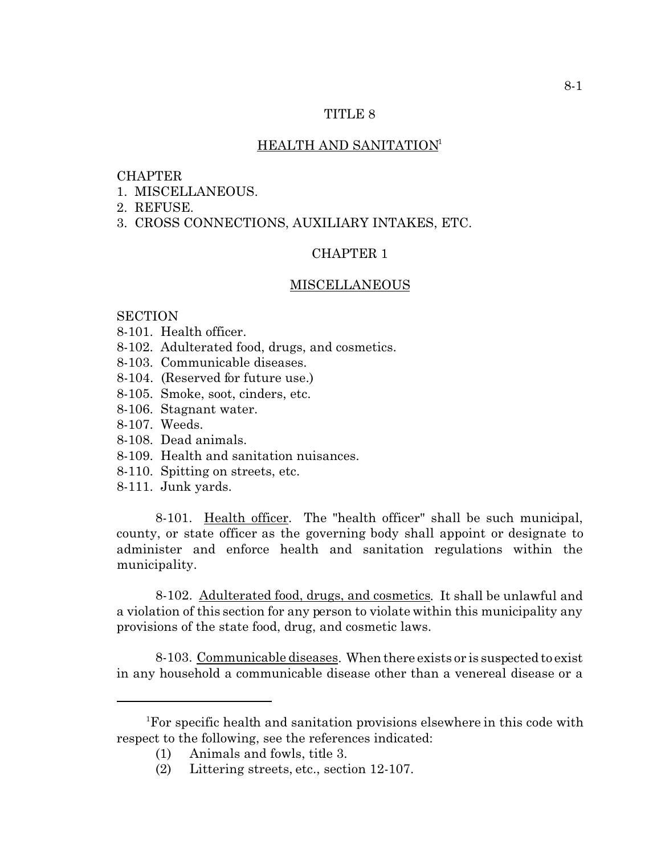### HEALTH AND SANITATION<sup>1</sup>

### **CHAPTER**

- 1. MISCELLANEOUS.
- 2. REFUSE.
- 3. CROSS CONNECTIONS, AUXILIARY INTAKES, ETC.

### CHAPTER 1

#### MISCELLANEOUS

## **SECTION**

- 8-101. Health officer.
- 8-102. Adulterated food, drugs, and cosmetics.
- 8-103. Communicable diseases.
- 8-104. (Reserved for future use.)
- 8-105. Smoke, soot, cinders, etc.
- 8-106. Stagnant water.
- 8-107. Weeds.
- 8-108. Dead animals.
- 8-109. Health and sanitation nuisances.
- 8-110. Spitting on streets, etc.
- 8-111. Junk yards.

8-101. Health officer. The "health officer" shall be such municipal, county, or state officer as the governing body shall appoint or designate to administer and enforce health and sanitation regulations within the municipality.

8-102. Adulterated food, drugs, and cosmetics. It shall be unlawful and a violation of this section for any person to violate within this municipality any provisions of the state food, drug, and cosmetic laws.

8-103. Communicable diseases. When there exists or is suspected to exist in any household a communicable disease other than a venereal disease or a

<sup>1</sup>For specific health and sanitation provisions elsewhere in this code with respect to the following, see the references indicated:

<sup>(1)</sup> Animals and fowls, title 3.

<sup>(2)</sup> Littering streets, etc., section 12-107.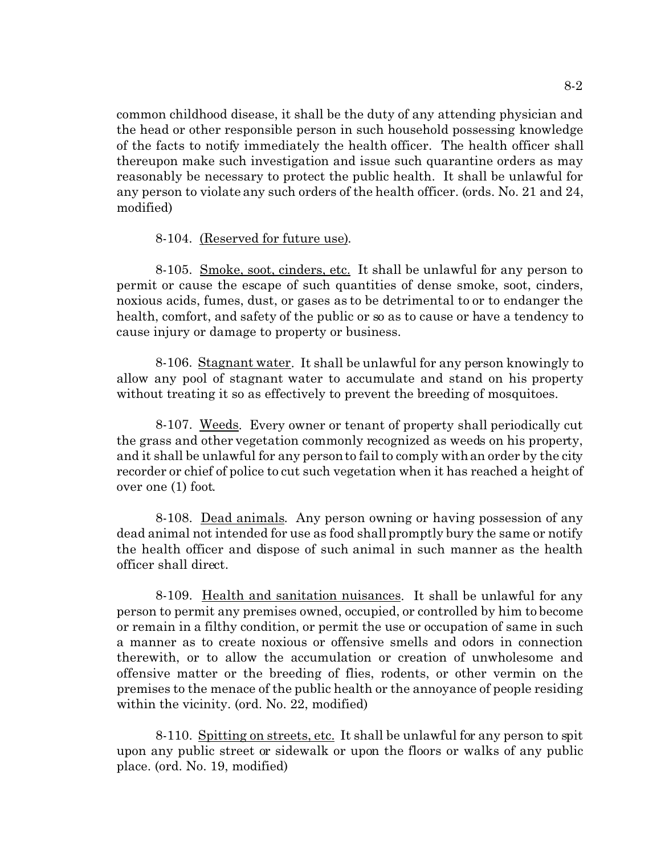common childhood disease, it shall be the duty of any attending physician and the head or other responsible person in such household possessing knowledge of the facts to notify immediately the health officer. The health officer shall thereupon make such investigation and issue such quarantine orders as may reasonably be necessary to protect the public health. It shall be unlawful for any person to violate any such orders of the health officer. (ords. No. 21 and 24, modified)

## 8-104. (Reserved for future use).

8-105. Smoke, soot, cinders, etc. It shall be unlawful for any person to permit or cause the escape of such quantities of dense smoke, soot, cinders, noxious acids, fumes, dust, or gases as to be detrimental to or to endanger the health, comfort, and safety of the public or so as to cause or have a tendency to cause injury or damage to property or business.

8-106. Stagnant water. It shall be unlawful for any person knowingly to allow any pool of stagnant water to accumulate and stand on his property without treating it so as effectively to prevent the breeding of mosquitoes.

8-107. Weeds. Every owner or tenant of property shall periodically cut the grass and other vegetation commonly recognized as weeds on his property, and it shall be unlawful for any person to fail to comply with an order by the city recorder or chief of police to cut such vegetation when it has reached a height of over one (1) foot.

8-108. Dead animals. Any person owning or having possession of any dead animal not intended for use as food shall promptly bury the same or notify the health officer and dispose of such animal in such manner as the health officer shall direct.

8-109. Health and sanitation nuisances. It shall be unlawful for any person to permit any premises owned, occupied, or controlled by him to become or remain in a filthy condition, or permit the use or occupation of same in such a manner as to create noxious or offensive smells and odors in connection therewith, or to allow the accumulation or creation of unwholesome and offensive matter or the breeding of flies, rodents, or other vermin on the premises to the menace of the public health or the annoyance of people residing within the vicinity. (ord. No. 22, modified)

8-110. Spitting on streets, etc. It shall be unlawful for any person to spit upon any public street or sidewalk or upon the floors or walks of any public place. (ord. No. 19, modified)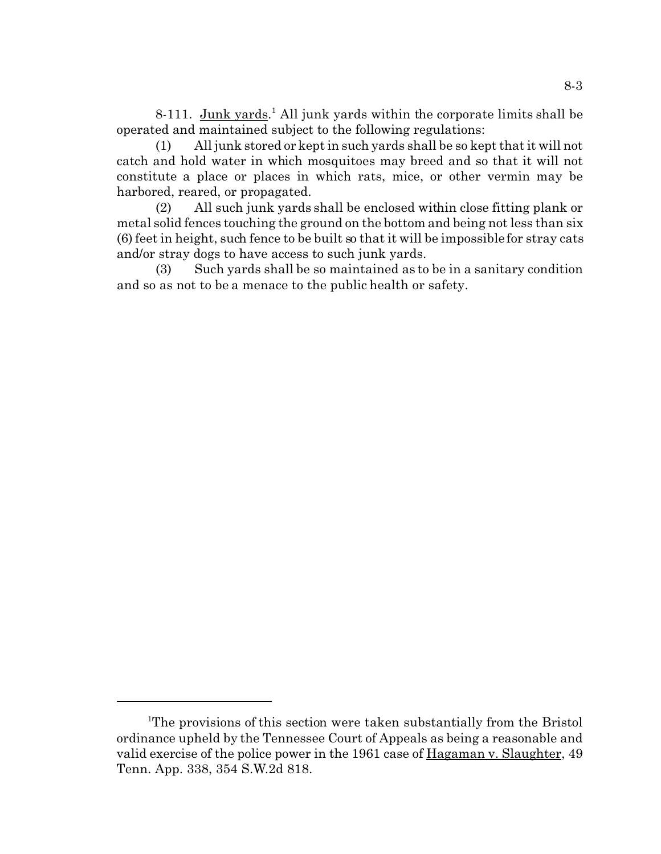8-111. Junk yards.<sup>1</sup> All junk yards within the corporate limits shall be operated and maintained subject to the following regulations:

(1) All junk stored or kept in such yards shall be so kept that it will not catch and hold water in which mosquitoes may breed and so that it will not constitute a place or places in which rats, mice, or other vermin may be harbored, reared, or propagated.

(2) All such junk yards shall be enclosed within close fitting plank or metal solid fences touching the ground on the bottom and being not less than six (6) feet in height, such fence to be built so that it will be impossible for stray cats and/or stray dogs to have access to such junk yards.

(3) Such yards shall be so maintained as to be in a sanitary condition and so as not to be a menace to the public health or safety.

<sup>&</sup>lt;sup>1</sup>The provisions of this section were taken substantially from the Bristol ordinance upheld by the Tennessee Court of Appeals as being a reasonable and valid exercise of the police power in the 1961 case of Hagaman v. Slaughter, 49 Tenn. App. 338, 354 S.W.2d 818.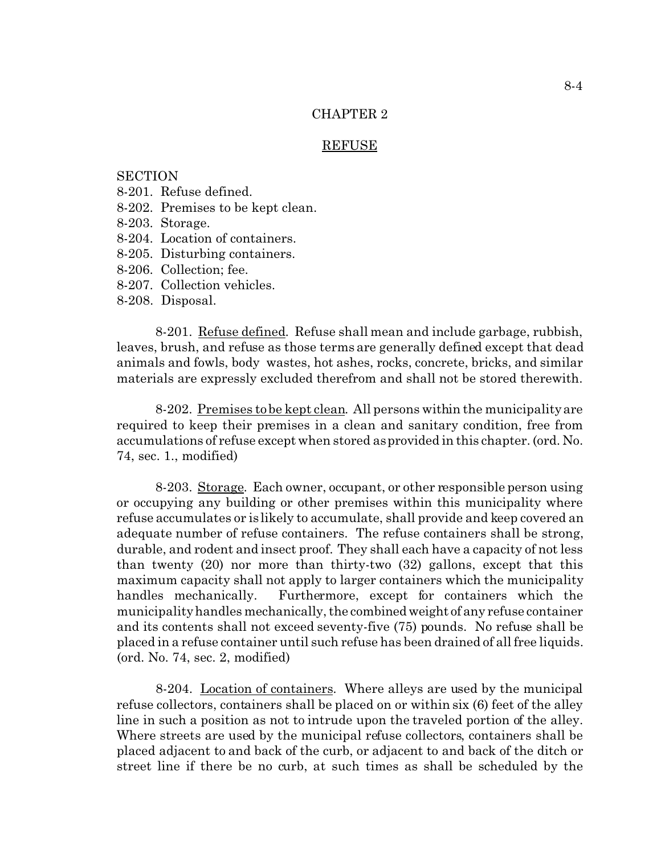#### **REFUSE**

## **SECTION**

- 8-201. Refuse defined.
- 8-202. Premises to be kept clean.
- 8-203. Storage.
- 8-204. Location of containers.
- 8-205. Disturbing containers.
- 8-206. Collection; fee.
- 8-207. Collection vehicles.
- 8-208. Disposal.

8-201. Refuse defined. Refuse shall mean and include garbage, rubbish, leaves, brush, and refuse as those terms are generally defined except that dead animals and fowls, body wastes, hot ashes, rocks, concrete, bricks, and similar materials are expressly excluded therefrom and shall not be stored therewith.

8-202. Premises to be kept clean. All persons within the municipality are required to keep their premises in a clean and sanitary condition, free from accumulations of refuse except when stored as provided in this chapter. (ord. No. 74, sec. 1., modified)

8-203. Storage. Each owner, occupant, or other responsible person using or occupying any building or other premises within this municipality where refuse accumulates or is likely to accumulate, shall provide and keep covered an adequate number of refuse containers. The refuse containers shall be strong, durable, and rodent and insect proof. They shall each have a capacity of not less than twenty (20) nor more than thirty-two (32) gallons, except that this maximum capacity shall not apply to larger containers which the municipality handles mechanically. Furthermore, except for containers which the municipality handles mechanically, the combined weight of any refuse container and its contents shall not exceed seventy-five (75) pounds. No refuse shall be placed in a refuse container until such refuse has been drained of all free liquids. (ord. No. 74, sec. 2, modified)

8-204. Location of containers. Where alleys are used by the municipal refuse collectors, containers shall be placed on or within six (6) feet of the alley line in such a position as not to intrude upon the traveled portion of the alley. Where streets are used by the municipal refuse collectors, containers shall be placed adjacent to and back of the curb, or adjacent to and back of the ditch or street line if there be no curb, at such times as shall be scheduled by the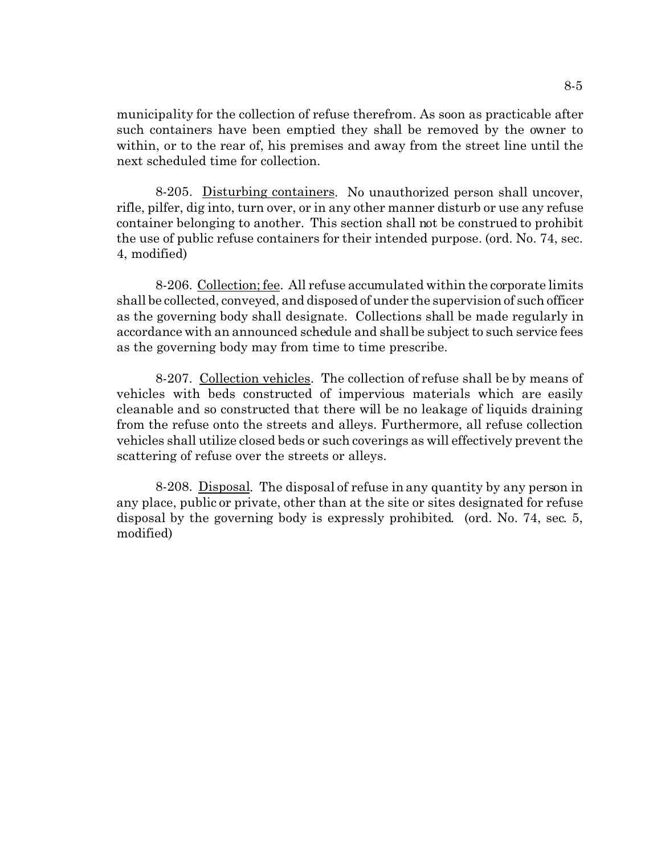municipality for the collection of refuse therefrom. As soon as practicable after such containers have been emptied they shall be removed by the owner to within, or to the rear of, his premises and away from the street line until the next scheduled time for collection.

8-205. Disturbing containers. No unauthorized person shall uncover, rifle, pilfer, dig into, turn over, or in any other manner disturb or use any refuse container belonging to another. This section shall not be construed to prohibit the use of public refuse containers for their intended purpose. (ord. No. 74, sec. 4, modified)

8-206. Collection; fee. All refuse accumulated within the corporate limits shall be collected, conveyed, and disposed of under the supervision of such officer as the governing body shall designate. Collections shall be made regularly in accordance with an announced schedule and shall be subject to such service fees as the governing body may from time to time prescribe.

8-207. Collection vehicles. The collection of refuse shall be by means of vehicles with beds constructed of impervious materials which are easily cleanable and so constructed that there will be no leakage of liquids draining from the refuse onto the streets and alleys. Furthermore, all refuse collection vehicles shall utilize closed beds or such coverings as will effectively prevent the scattering of refuse over the streets or alleys.

8-208. Disposal. The disposal of refuse in any quantity by any person in any place, public or private, other than at the site or sites designated for refuse disposal by the governing body is expressly prohibited. (ord. No. 74, sec. 5, modified)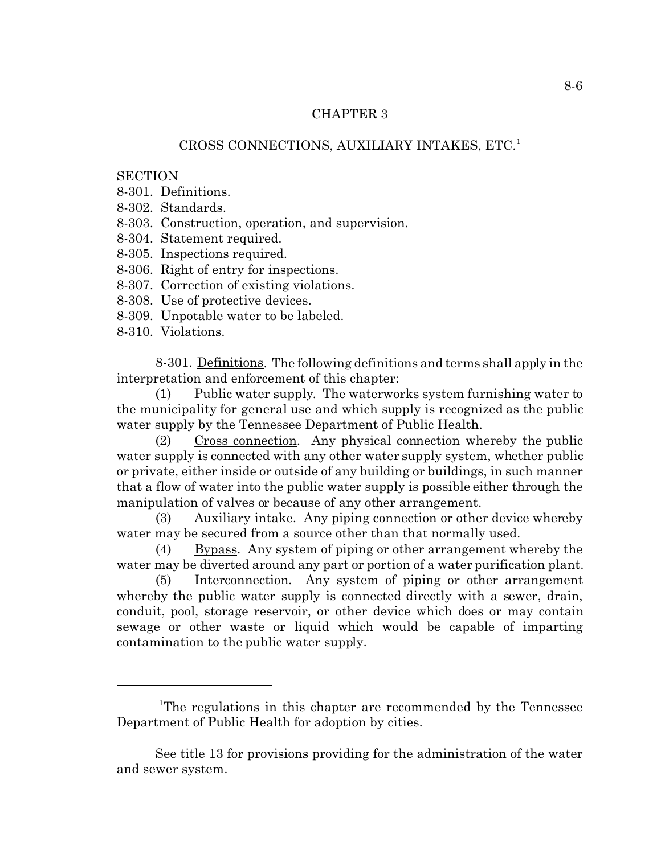## CROSS CONNECTIONS, AUXILIARY INTAKES, ETC.<sup>1</sup>

### **SECTION**

- 8-301. Definitions.
- 8-302. Standards.
- 8-303. Construction, operation, and supervision.
- 8-304. Statement required.
- 8-305. Inspections required.
- 8-306. Right of entry for inspections.
- 8-307. Correction of existing violations.
- 8-308. Use of protective devices.
- 8-309. Unpotable water to be labeled.
- 8-310. Violations.

8-301. Definitions. The following definitions and terms shall apply in the interpretation and enforcement of this chapter:

(1) Public water supply. The waterworks system furnishing water to the municipality for general use and which supply is recognized as the public water supply by the Tennessee Department of Public Health.

(2) Cross connection. Any physical connection whereby the public water supply is connected with any other water supply system, whether public or private, either inside or outside of any building or buildings, in such manner that a flow of water into the public water supply is possible either through the manipulation of valves or because of any other arrangement.

(3) Auxiliary intake. Any piping connection or other device whereby water may be secured from a source other than that normally used.

(4) Bypass. Any system of piping or other arrangement whereby the water may be diverted around any part or portion of a water purification plant.

(5) Interconnection. Any system of piping or other arrangement whereby the public water supply is connected directly with a sewer, drain, conduit, pool, storage reservoir, or other device which does or may contain sewage or other waste or liquid which would be capable of imparting contamination to the public water supply.

<sup>&</sup>lt;sup>1</sup>The regulations in this chapter are recommended by the Tennessee Department of Public Health for adoption by cities.

See title 13 for provisions providing for the administration of the water and sewer system.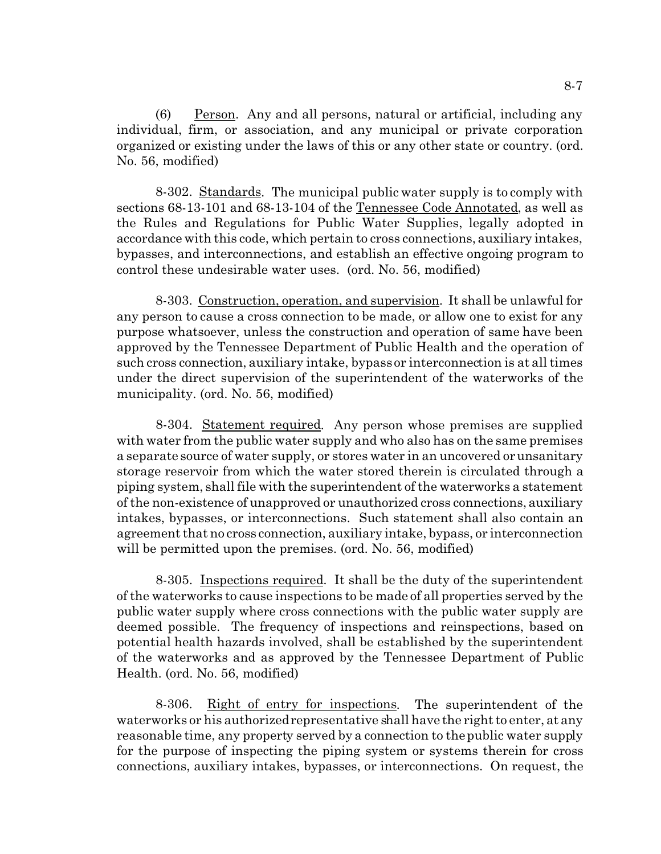(6) Person. Any and all persons, natural or artificial, including any individual, firm, or association, and any municipal or private corporation organized or existing under the laws of this or any other state or country. (ord. No. 56, modified)

8-302. Standards. The municipal public water supply is to comply with sections 68-13-101 and 68-13-104 of the Tennessee Code Annotated, as well as the Rules and Regulations for Public Water Supplies, legally adopted in accordance with this code, which pertain to cross connections, auxiliary intakes, bypasses, and interconnections, and establish an effective ongoing program to control these undesirable water uses. (ord. No. 56, modified)

8-303. Construction, operation, and supervision. It shall be unlawful for any person to cause a cross connection to be made, or allow one to exist for any purpose whatsoever, unless the construction and operation of same have been approved by the Tennessee Department of Public Health and the operation of such cross connection, auxiliary intake, bypass or interconnection is at all times under the direct supervision of the superintendent of the waterworks of the municipality. (ord. No. 56, modified)

8-304. Statement required. Any person whose premises are supplied with water from the public water supply and who also has on the same premises a separate source of water supply, or stores water in an uncovered or unsanitary storage reservoir from which the water stored therein is circulated through a piping system, shall file with the superintendent of the waterworks a statement of the non-existence of unapproved or unauthorized cross connections, auxiliary intakes, bypasses, or interconnections. Such statement shall also contain an agreement that no cross connection, auxiliary intake, bypass, or interconnection will be permitted upon the premises. (ord. No. 56, modified)

8-305. Inspections required. It shall be the duty of the superintendent of the waterworks to cause inspections to be made of all properties served by the public water supply where cross connections with the public water supply are deemed possible. The frequency of inspections and reinspections, based on potential health hazards involved, shall be established by the superintendent of the waterworks and as approved by the Tennessee Department of Public Health. (ord. No. 56, modified)

8-306. Right of entry for inspections. The superintendent of the waterworks or his authorized representative shall have the right to enter, at any reasonable time, any property served by a connection to the public water supply for the purpose of inspecting the piping system or systems therein for cross connections, auxiliary intakes, bypasses, or interconnections. On request, the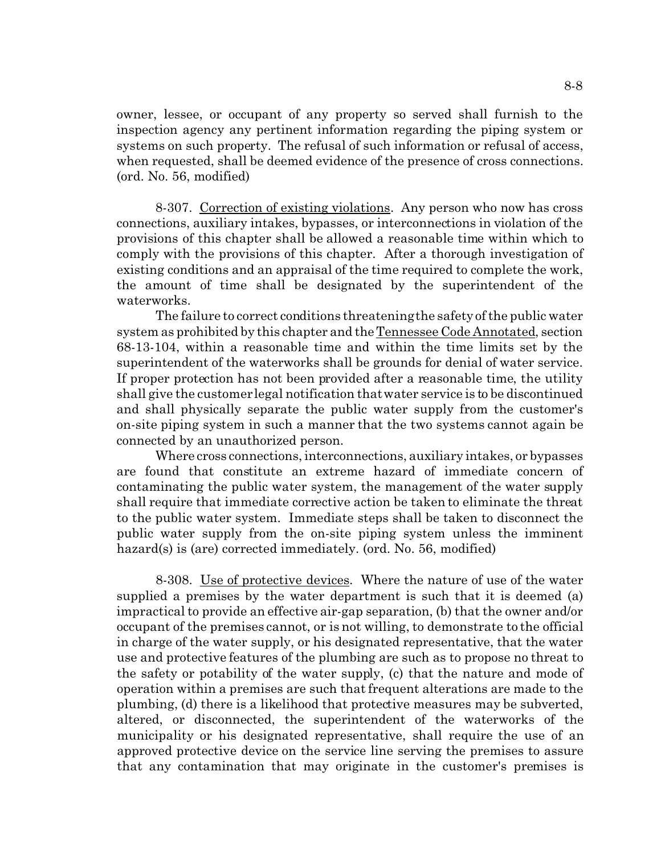owner, lessee, or occupant of any property so served shall furnish to the inspection agency any pertinent information regarding the piping system or systems on such property. The refusal of such information or refusal of access, when requested, shall be deemed evidence of the presence of cross connections. (ord. No. 56, modified)

8-307. Correction of existing violations. Any person who now has cross connections, auxiliary intakes, bypasses, or interconnections in violation of the provisions of this chapter shall be allowed a reasonable time within which to comply with the provisions of this chapter. After a thorough investigation of existing conditions and an appraisal of the time required to complete the work, the amount of time shall be designated by the superintendent of the waterworks.

The failure to correct conditions threatening the safety of the public water system as prohibited by this chapter and the Tennessee Code Annotated, section 68-13-104, within a reasonable time and within the time limits set by the superintendent of the waterworks shall be grounds for denial of water service. If proper protection has not been provided after a reasonable time, the utility shall give the customer legal notification that water service is to be discontinued and shall physically separate the public water supply from the customer's on-site piping system in such a manner that the two systems cannot again be connected by an unauthorized person.

Where cross connections, interconnections, auxiliary intakes, or bypasses are found that constitute an extreme hazard of immediate concern of contaminating the public water system, the management of the water supply shall require that immediate corrective action be taken to eliminate the threat to the public water system. Immediate steps shall be taken to disconnect the public water supply from the on-site piping system unless the imminent hazard(s) is (are) corrected immediately. (ord. No. 56, modified)

8-308. Use of protective devices. Where the nature of use of the water supplied a premises by the water department is such that it is deemed (a) impractical to provide an effective air-gap separation, (b) that the owner and/or occupant of the premises cannot, or is not willing, to demonstrate to the official in charge of the water supply, or his designated representative, that the water use and protective features of the plumbing are such as to propose no threat to the safety or potability of the water supply, (c) that the nature and mode of operation within a premises are such that frequent alterations are made to the plumbing, (d) there is a likelihood that protective measures may be subverted, altered, or disconnected, the superintendent of the waterworks of the municipality or his designated representative, shall require the use of an approved protective device on the service line serving the premises to assure that any contamination that may originate in the customer's premises is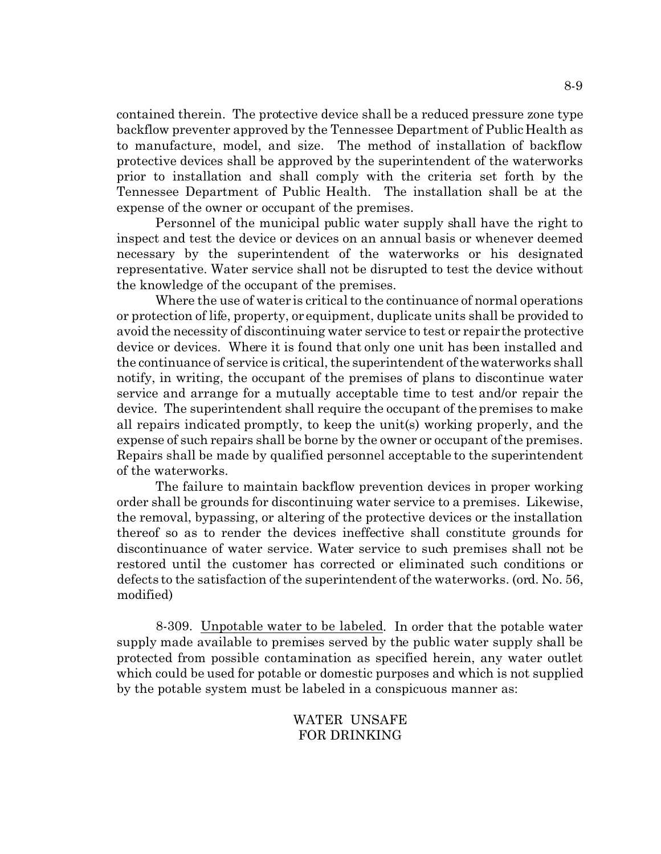contained therein. The protective device shall be a reduced pressure zone type backflow preventer approved by the Tennessee Department of Public Health as to manufacture, model, and size. The method of installation of backflow protective devices shall be approved by the superintendent of the waterworks prior to installation and shall comply with the criteria set forth by the Tennessee Department of Public Health. The installation shall be at the expense of the owner or occupant of the premises.

Personnel of the municipal public water supply shall have the right to inspect and test the device or devices on an annual basis or whenever deemed necessary by the superintendent of the waterworks or his designated representative. Water service shall not be disrupted to test the device without the knowledge of the occupant of the premises.

Where the use of water is critical to the continuance of normal operations or protection of life, property, or equipment, duplicate units shall be provided to avoid the necessity of discontinuing water service to test or repair the protective device or devices. Where it is found that only one unit has been installed and the continuance of service is critical, the superintendent of the waterworks shall notify, in writing, the occupant of the premises of plans to discontinue water service and arrange for a mutually acceptable time to test and/or repair the device. The superintendent shall require the occupant of the premises to make all repairs indicated promptly, to keep the unit(s) working properly, and the expense of such repairs shall be borne by the owner or occupant of the premises. Repairs shall be made by qualified personnel acceptable to the superintendent of the waterworks.

The failure to maintain backflow prevention devices in proper working order shall be grounds for discontinuing water service to a premises. Likewise, the removal, bypassing, or altering of the protective devices or the installation thereof so as to render the devices ineffective shall constitute grounds for discontinuance of water service. Water service to such premises shall not be restored until the customer has corrected or eliminated such conditions or defects to the satisfaction of the superintendent of the waterworks. (ord. No. 56, modified)

8-309. Unpotable water to be labeled. In order that the potable water supply made available to premises served by the public water supply shall be protected from possible contamination as specified herein, any water outlet which could be used for potable or domestic purposes and which is not supplied by the potable system must be labeled in a conspicuous manner as:

## WATER UNSAFE FOR DRINKING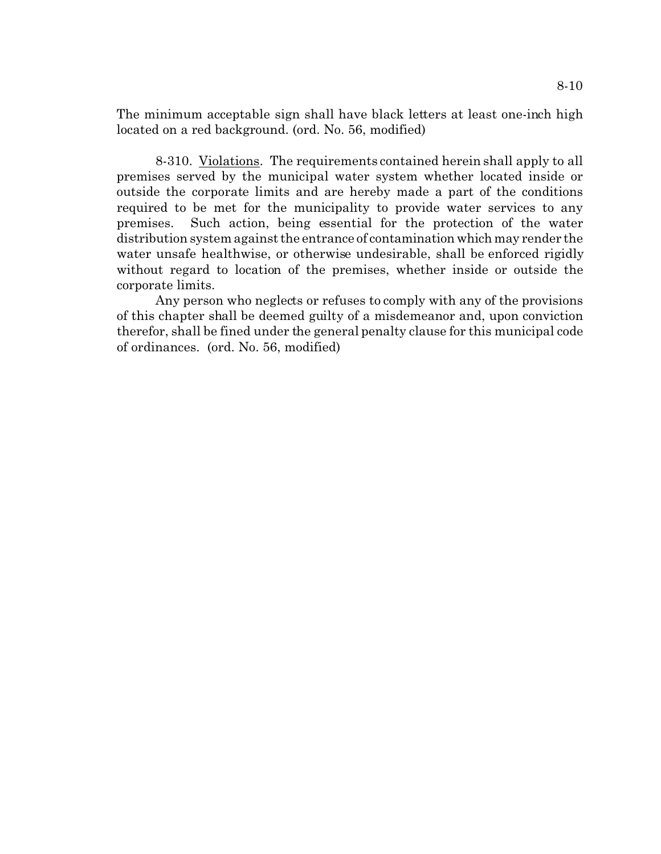The minimum acceptable sign shall have black letters at least one-inch high located on a red background. (ord. No. 56, modified)

8-310. Violations. The requirements contained herein shall apply to all premises served by the municipal water system whether located inside or outside the corporate limits and are hereby made a part of the conditions required to be met for the municipality to provide water services to any premises. Such action, being essential for the protection of the water distribution system against the entrance of contamination which may render the water unsafe healthwise, or otherwise undesirable, shall be enforced rigidly without regard to location of the premises, whether inside or outside the corporate limits.

Any person who neglects or refuses to comply with any of the provisions of this chapter shall be deemed guilty of a misdemeanor and, upon conviction therefor, shall be fined under the general penalty clause for this municipal code of ordinances. (ord. No. 56, modified)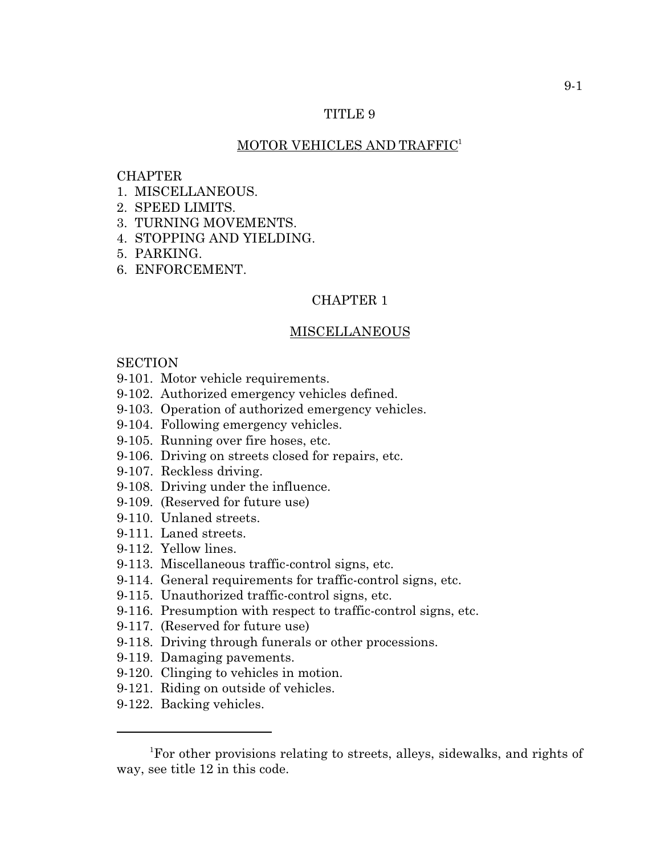### MOTOR VEHICLES AND TRAFFIC<sup>1</sup>

### **CHAPTER**

- 1. MISCELLANEOUS.
- 2. SPEED LIMITS.
- 3. TURNING MOVEMENTS.
- 4. STOPPING AND YIELDING.
- 5. PARKING.
- 6. ENFORCEMENT.

### CHAPTER 1

### MISCELLANEOUS

## **SECTION**

- 9-101. Motor vehicle requirements.
- 9-102. Authorized emergency vehicles defined.
- 9-103. Operation of authorized emergency vehicles.
- 9-104. Following emergency vehicles.
- 9-105. Running over fire hoses, etc.
- 9-106. Driving on streets closed for repairs, etc.
- 9-107. Reckless driving.
- 9-108. Driving under the influence.
- 9-109. (Reserved for future use)
- 9-110. Unlaned streets.
- 9-111. Laned streets.
- 9-112. Yellow lines.
- 9-113. Miscellaneous traffic-control signs, etc.
- 9-114. General requirements for traffic-control signs, etc.
- 9-115. Unauthorized traffic-control signs, etc.
- 9-116. Presumption with respect to traffic-control signs, etc.
- 9-117. (Reserved for future use)
- 9-118. Driving through funerals or other processions.
- 9-119. Damaging pavements.
- 9-120. Clinging to vehicles in motion.
- 9-121. Riding on outside of vehicles.
- 9-122. Backing vehicles.

<sup>&</sup>lt;sup>1</sup>For other provisions relating to streets, alleys, sidewalks, and rights of way, see title 12 in this code.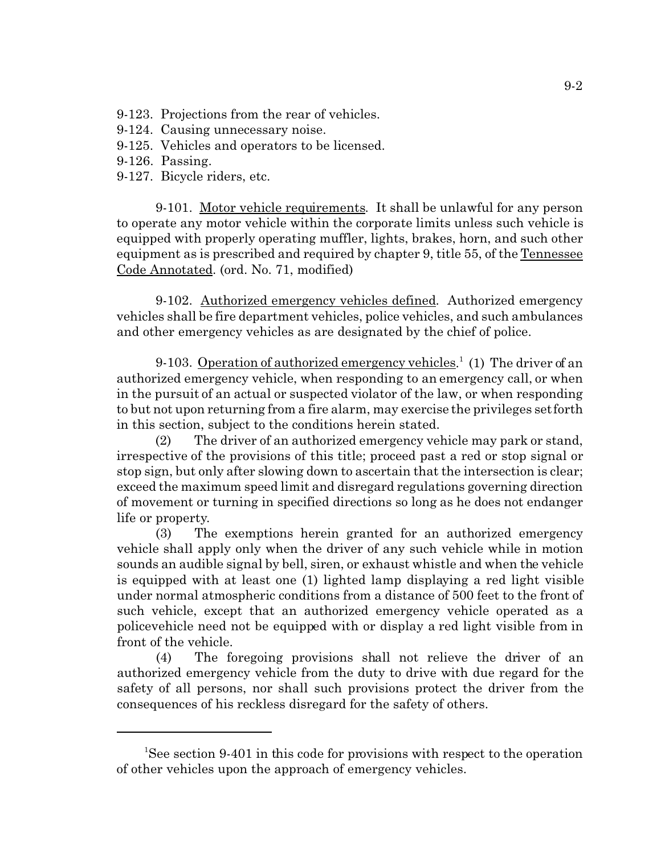- 9-123. Projections from the rear of vehicles.
- 9-124. Causing unnecessary noise.
- 9-125. Vehicles and operators to be licensed.
- 9-126. Passing.
- 9-127. Bicycle riders, etc.

9-101. Motor vehicle requirements. It shall be unlawful for any person to operate any motor vehicle within the corporate limits unless such vehicle is equipped with properly operating muffler, lights, brakes, horn, and such other equipment as is prescribed and required by chapter 9, title 55, of the Tennessee Code Annotated. (ord. No. 71, modified)

9-102. Authorized emergency vehicles defined. Authorized emergency vehicles shall be fire department vehicles, police vehicles, and such ambulances and other emergency vehicles as are designated by the chief of police.

9-103. Operation of authorized emergency vehicles.<sup>1</sup> (1) The driver of an authorized emergency vehicle, when responding to an emergency call, or when in the pursuit of an actual or suspected violator of the law, or when responding to but not upon returning from a fire alarm, may exercise the privileges set forth in this section, subject to the conditions herein stated.

(2) The driver of an authorized emergency vehicle may park or stand, irrespective of the provisions of this title; proceed past a red or stop signal or stop sign, but only after slowing down to ascertain that the intersection is clear; exceed the maximum speed limit and disregard regulations governing direction of movement or turning in specified directions so long as he does not endanger life or property.

(3) The exemptions herein granted for an authorized emergency vehicle shall apply only when the driver of any such vehicle while in motion sounds an audible signal by bell, siren, or exhaust whistle and when the vehicle is equipped with at least one (1) lighted lamp displaying a red light visible under normal atmospheric conditions from a distance of 500 feet to the front of such vehicle, except that an authorized emergency vehicle operated as a policevehicle need not be equipped with or display a red light visible from in front of the vehicle.

(4) The foregoing provisions shall not relieve the driver of an authorized emergency vehicle from the duty to drive with due regard for the safety of all persons, nor shall such provisions protect the driver from the consequences of his reckless disregard for the safety of others.

<sup>&</sup>lt;sup>1</sup>See section 9-401 in this code for provisions with respect to the operation of other vehicles upon the approach of emergency vehicles.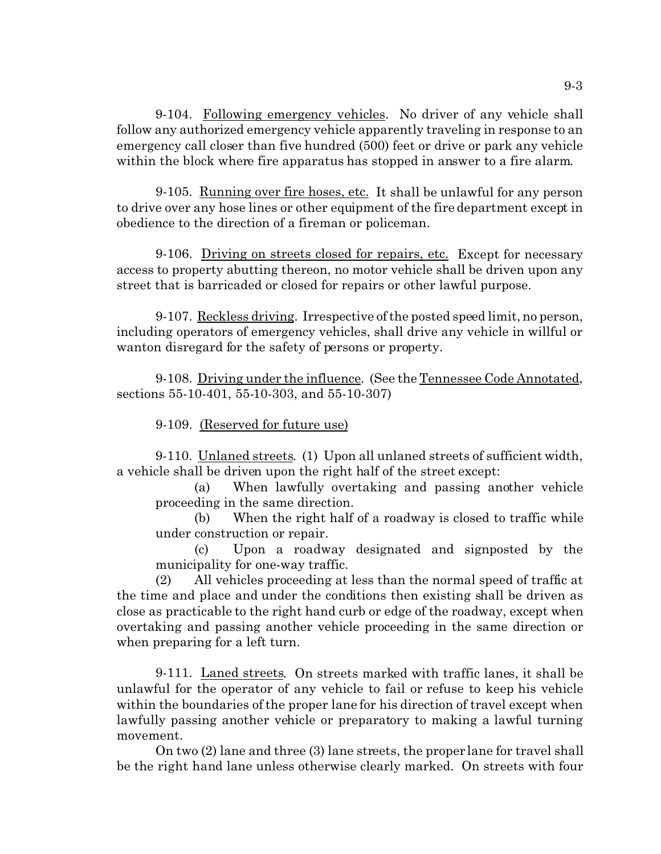9-104. Following emergency vehicles. No driver of any vehicle shall follow any authorized emergency vehicle apparently traveling in response to an emergency call closer than five hundred (500) feet or drive or park any vehicle within the block where fire apparatus has stopped in answer to a fire alarm.

9-105. Running over fire hoses, etc. It shall be unlawful for any person to drive over any hose lines or other equipment of the fire department except in obedience to the direction of a fireman or policeman.

9-106. Driving on streets closed for repairs, etc. Except for necessary access to property abutting thereon, no motor vehicle shall be driven upon any street that is barricaded or closed for repairs or other lawful purpose.

9-107. Reckless driving. Irrespective of the posted speed limit, no person, including operators of emergency vehicles, shall drive any vehicle in willful or wanton disregard for the safety of persons or property.

9-108. Driving under the influence. (See the Tennessee Code Annotated, sections 55-10-401, 55-10-303, and 55-10-307)

9-109. (Reserved for future use)

9-110. Unlaned streets. (1) Upon all unlaned streets of sufficient width, a vehicle shall be driven upon the right half of the street except:

(a) When lawfully overtaking and passing another vehicle proceeding in the same direction.

(b) When the right half of a roadway is closed to traffic while under construction or repair.

(c) Upon a roadway designated and signposted by the municipality for one-way traffic.

(2) All vehicles proceeding at less than the normal speed of traffic at the time and place and under the conditions then existing shall be driven as close as practicable to the right hand curb or edge of the roadway, except when overtaking and passing another vehicle proceeding in the same direction or when preparing for a left turn.

9-111. Laned streets. On streets marked with traffic lanes, it shall be unlawful for the operator of any vehicle to fail or refuse to keep his vehicle within the boundaries of the proper lane for his direction of travel except when lawfully passing another vehicle or preparatory to making a lawful turning movement.

On two (2) lane and three (3) lane streets, the proper lane for travel shall be the right hand lane unless otherwise clearly marked. On streets with four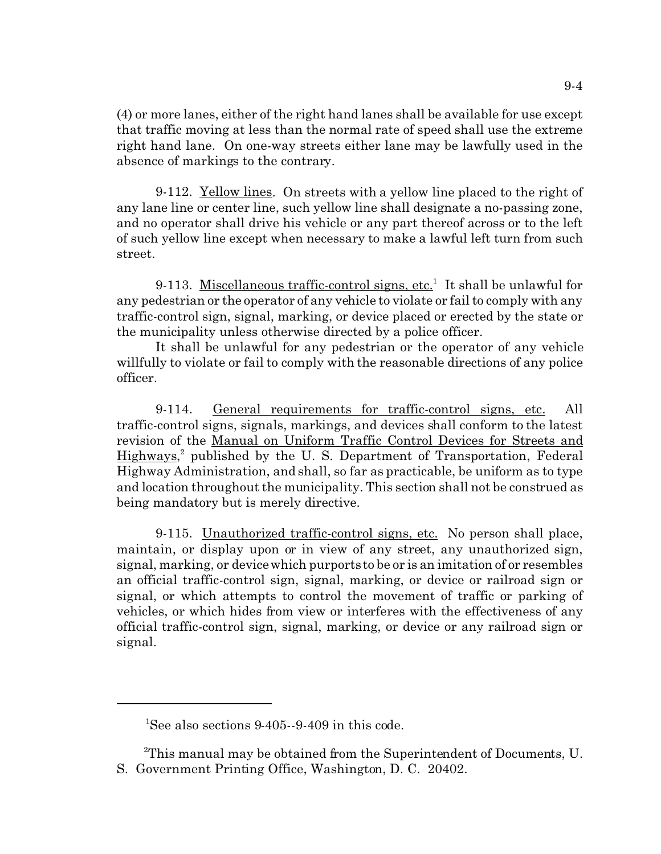(4) or more lanes, either of the right hand lanes shall be available for use except that traffic moving at less than the normal rate of speed shall use the extreme right hand lane. On one-way streets either lane may be lawfully used in the absence of markings to the contrary.

9-112. Yellow lines. On streets with a yellow line placed to the right of any lane line or center line, such yellow line shall designate a no-passing zone, and no operator shall drive his vehicle or any part thereof across or to the left of such yellow line except when necessary to make a lawful left turn from such street.

9-113. Miscellaneous traffic-control signs, etc.<sup>1</sup> It shall be unlawful for any pedestrian or the operator of any vehicle to violate or fail to comply with any traffic-control sign, signal, marking, or device placed or erected by the state or the municipality unless otherwise directed by a police officer.

It shall be unlawful for any pedestrian or the operator of any vehicle willfully to violate or fail to comply with the reasonable directions of any police officer.

9-114. General requirements for traffic-control signs, etc. All traffic-control signs, signals, markings, and devices shall conform to the latest revision of the Manual on Uniform Traffic Control Devices for Streets and Highways,<sup>2</sup> published by the U.S. Department of Transportation, Federal Highway Administration, and shall, so far as practicable, be uniform as to type and location throughout the municipality. This section shall not be construed as being mandatory but is merely directive.

9-115. Unauthorized traffic-control signs, etc. No person shall place, maintain, or display upon or in view of any street, any unauthorized sign, signal, marking, or device which purports to be or is an imitation of or resembles an official traffic-control sign, signal, marking, or device or railroad sign or signal, or which attempts to control the movement of traffic or parking of vehicles, or which hides from view or interferes with the effectiveness of any official traffic-control sign, signal, marking, or device or any railroad sign or signal.

<sup>&</sup>lt;sup>1</sup>See also sections  $9-405-9-409$  in this code.

<sup>&</sup>lt;sup>2</sup>This manual may be obtained from the Superintendent of Documents, U. S. Government Printing Office, Washington, D. C. 20402.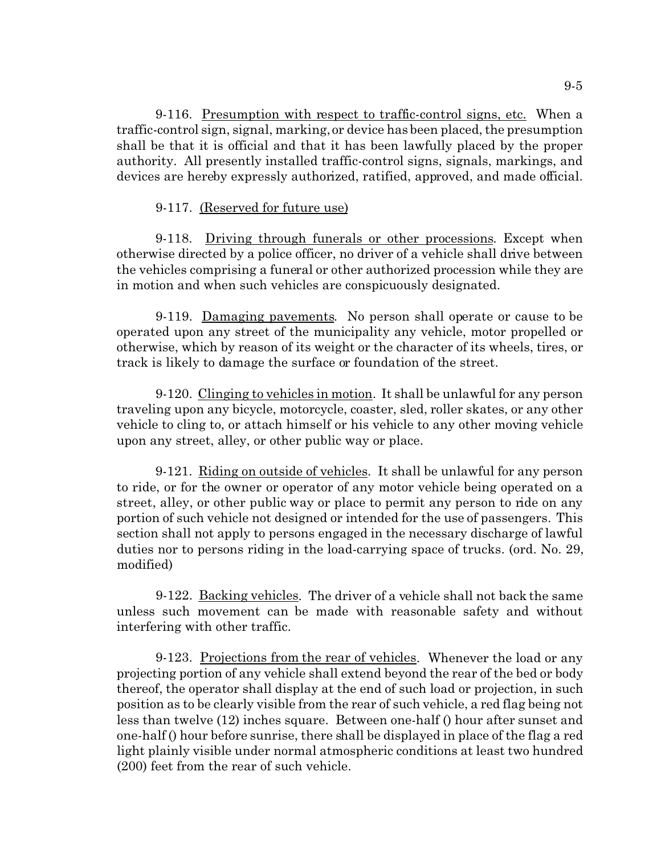9-116. Presumption with respect to traffic-control signs, etc. When a traffic-control sign, signal, marking, or device has been placed, the presumption shall be that it is official and that it has been lawfully placed by the proper authority. All presently installed traffic-control signs, signals, markings, and devices are hereby expressly authorized, ratified, approved, and made official.

# 9-117. (Reserved for future use)

9-118. Driving through funerals or other processions. Except when otherwise directed by a police officer, no driver of a vehicle shall drive between the vehicles comprising a funeral or other authorized procession while they are in motion and when such vehicles are conspicuously designated.

9-119. Damaging pavements. No person shall operate or cause to be operated upon any street of the municipality any vehicle, motor propelled or otherwise, which by reason of its weight or the character of its wheels, tires, or track is likely to damage the surface or foundation of the street.

9-120. Clinging to vehicles in motion. It shall be unlawful for any person traveling upon any bicycle, motorcycle, coaster, sled, roller skates, or any other vehicle to cling to, or attach himself or his vehicle to any other moving vehicle upon any street, alley, or other public way or place.

9-121. Riding on outside of vehicles. It shall be unlawful for any person to ride, or for the owner or operator of any motor vehicle being operated on a street, alley, or other public way or place to permit any person to ride on any portion of such vehicle not designed or intended for the use of passengers. This section shall not apply to persons engaged in the necessary discharge of lawful duties nor to persons riding in the load-carrying space of trucks. (ord. No. 29, modified)

9-122. Backing vehicles. The driver of a vehicle shall not back the same unless such movement can be made with reasonable safety and without interfering with other traffic.

9-123. Projections from the rear of vehicles. Whenever the load or any projecting portion of any vehicle shall extend beyond the rear of the bed or body thereof, the operator shall display at the end of such load or projection, in such position as to be clearly visible from the rear of such vehicle, a red flag being not less than twelve (12) inches square. Between one-half () hour after sunset and one-half () hour before sunrise, there shall be displayed in place of the flag a red light plainly visible under normal atmospheric conditions at least two hundred (200) feet from the rear of such vehicle.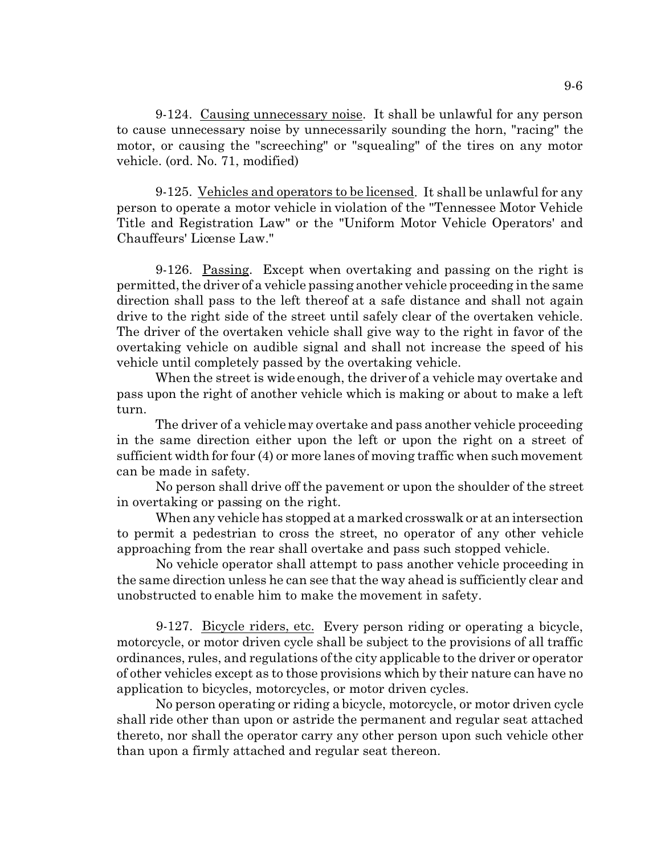9-124. Causing unnecessary noise. It shall be unlawful for any person to cause unnecessary noise by unnecessarily sounding the horn, "racing" the motor, or causing the "screeching" or "squealing" of the tires on any motor vehicle. (ord. No. 71, modified)

9-125. Vehicles and operators to be licensed. It shall be unlawful for any person to operate a motor vehicle in violation of the "Tennessee Motor Vehicle Title and Registration Law" or the "Uniform Motor Vehicle Operators' and Chauffeurs' License Law."

9-126. Passing. Except when overtaking and passing on the right is permitted, the driver of a vehicle passing another vehicle proceeding in the same direction shall pass to the left thereof at a safe distance and shall not again drive to the right side of the street until safely clear of the overtaken vehicle. The driver of the overtaken vehicle shall give way to the right in favor of the overtaking vehicle on audible signal and shall not increase the speed of his vehicle until completely passed by the overtaking vehicle.

When the street is wide enough, the driver of a vehicle may overtake and pass upon the right of another vehicle which is making or about to make a left turn.

The driver of a vehicle may overtake and pass another vehicle proceeding in the same direction either upon the left or upon the right on a street of sufficient width for four (4) or more lanes of moving traffic when such movement can be made in safety.

No person shall drive off the pavement or upon the shoulder of the street in overtaking or passing on the right.

When any vehicle has stopped at a marked crosswalk or at an intersection to permit a pedestrian to cross the street, no operator of any other vehicle approaching from the rear shall overtake and pass such stopped vehicle.

No vehicle operator shall attempt to pass another vehicle proceeding in the same direction unless he can see that the way ahead is sufficiently clear and unobstructed to enable him to make the movement in safety.

9-127. Bicycle riders, etc. Every person riding or operating a bicycle, motorcycle, or motor driven cycle shall be subject to the provisions of all traffic ordinances, rules, and regulations of the city applicable to the driver or operator of other vehicles except as to those provisions which by their nature can have no application to bicycles, motorcycles, or motor driven cycles.

No person operating or riding a bicycle, motorcycle, or motor driven cycle shall ride other than upon or astride the permanent and regular seat attached thereto, nor shall the operator carry any other person upon such vehicle other than upon a firmly attached and regular seat thereon.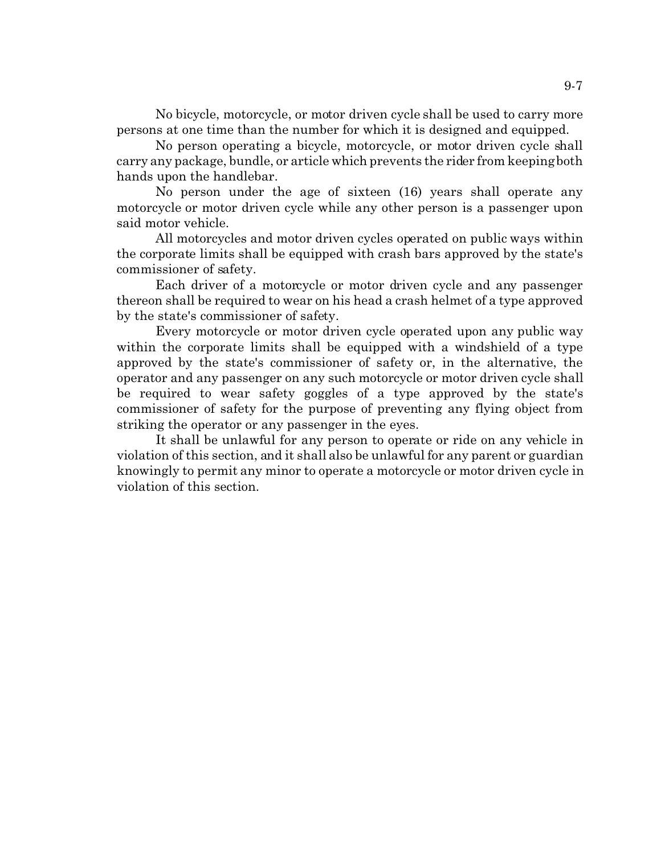No bicycle, motorcycle, or motor driven cycle shall be used to carry more persons at one time than the number for which it is designed and equipped.

No person operating a bicycle, motorcycle, or motor driven cycle shall carry any package, bundle, or article which prevents the rider from keeping both hands upon the handlebar.

No person under the age of sixteen (16) years shall operate any motorcycle or motor driven cycle while any other person is a passenger upon said motor vehicle.

All motorcycles and motor driven cycles operated on public ways within the corporate limits shall be equipped with crash bars approved by the state's commissioner of safety.

Each driver of a motorcycle or motor driven cycle and any passenger thereon shall be required to wear on his head a crash helmet of a type approved by the state's commissioner of safety.

Every motorcycle or motor driven cycle operated upon any public way within the corporate limits shall be equipped with a windshield of a type approved by the state's commissioner of safety or, in the alternative, the operator and any passenger on any such motorcycle or motor driven cycle shall be required to wear safety goggles of a type approved by the state's commissioner of safety for the purpose of preventing any flying object from striking the operator or any passenger in the eyes.

It shall be unlawful for any person to operate or ride on any vehicle in violation of this section, and it shall also be unlawful for any parent or guardian knowingly to permit any minor to operate a motorcycle or motor driven cycle in violation of this section.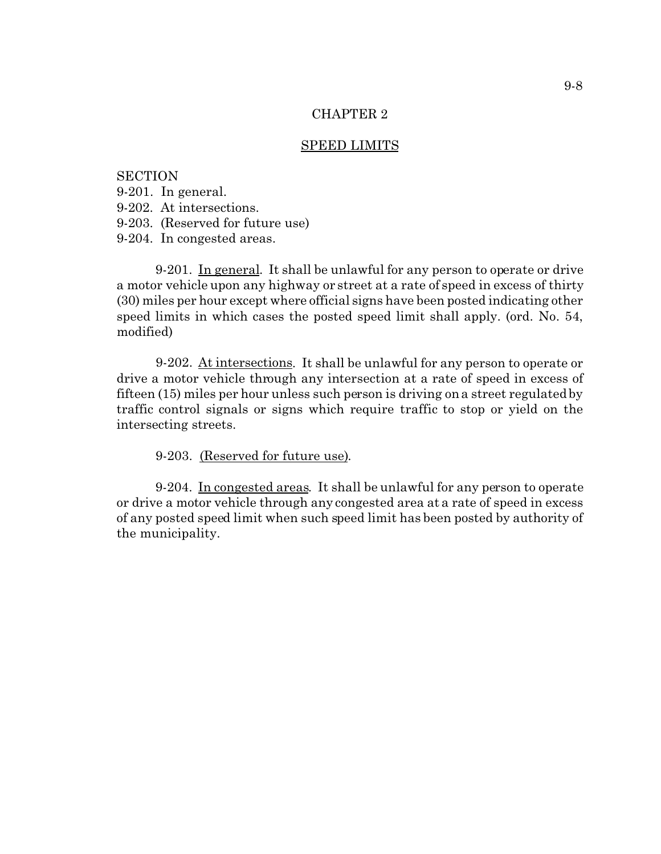## SPEED LIMITS

**SECTION** 9-201. In general. 9-202. At intersections. 9-203. (Reserved for future use) 9-204. In congested areas.

9-201. In general. It shall be unlawful for any person to operate or drive a motor vehicle upon any highway or street at a rate of speed in excess of thirty (30) miles per hour except where official signs have been posted indicating other speed limits in which cases the posted speed limit shall apply. (ord. No. 54, modified)

9-202. At intersections. It shall be unlawful for any person to operate or drive a motor vehicle through any intersection at a rate of speed in excess of fifteen (15) miles per hour unless such person is driving on a street regulated by traffic control signals or signs which require traffic to stop or yield on the intersecting streets.

9-203. (Reserved for future use).

9-204. In congested areas. It shall be unlawful for any person to operate or drive a motor vehicle through any congested area at a rate of speed in excess of any posted speed limit when such speed limit has been posted by authority of the municipality.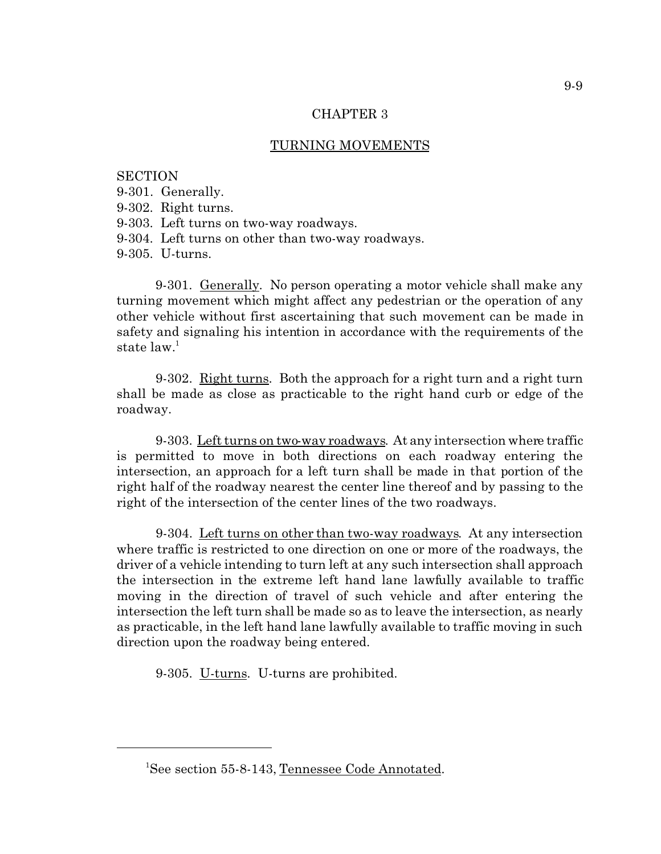## TURNING MOVEMENTS

**SECTION** 9-301. Generally. 9-302. Right turns. 9-303. Left turns on two-way roadways. 9-304. Left turns on other than two-way roadways. 9-305. U-turns.

9-301. Generally. No person operating a motor vehicle shall make any turning movement which might affect any pedestrian or the operation of any other vehicle without first ascertaining that such movement can be made in safety and signaling his intention in accordance with the requirements of the state  $law<sup>1</sup>$ 

9-302. Right turns. Both the approach for a right turn and a right turn shall be made as close as practicable to the right hand curb or edge of the roadway.

9-303. Left turns on two-way roadways. At any intersection where traffic is permitted to move in both directions on each roadway entering the intersection, an approach for a left turn shall be made in that portion of the right half of the roadway nearest the center line thereof and by passing to the right of the intersection of the center lines of the two roadways.

9-304. Left turns on other than two-way roadways. At any intersection where traffic is restricted to one direction on one or more of the roadways, the driver of a vehicle intending to turn left at any such intersection shall approach the intersection in the extreme left hand lane lawfully available to traffic moving in the direction of travel of such vehicle and after entering the intersection the left turn shall be made so as to leave the intersection, as nearly as practicable, in the left hand lane lawfully available to traffic moving in such direction upon the roadway being entered.

9-305. U-turns. U-turns are prohibited.

<sup>&</sup>lt;sup>1</sup>See section 55-8-143, Tennessee Code Annotated.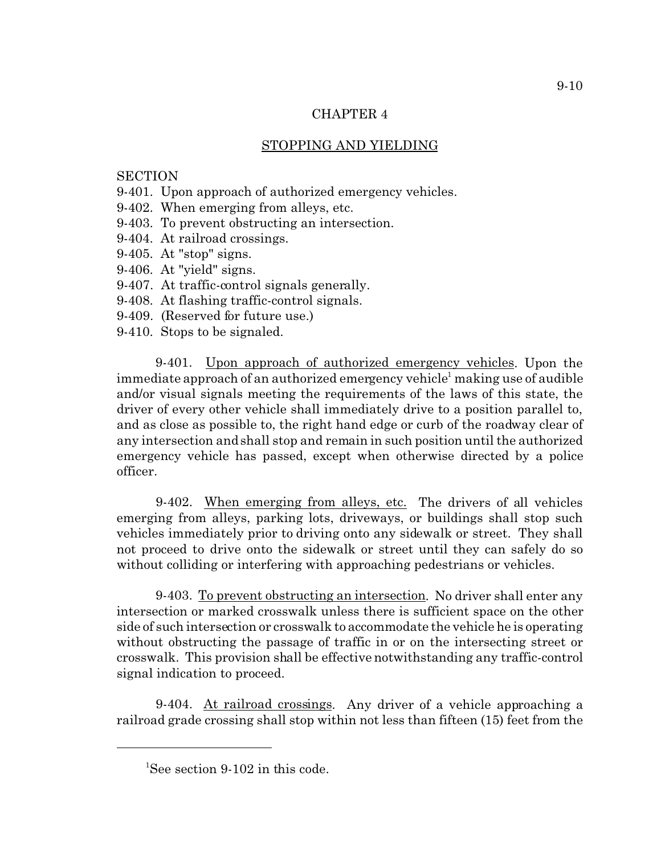# STOPPING AND YIELDING

## **SECTION**

- 9-401. Upon approach of authorized emergency vehicles.
- 9-402. When emerging from alleys, etc.
- 9-403. To prevent obstructing an intersection.
- 9-404. At railroad crossings.
- 9-405. At "stop" signs.
- 9-406. At "yield" signs.
- 9-407. At traffic-control signals generally.
- 9-408. At flashing traffic-control signals.
- 9-409. (Reserved for future use.)
- 9-410. Stops to be signaled.

9-401. Upon approach of authorized emergency vehicles. Upon the immediate approach of an authorized emergency vehicle<sup>1</sup> making use of audible and/or visual signals meeting the requirements of the laws of this state, the driver of every other vehicle shall immediately drive to a position parallel to, and as close as possible to, the right hand edge or curb of the roadway clear of any intersection and shall stop and remain in such position until the authorized emergency vehicle has passed, except when otherwise directed by a police officer.

9-402. When emerging from alleys, etc. The drivers of all vehicles emerging from alleys, parking lots, driveways, or buildings shall stop such vehicles immediately prior to driving onto any sidewalk or street. They shall not proceed to drive onto the sidewalk or street until they can safely do so without colliding or interfering with approaching pedestrians or vehicles.

9-403. To prevent obstructing an intersection. No driver shall enter any intersection or marked crosswalk unless there is sufficient space on the other side of such intersection or crosswalk to accommodate the vehicle he is operating without obstructing the passage of traffic in or on the intersecting street or crosswalk. This provision shall be effective notwithstanding any traffic-control signal indication to proceed.

9-404. At railroad crossings. Any driver of a vehicle approaching a railroad grade crossing shall stop within not less than fifteen (15) feet from the

<sup>&</sup>lt;sup>1</sup>See section 9-102 in this code.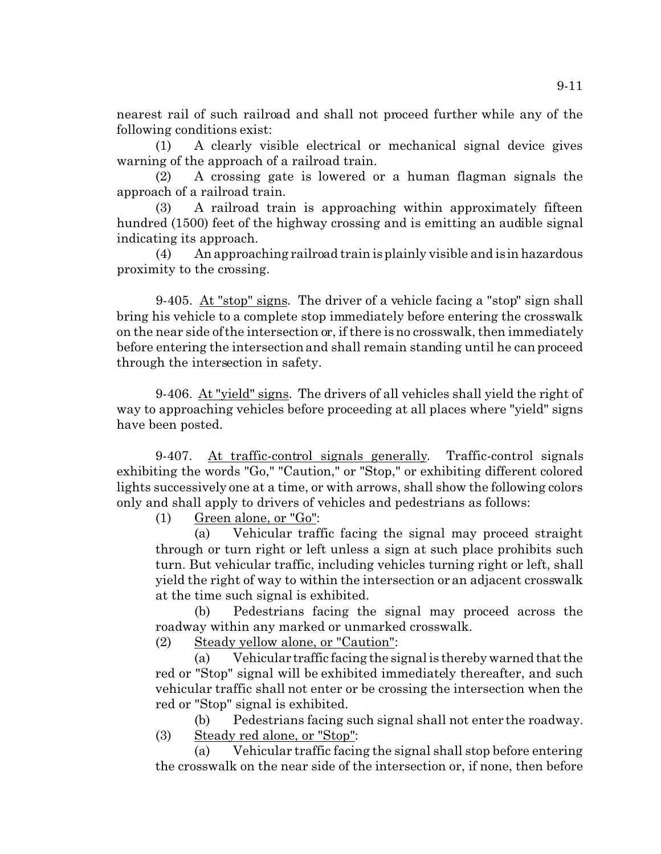nearest rail of such railroad and shall not proceed further while any of the following conditions exist:

(1) A clearly visible electrical or mechanical signal device gives warning of the approach of a railroad train.

(2) A crossing gate is lowered or a human flagman signals the approach of a railroad train.

(3) A railroad train is approaching within approximately fifteen hundred (1500) feet of the highway crossing and is emitting an audible signal indicating its approach.

(4) An approaching railroad train is plainly visible and is in hazardous proximity to the crossing.

9-405. At "stop" signs. The driver of a vehicle facing a "stop" sign shall bring his vehicle to a complete stop immediately before entering the crosswalk on the near side of the intersection or, if there is no crosswalk, then immediately before entering the intersection and shall remain standing until he can proceed through the intersection in safety.

9-406. At "yield" signs. The drivers of all vehicles shall yield the right of way to approaching vehicles before proceeding at all places where "yield" signs have been posted.

9-407. At traffic-control signals generally. Traffic-control signals exhibiting the words "Go," "Caution," or "Stop," or exhibiting different colored lights successively one at a time, or with arrows, shall show the following colors only and shall apply to drivers of vehicles and pedestrians as follows:

(1) Green alone, or "Go":

(a) Vehicular traffic facing the signal may proceed straight through or turn right or left unless a sign at such place prohibits such turn. But vehicular traffic, including vehicles turning right or left, shall yield the right of way to within the intersection or an adjacent crosswalk at the time such signal is exhibited.

(b) Pedestrians facing the signal may proceed across the roadway within any marked or unmarked crosswalk.

(2) Steady yellow alone, or "Caution":

(a) Vehicular traffic facing the signal is thereby warned that the red or "Stop" signal will be exhibited immediately thereafter, and such vehicular traffic shall not enter or be crossing the intersection when the red or "Stop" signal is exhibited.

(b) Pedestrians facing such signal shall not enter the roadway. (3) Steady red alone, or "Stop":

(a) Vehicular traffic facing the signal shall stop before entering the crosswalk on the near side of the intersection or, if none, then before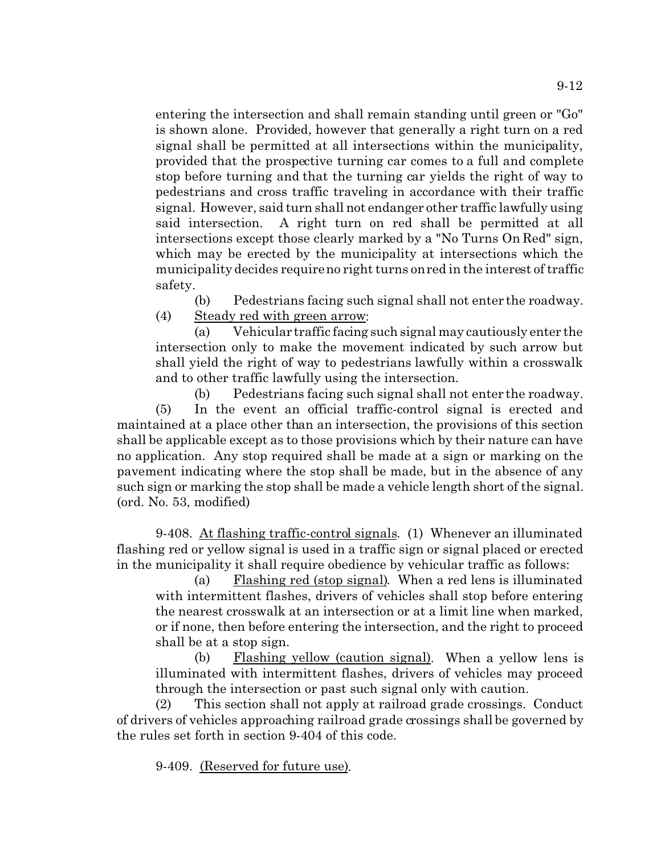entering the intersection and shall remain standing until green or "Go" is shown alone. Provided, however that generally a right turn on a red signal shall be permitted at all intersections within the municipality, provided that the prospective turning car comes to a full and complete stop before turning and that the turning car yields the right of way to pedestrians and cross traffic traveling in accordance with their traffic signal. However, said turn shall not endanger other traffic lawfully using said intersection. A right turn on red shall be permitted at all intersections except those clearly marked by a "No Turns On Red" sign, which may be erected by the municipality at intersections which the municipality decides require no right turns on red in the interest of traffic safety.

(b) Pedestrians facing such signal shall not enter the roadway. (4) Steady red with green arrow:

(a) Vehicular traffic facing such signal may cautiously enter the intersection only to make the movement indicated by such arrow but shall yield the right of way to pedestrians lawfully within a crosswalk and to other traffic lawfully using the intersection.

(b) Pedestrians facing such signal shall not enter the roadway. (5) In the event an official traffic-control signal is erected and maintained at a place other than an intersection, the provisions of this section shall be applicable except as to those provisions which by their nature can have no application. Any stop required shall be made at a sign or marking on the pavement indicating where the stop shall be made, but in the absence of any such sign or marking the stop shall be made a vehicle length short of the signal. (ord. No. 53, modified)

9-408. At flashing traffic-control signals. (1) Whenever an illuminated flashing red or yellow signal is used in a traffic sign or signal placed or erected in the municipality it shall require obedience by vehicular traffic as follows:

(a) Flashing red (stop signal). When a red lens is illuminated with intermittent flashes, drivers of vehicles shall stop before entering the nearest crosswalk at an intersection or at a limit line when marked, or if none, then before entering the intersection, and the right to proceed shall be at a stop sign.

(b) Flashing yellow (caution signal). When a yellow lens is illuminated with intermittent flashes, drivers of vehicles may proceed through the intersection or past such signal only with caution.

(2) This section shall not apply at railroad grade crossings. Conduct of drivers of vehicles approaching railroad grade crossings shall be governed by the rules set forth in section 9-404 of this code.

9-409. (Reserved for future use).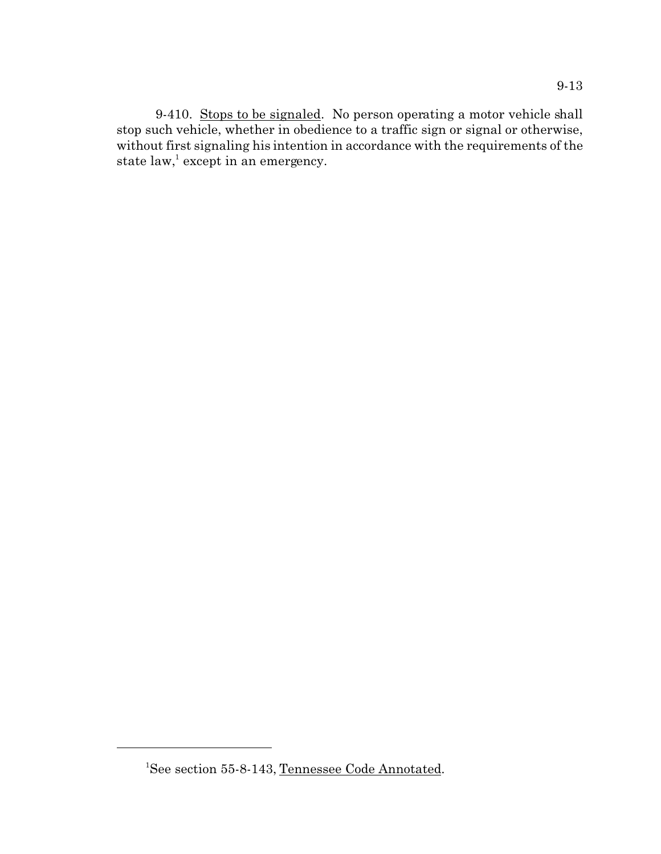9-410. Stops to be signaled. No person operating a motor vehicle shall stop such vehicle, whether in obedience to a traffic sign or signal or otherwise, without first signaling his intention in accordance with the requirements of the state  $\text{law},^1$  except in an emergency.

<sup>&</sup>lt;sup>1</sup>See section 55-8-143, Tennessee Code Annotated.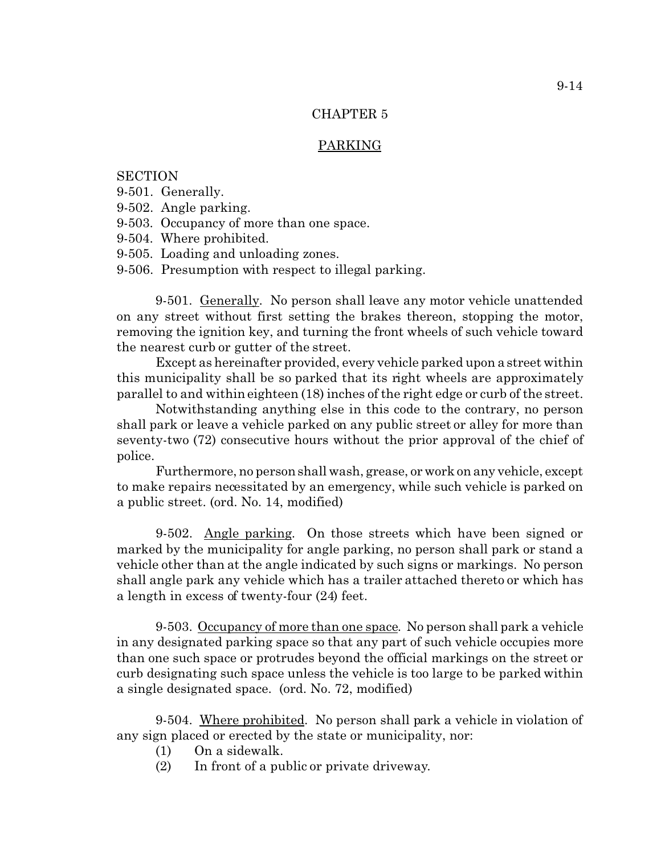## PARKING

# **SECTION**

- 9-501. Generally.
- 9-502. Angle parking.
- 9-503. Occupancy of more than one space.
- 9-504. Where prohibited.
- 9-505. Loading and unloading zones.
- 9-506. Presumption with respect to illegal parking.

9-501. Generally. No person shall leave any motor vehicle unattended on any street without first setting the brakes thereon, stopping the motor, removing the ignition key, and turning the front wheels of such vehicle toward the nearest curb or gutter of the street.

Except as hereinafter provided, every vehicle parked upon a street within this municipality shall be so parked that its right wheels are approximately parallel to and within eighteen (18) inches of the right edge or curb of the street.

Notwithstanding anything else in this code to the contrary, no person shall park or leave a vehicle parked on any public street or alley for more than seventy-two (72) consecutive hours without the prior approval of the chief of police.

Furthermore, no person shall wash, grease, or work on any vehicle, except to make repairs necessitated by an emergency, while such vehicle is parked on a public street. (ord. No. 14, modified)

9-502. Angle parking. On those streets which have been signed or marked by the municipality for angle parking, no person shall park or stand a vehicle other than at the angle indicated by such signs or markings. No person shall angle park any vehicle which has a trailer attached thereto or which has a length in excess of twenty-four (24) feet.

9-503. Occupancy of more than one space. No person shall park a vehicle in any designated parking space so that any part of such vehicle occupies more than one such space or protrudes beyond the official markings on the street or curb designating such space unless the vehicle is too large to be parked within a single designated space. (ord. No. 72, modified)

9-504. Where prohibited. No person shall park a vehicle in violation of any sign placed or erected by the state or municipality, nor:

- (1) On a sidewalk.
- (2) In front of a public or private driveway.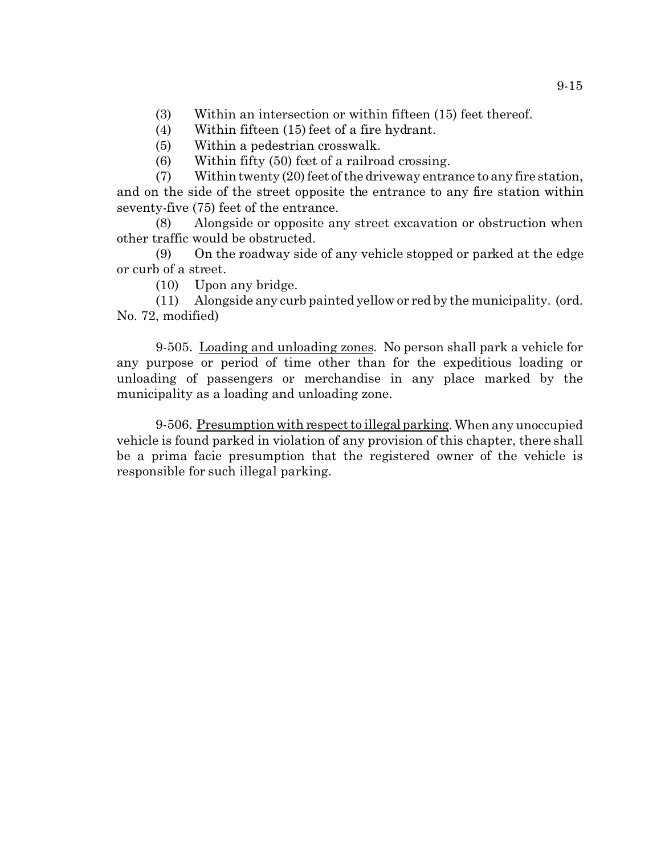- (3) Within an intersection or within fifteen (15) feet thereof.
- (4) Within fifteen (15) feet of a fire hydrant.
- (5) Within a pedestrian crosswalk.
- (6) Within fifty (50) feet of a railroad crossing.

(7) Within twenty (20) feet of the driveway entrance to any fire station, and on the side of the street opposite the entrance to any fire station within seventy-five (75) feet of the entrance.

(8) Alongside or opposite any street excavation or obstruction when other traffic would be obstructed.

(9) On the roadway side of any vehicle stopped or parked at the edge or curb of a street.

(10) Upon any bridge.

(11) Alongside any curb painted yellow or red by the municipality. (ord. No. 72, modified)

9-505. Loading and unloading zones. No person shall park a vehicle for any purpose or period of time other than for the expeditious loading or unloading of passengers or merchandise in any place marked by the municipality as a loading and unloading zone.

9-506. Presumption with respect to illegal parking. When any unoccupied vehicle is found parked in violation of any provision of this chapter, there shall be a prima facie presumption that the registered owner of the vehicle is responsible for such illegal parking.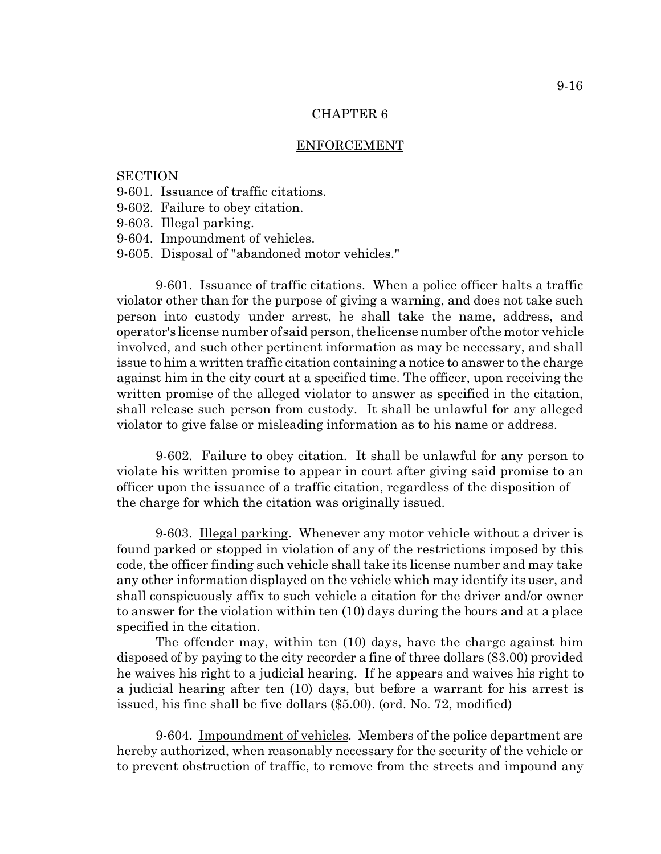### ENFORCEMENT

### **SECTION**

- 9-601. Issuance of traffic citations.
- 9-602. Failure to obey citation.

9-603. Illegal parking.

9-604. Impoundment of vehicles.

9-605. Disposal of "abandoned motor vehicles."

9-601. Issuance of traffic citations. When a police officer halts a traffic violator other than for the purpose of giving a warning, and does not take such person into custody under arrest, he shall take the name, address, and operator's license number of said person, the license number of the motor vehicle involved, and such other pertinent information as may be necessary, and shall issue to him a written traffic citation containing a notice to answer to the charge against him in the city court at a specified time. The officer, upon receiving the written promise of the alleged violator to answer as specified in the citation, shall release such person from custody. It shall be unlawful for any alleged violator to give false or misleading information as to his name or address.

9-602. Failure to obey citation. It shall be unlawful for any person to violate his written promise to appear in court after giving said promise to an officer upon the issuance of a traffic citation, regardless of the disposition of the charge for which the citation was originally issued.

9-603. Illegal parking. Whenever any motor vehicle without a driver is found parked or stopped in violation of any of the restrictions imposed by this code, the officer finding such vehicle shall take its license number and may take any other information displayed on the vehicle which may identify its user, and shall conspicuously affix to such vehicle a citation for the driver and/or owner to answer for the violation within ten (10) days during the hours and at a place specified in the citation.

The offender may, within ten (10) days, have the charge against him disposed of by paying to the city recorder a fine of three dollars (\$3.00) provided he waives his right to a judicial hearing. If he appears and waives his right to a judicial hearing after ten (10) days, but before a warrant for his arrest is issued, his fine shall be five dollars (\$5.00). (ord. No. 72, modified)

9-604. Impoundment of vehicles. Members of the police department are hereby authorized, when reasonably necessary for the security of the vehicle or to prevent obstruction of traffic, to remove from the streets and impound any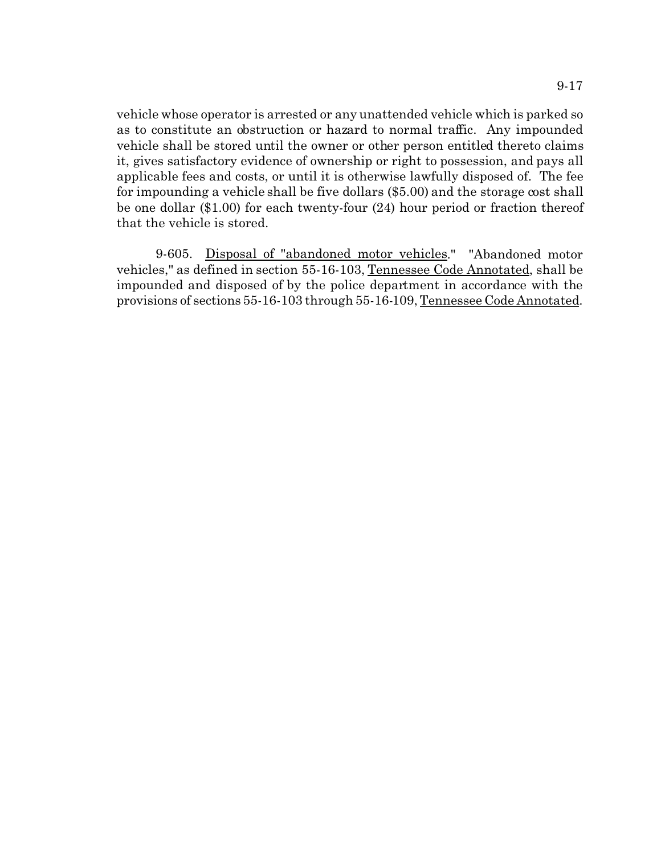vehicle whose operator is arrested or any unattended vehicle which is parked so as to constitute an obstruction or hazard to normal traffic. Any impounded vehicle shall be stored until the owner or other person entitled thereto claims it, gives satisfactory evidence of ownership or right to possession, and pays all applicable fees and costs, or until it is otherwise lawfully disposed of. The fee for impounding a vehicle shall be five dollars (\$5.00) and the storage cost shall be one dollar (\$1.00) for each twenty-four (24) hour period or fraction thereof that the vehicle is stored.

9-605. Disposal of "abandoned motor vehicles." "Abandoned motor vehicles," as defined in section 55-16-103, Tennessee Code Annotated, shall be impounded and disposed of by the police department in accordance with the provisions of sections 55-16-103 through 55-16-109, Tennessee Code Annotated.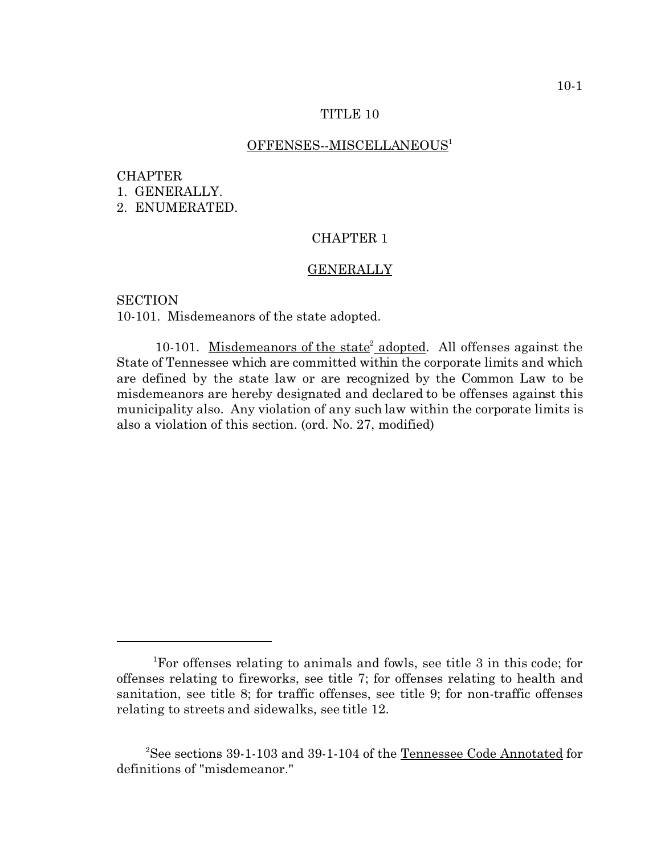### TITLE 10

## OFFENSES--MISCELLANEOUS<sup>1</sup>

### **CHAPTER**

1. GENERALLY.

2. ENUMERATED.

# CHAPTER 1

### GENERALLY

**SECTION** 10-101. Misdemeanors of the state adopted.

10-101. Misdemeanors of the state<sup>2</sup> adopted. All offenses against the State of Tennessee which are committed within the corporate limits and which are defined by the state law or are recognized by the Common Law to be misdemeanors are hereby designated and declared to be offenses against this municipality also. Any violation of any such law within the corporate limits is also a violation of this section. (ord. No. 27, modified)

<sup>1</sup>For offenses relating to animals and fowls, see title 3 in this code; for offenses relating to fireworks, see title 7; for offenses relating to health and sanitation, see title 8; for traffic offenses, see title 9; for non-traffic offenses relating to streets and sidewalks, see title 12.

<sup>&</sup>lt;sup>2</sup>See sections 39-1-103 and 39-1-104 of the Tennessee Code Annotated for definitions of "misdemeanor."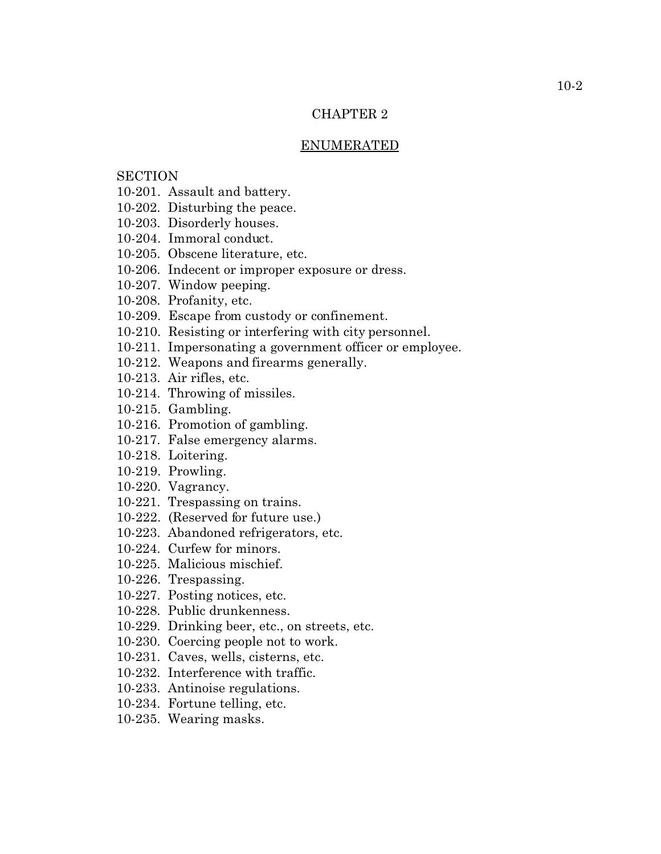### ENUMERATED

# **SECTION**

- 10-201. Assault and battery.
- 10-202. Disturbing the peace.
- 10-203. Disorderly houses.
- 10-204. Immoral conduct.
- 10-205. Obscene literature, etc.
- 10-206. Indecent or improper exposure or dress.
- 10-207. Window peeping.
- 10-208. Profanity, etc.
- 10-209. Escape from custody or confinement.
- 10-210. Resisting or interfering with city personnel.
- 10-211. Impersonating a government officer or employee.
- 10-212. Weapons and firearms generally.
- 10-213. Air rifles, etc.
- 10-214. Throwing of missiles.
- 10-215. Gambling.
- 10-216. Promotion of gambling.
- 10-217. False emergency alarms.
- 10-218. Loitering.
- 10-219. Prowling.
- 10-220. Vagrancy.
- 10-221. Trespassing on trains.
- 10-222. (Reserved for future use.)
- 10-223. Abandoned refrigerators, etc.
- 10-224. Curfew for minors.
- 10-225. Malicious mischief.
- 10-226. Trespassing.
- 10-227. Posting notices, etc.
- 10-228. Public drunkenness.
- 10-229. Drinking beer, etc., on streets, etc.
- 10-230. Coercing people not to work.
- 10-231. Caves, wells, cisterns, etc.
- 10-232. Interference with traffic.
- 10-233. Antinoise regulations.
- 10-234. Fortune telling, etc.
- 10-235. Wearing masks.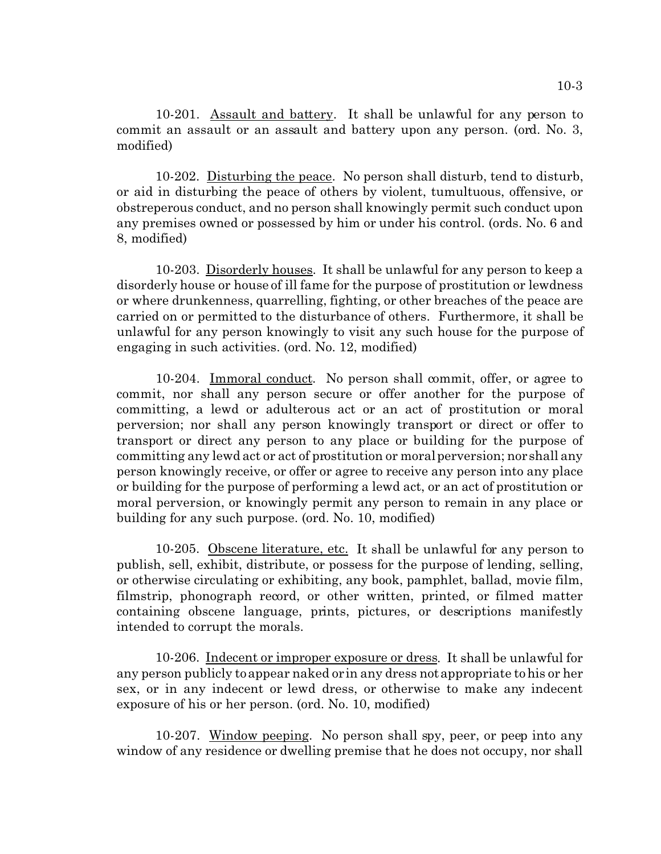10-201. Assault and battery. It shall be unlawful for any person to commit an assault or an assault and battery upon any person. (ord. No. 3, modified)

10-202. Disturbing the peace. No person shall disturb, tend to disturb, or aid in disturbing the peace of others by violent, tumultuous, offensive, or obstreperous conduct, and no person shall knowingly permit such conduct upon any premises owned or possessed by him or under his control. (ords. No. 6 and 8, modified)

10-203. Disorderly houses. It shall be unlawful for any person to keep a disorderly house or house of ill fame for the purpose of prostitution or lewdness or where drunkenness, quarrelling, fighting, or other breaches of the peace are carried on or permitted to the disturbance of others. Furthermore, it shall be unlawful for any person knowingly to visit any such house for the purpose of engaging in such activities. (ord. No. 12, modified)

10-204. Immoral conduct. No person shall commit, offer, or agree to commit, nor shall any person secure or offer another for the purpose of committing, a lewd or adulterous act or an act of prostitution or moral perversion; nor shall any person knowingly transport or direct or offer to transport or direct any person to any place or building for the purpose of committing any lewd act or act of prostitution or moral perversion; nor shall any person knowingly receive, or offer or agree to receive any person into any place or building for the purpose of performing a lewd act, or an act of prostitution or moral perversion, or knowingly permit any person to remain in any place or building for any such purpose. (ord. No. 10, modified)

10-205. Obscene literature, etc. It shall be unlawful for any person to publish, sell, exhibit, distribute, or possess for the purpose of lending, selling, or otherwise circulating or exhibiting, any book, pamphlet, ballad, movie film, filmstrip, phonograph record, or other written, printed, or filmed matter containing obscene language, prints, pictures, or descriptions manifestly intended to corrupt the morals.

10-206. Indecent or improper exposure or dress. It shall be unlawful for any person publicly to appear naked or in any dress not appropriate to his or her sex, or in any indecent or lewd dress, or otherwise to make any indecent exposure of his or her person. (ord. No. 10, modified)

10-207. Window peeping. No person shall spy, peer, or peep into any window of any residence or dwelling premise that he does not occupy, nor shall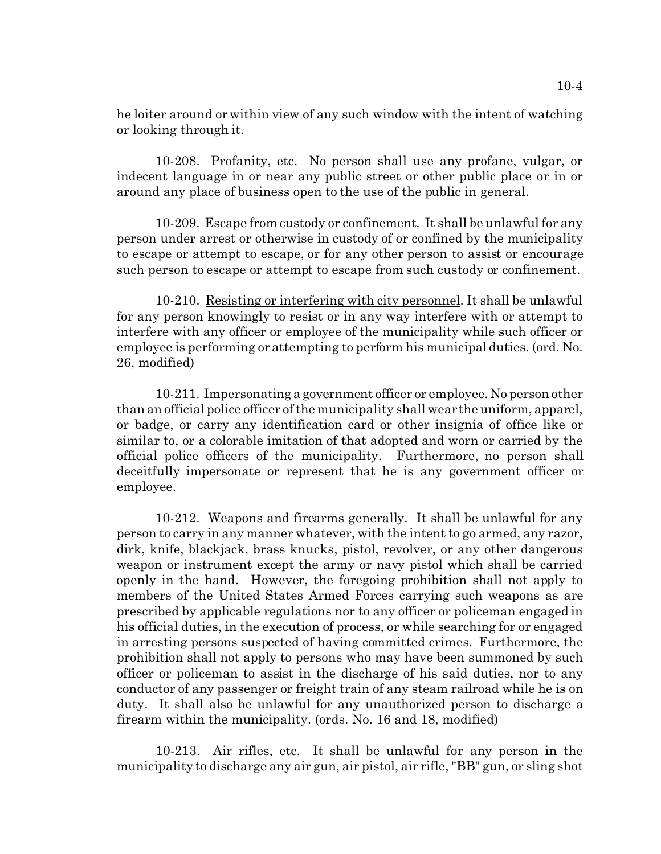he loiter around or within view of any such window with the intent of watching or looking through it.

10-208. Profanity, etc. No person shall use any profane, vulgar, or indecent language in or near any public street or other public place or in or around any place of business open to the use of the public in general.

10-209. Escape from custody or confinement. It shall be unlawful for any person under arrest or otherwise in custody of or confined by the municipality to escape or attempt to escape, or for any other person to assist or encourage such person to escape or attempt to escape from such custody or confinement.

10-210. Resisting or interfering with city personnel. It shall be unlawful for any person knowingly to resist or in any way interfere with or attempt to interfere with any officer or employee of the municipality while such officer or employee is performing or attempting to perform his municipal duties. (ord. No. 26, modified)

10-211. Impersonating a government officer or employee. No person other than an official police officer of the municipality shall wear the uniform, apparel, or badge, or carry any identification card or other insignia of office like or similar to, or a colorable imitation of that adopted and worn or carried by the official police officers of the municipality. Furthermore, no person shall deceitfully impersonate or represent that he is any government officer or employee.

10-212. Weapons and firearms generally. It shall be unlawful for any person to carry in any manner whatever, with the intent to go armed, any razor, dirk, knife, blackjack, brass knucks, pistol, revolver, or any other dangerous weapon or instrument except the army or navy pistol which shall be carried openly in the hand. However, the foregoing prohibition shall not apply to members of the United States Armed Forces carrying such weapons as are prescribed by applicable regulations nor to any officer or policeman engaged in his official duties, in the execution of process, or while searching for or engaged in arresting persons suspected of having committed crimes. Furthermore, the prohibition shall not apply to persons who may have been summoned by such officer or policeman to assist in the discharge of his said duties, nor to any conductor of any passenger or freight train of any steam railroad while he is on duty. It shall also be unlawful for any unauthorized person to discharge a firearm within the municipality. (ords. No. 16 and 18, modified)

10-213. Air rifles, etc. It shall be unlawful for any person in the municipality to discharge any air gun, air pistol, air rifle, "BB" gun, or sling shot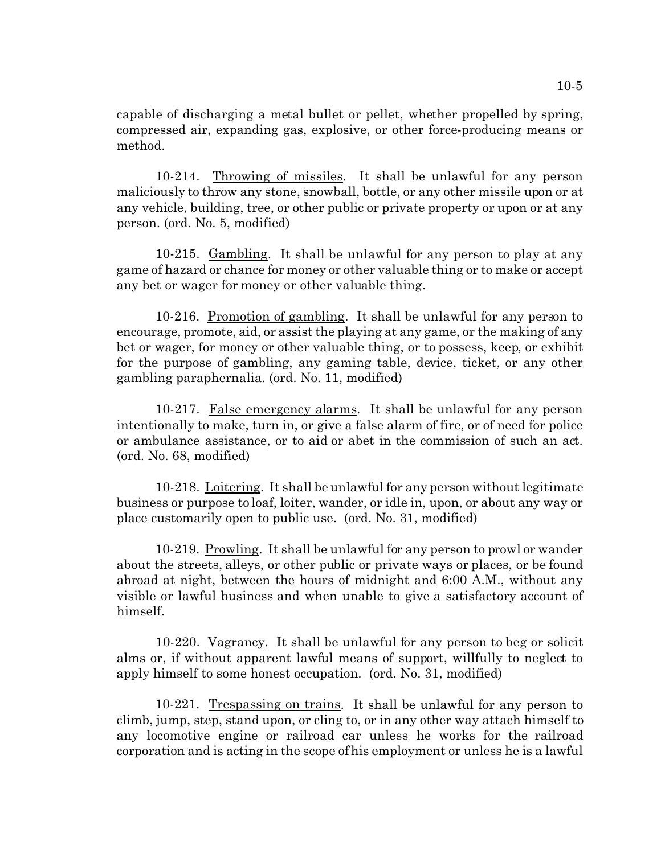capable of discharging a metal bullet or pellet, whether propelled by spring, compressed air, expanding gas, explosive, or other force-producing means or method.

10-214. Throwing of missiles. It shall be unlawful for any person maliciously to throw any stone, snowball, bottle, or any other missile upon or at any vehicle, building, tree, or other public or private property or upon or at any person. (ord. No. 5, modified)

10-215. Gambling. It shall be unlawful for any person to play at any game of hazard or chance for money or other valuable thing or to make or accept any bet or wager for money or other valuable thing.

10-216. Promotion of gambling. It shall be unlawful for any person to encourage, promote, aid, or assist the playing at any game, or the making of any bet or wager, for money or other valuable thing, or to possess, keep, or exhibit for the purpose of gambling, any gaming table, device, ticket, or any other gambling paraphernalia. (ord. No. 11, modified)

10-217. False emergency alarms. It shall be unlawful for any person intentionally to make, turn in, or give a false alarm of fire, or of need for police or ambulance assistance, or to aid or abet in the commission of such an act. (ord. No. 68, modified)

10-218. Loitering. It shall be unlawful for any person without legitimate business or purpose to loaf, loiter, wander, or idle in, upon, or about any way or place customarily open to public use. (ord. No. 31, modified)

10-219. Prowling. It shall be unlawful for any person to prowl or wander about the streets, alleys, or other public or private ways or places, or be found abroad at night, between the hours of midnight and 6:00 A.M., without any visible or lawful business and when unable to give a satisfactory account of himself.

10-220. Vagrancy. It shall be unlawful for any person to beg or solicit alms or, if without apparent lawful means of support, willfully to neglect to apply himself to some honest occupation. (ord. No. 31, modified)

10-221. Trespassing on trains. It shall be unlawful for any person to climb, jump, step, stand upon, or cling to, or in any other way attach himself to any locomotive engine or railroad car unless he works for the railroad corporation and is acting in the scope of his employment or unless he is a lawful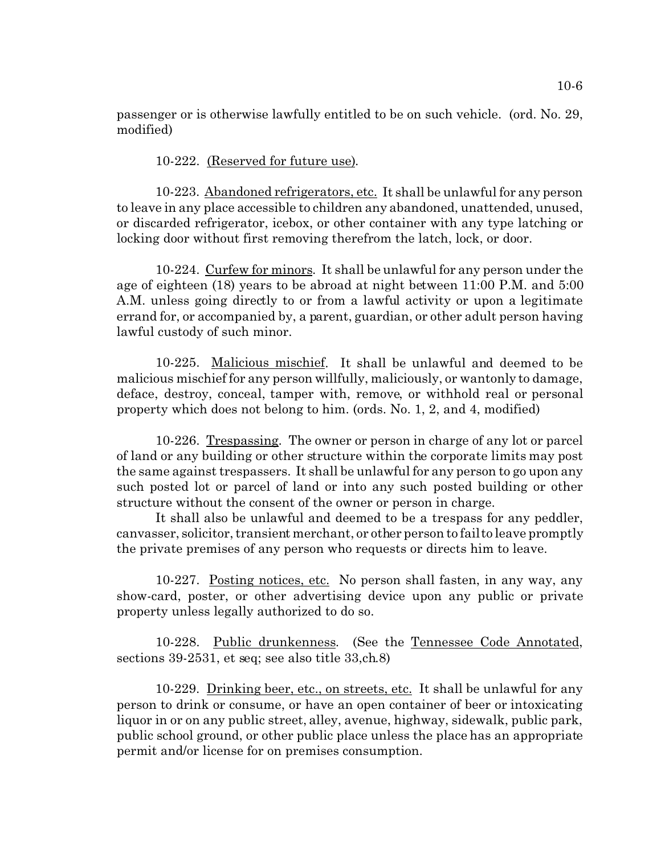passenger or is otherwise lawfully entitled to be on such vehicle. (ord. No. 29, modified)

10-222. (Reserved for future use).

10-223. Abandoned refrigerators, etc. It shall be unlawful for any person to leave in any place accessible to children any abandoned, unattended, unused, or discarded refrigerator, icebox, or other container with any type latching or locking door without first removing therefrom the latch, lock, or door.

10-224. Curfew for minors. It shall be unlawful for any person under the age of eighteen (18) years to be abroad at night between 11:00 P.M. and 5:00 A.M. unless going directly to or from a lawful activity or upon a legitimate errand for, or accompanied by, a parent, guardian, or other adult person having lawful custody of such minor.

10-225. Malicious mischief. It shall be unlawful and deemed to be malicious mischief for any person willfully, maliciously, or wantonly to damage, deface, destroy, conceal, tamper with, remove, or withhold real or personal property which does not belong to him. (ords. No. 1, 2, and 4, modified)

10-226. Trespassing. The owner or person in charge of any lot or parcel of land or any building or other structure within the corporate limits may post the same against trespassers. It shall be unlawful for any person to go upon any such posted lot or parcel of land or into any such posted building or other structure without the consent of the owner or person in charge.

It shall also be unlawful and deemed to be a trespass for any peddler, canvasser, solicitor, transient merchant, or other person to fail to leave promptly the private premises of any person who requests or directs him to leave.

10-227. Posting notices, etc. No person shall fasten, in any way, any show-card, poster, or other advertising device upon any public or private property unless legally authorized to do so.

10-228. Public drunkenness. (See the Tennessee Code Annotated, sections 39-2531, et seq; see also title 33,ch.8)

10-229. Drinking beer, etc., on streets, etc. It shall be unlawful for any person to drink or consume, or have an open container of beer or intoxicating liquor in or on any public street, alley, avenue, highway, sidewalk, public park, public school ground, or other public place unless the place has an appropriate permit and/or license for on premises consumption.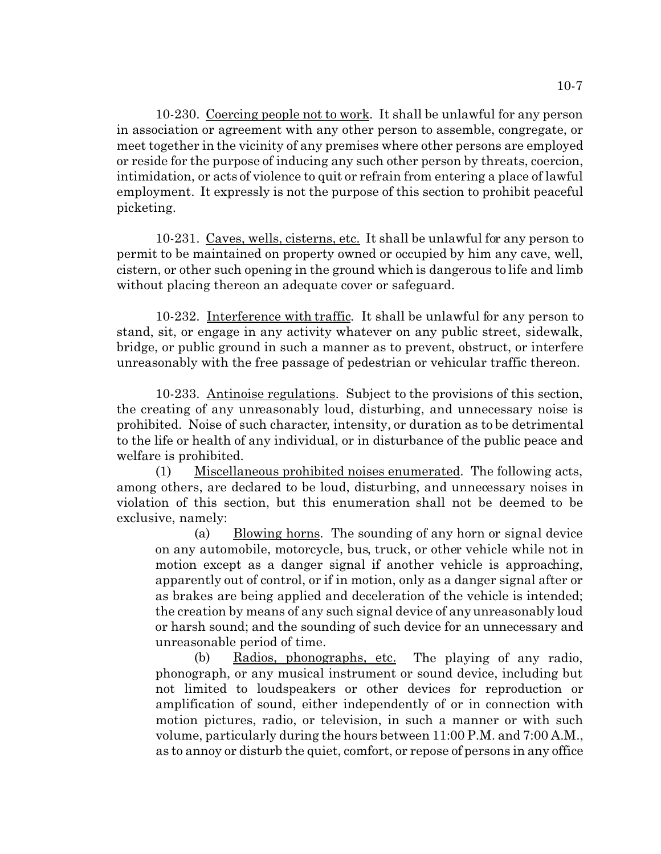10-230. Coercing people not to work. It shall be unlawful for any person in association or agreement with any other person to assemble, congregate, or meet together in the vicinity of any premises where other persons are employed or reside for the purpose of inducing any such other person by threats, coercion, intimidation, or acts of violence to quit or refrain from entering a place of lawful employment. It expressly is not the purpose of this section to prohibit peaceful picketing.

10-231. Caves, wells, cisterns, etc. It shall be unlawful for any person to permit to be maintained on property owned or occupied by him any cave, well, cistern, or other such opening in the ground which is dangerous to life and limb without placing thereon an adequate cover or safeguard.

10-232. Interference with traffic. It shall be unlawful for any person to stand, sit, or engage in any activity whatever on any public street, sidewalk, bridge, or public ground in such a manner as to prevent, obstruct, or interfere unreasonably with the free passage of pedestrian or vehicular traffic thereon.

10-233. Antinoise regulations. Subject to the provisions of this section, the creating of any unreasonably loud, disturbing, and unnecessary noise is prohibited. Noise of such character, intensity, or duration as to be detrimental to the life or health of any individual, or in disturbance of the public peace and welfare is prohibited.

(1) Miscellaneous prohibited noises enumerated. The following acts, among others, are declared to be loud, disturbing, and unnecessary noises in violation of this section, but this enumeration shall not be deemed to be exclusive, namely:

(a) Blowing horns. The sounding of any horn or signal device on any automobile, motorcycle, bus, truck, or other vehicle while not in motion except as a danger signal if another vehicle is approaching, apparently out of control, or if in motion, only as a danger signal after or as brakes are being applied and deceleration of the vehicle is intended; the creation by means of any such signal device of any unreasonably loud or harsh sound; and the sounding of such device for an unnecessary and unreasonable period of time.

(b) Radios, phonographs, etc. The playing of any radio, phonograph, or any musical instrument or sound device, including but not limited to loudspeakers or other devices for reproduction or amplification of sound, either independently of or in connection with motion pictures, radio, or television, in such a manner or with such volume, particularly during the hours between 11:00 P.M. and 7:00 A.M., as to annoy or disturb the quiet, comfort, or repose of persons in any office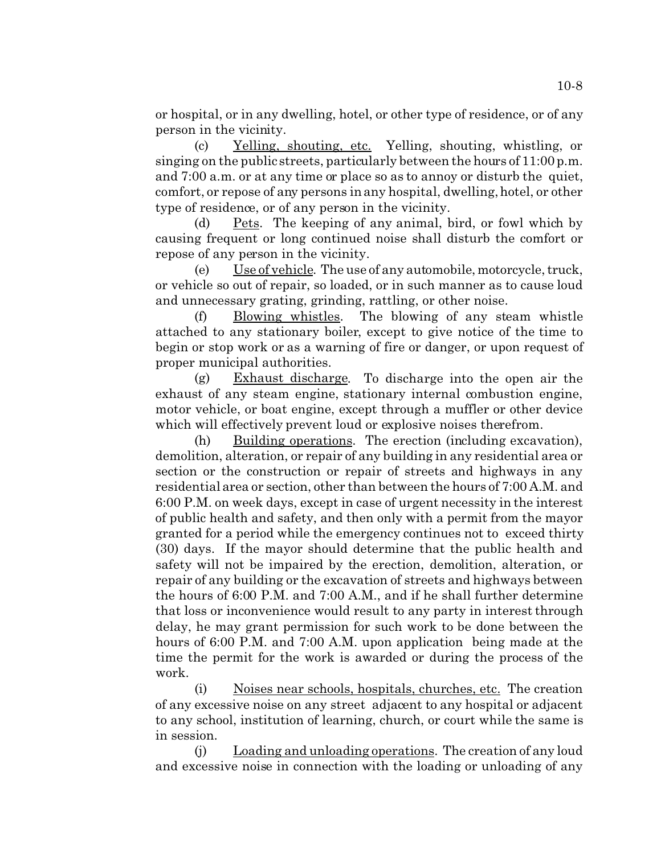or hospital, or in any dwelling, hotel, or other type of residence, or of any person in the vicinity.

(c) Yelling, shouting, etc. Yelling, shouting, whistling, or singing on the public streets, particularly between the hours of 11:00 p.m. and 7:00 a.m. or at any time or place so as to annoy or disturb the quiet, comfort, or repose of any persons in any hospital, dwelling, hotel, or other type of residence, or of any person in the vicinity.

(d) Pets. The keeping of any animal, bird, or fowl which by causing frequent or long continued noise shall disturb the comfort or repose of any person in the vicinity.

(e) Use of vehicle. The use of any automobile, motorcycle, truck, or vehicle so out of repair, so loaded, or in such manner as to cause loud and unnecessary grating, grinding, rattling, or other noise.

(f) Blowing whistles. The blowing of any steam whistle attached to any stationary boiler, except to give notice of the time to begin or stop work or as a warning of fire or danger, or upon request of proper municipal authorities.

(g) Exhaust discharge. To discharge into the open air the exhaust of any steam engine, stationary internal combustion engine, motor vehicle, or boat engine, except through a muffler or other device which will effectively prevent loud or explosive noises therefrom.

(h) Building operations. The erection (including excavation), demolition, alteration, or repair of any building in any residential area or section or the construction or repair of streets and highways in any residential area or section, other than between the hours of 7:00 A.M. and 6:00 P.M. on week days, except in case of urgent necessity in the interest of public health and safety, and then only with a permit from the mayor granted for a period while the emergency continues not to exceed thirty (30) days. If the mayor should determine that the public health and safety will not be impaired by the erection, demolition, alteration, or repair of any building or the excavation of streets and highways between the hours of 6:00 P.M. and 7:00 A.M., and if he shall further determine that loss or inconvenience would result to any party in interest through delay, he may grant permission for such work to be done between the hours of 6:00 P.M. and 7:00 A.M. upon application being made at the time the permit for the work is awarded or during the process of the work.

(i) Noises near schools, hospitals, churches, etc. The creation of any excessive noise on any street adjacent to any hospital or adjacent to any school, institution of learning, church, or court while the same is in session.

(j) Loading and unloading operations. The creation of any loud and excessive noise in connection with the loading or unloading of any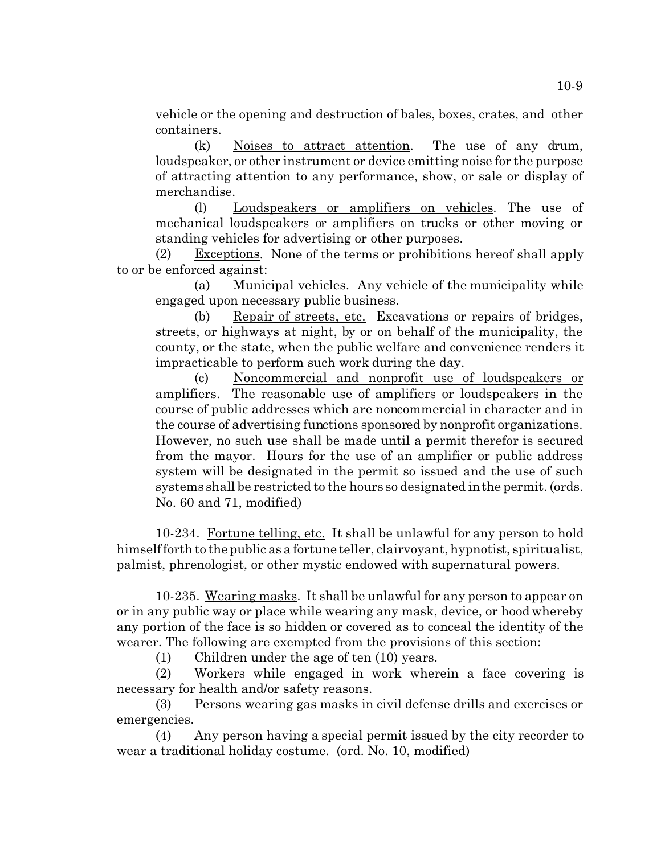vehicle or the opening and destruction of bales, boxes, crates, and other containers.

(k) Noises to attract attention. The use of any drum, loudspeaker, or other instrument or device emitting noise for the purpose of attracting attention to any performance, show, or sale or display of merchandise.

(l) Loudspeakers or amplifiers on vehicles. The use of mechanical loudspeakers or amplifiers on trucks or other moving or standing vehicles for advertising or other purposes.

(2) Exceptions. None of the terms or prohibitions hereof shall apply to or be enforced against:

(a) Municipal vehicles. Any vehicle of the municipality while engaged upon necessary public business.

(b) Repair of streets, etc. Excavations or repairs of bridges, streets, or highways at night, by or on behalf of the municipality, the county, or the state, when the public welfare and convenience renders it impracticable to perform such work during the day.

(c) Noncommercial and nonprofit use of loudspeakers or amplifiers. The reasonable use of amplifiers or loudspeakers in the course of public addresses which are noncommercial in character and in the course of advertising functions sponsored by nonprofit organizations. However, no such use shall be made until a permit therefor is secured from the mayor. Hours for the use of an amplifier or public address system will be designated in the permit so issued and the use of such systems shall be restricted to the hours so designated in the permit. (ords. No. 60 and 71, modified)

10-234. Fortune telling, etc. It shall be unlawful for any person to hold himself forth to the public as a fortune teller, clairvoyant, hypnotist, spiritualist, palmist, phrenologist, or other mystic endowed with supernatural powers.

10-235. Wearing masks. It shall be unlawful for any person to appear on or in any public way or place while wearing any mask, device, or hood whereby any portion of the face is so hidden or covered as to conceal the identity of the wearer. The following are exempted from the provisions of this section:

(1) Children under the age of ten (10) years.

(2) Workers while engaged in work wherein a face covering is necessary for health and/or safety reasons.

(3) Persons wearing gas masks in civil defense drills and exercises or emergencies.

(4) Any person having a special permit issued by the city recorder to wear a traditional holiday costume. (ord. No. 10, modified)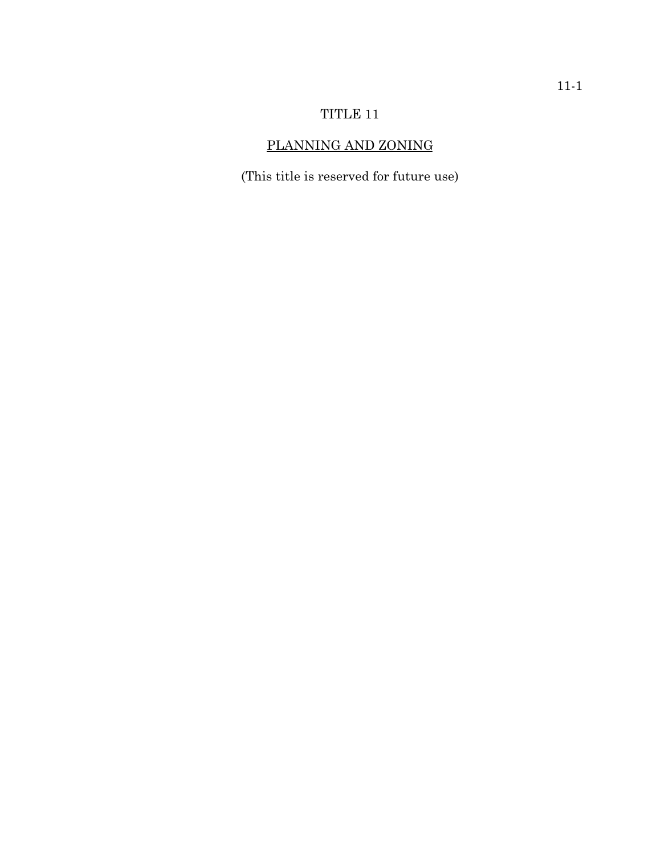# TITLE 11

# PLANNING AND ZONING

(This title is reserved for future use)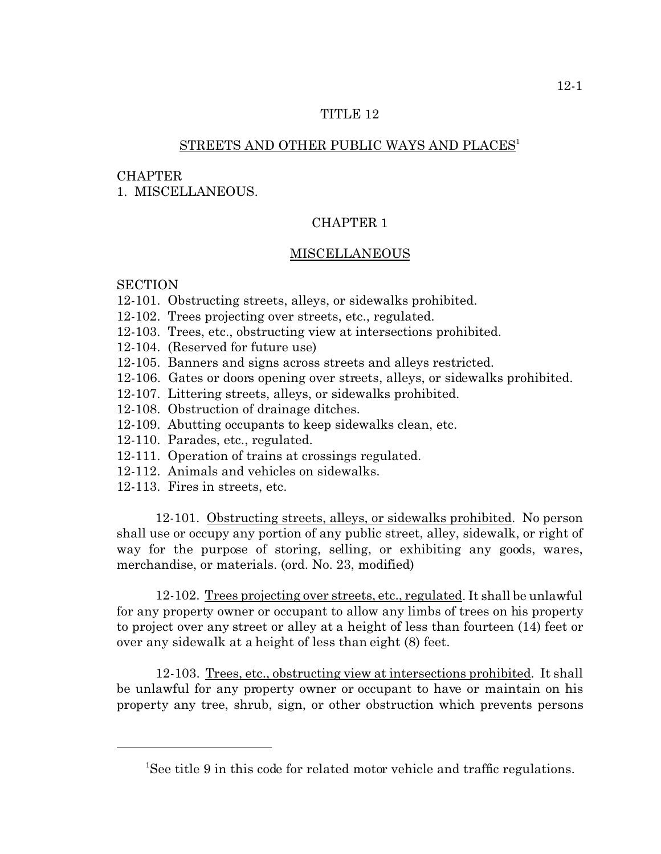## TITLE 12

# STREETS AND OTHER PUBLIC WAYS AND PLACES<sup>1</sup>

### **CHAPTER**

1. MISCELLANEOUS.

### CHAPTER 1

### **MISCELLANEOUS**

# **SECTION**

- 12-101. Obstructing streets, alleys, or sidewalks prohibited.
- 12-102. Trees projecting over streets, etc., regulated.
- 12-103. Trees, etc., obstructing view at intersections prohibited.
- 12-104. (Reserved for future use)
- 12-105. Banners and signs across streets and alleys restricted.
- 12-106. Gates or doors opening over streets, alleys, or sidewalks prohibited.
- 12-107. Littering streets, alleys, or sidewalks prohibited.
- 12-108. Obstruction of drainage ditches.
- 12-109. Abutting occupants to keep sidewalks clean, etc.
- 12-110. Parades, etc., regulated.
- 12-111. Operation of trains at crossings regulated.
- 12-112. Animals and vehicles on sidewalks.
- 12-113. Fires in streets, etc.

12-101. Obstructing streets, alleys, or sidewalks prohibited. No person shall use or occupy any portion of any public street, alley, sidewalk, or right of way for the purpose of storing, selling, or exhibiting any goods, wares, merchandise, or materials. (ord. No. 23, modified)

12-102. Trees projecting over streets, etc., regulated. It shall be unlawful for any property owner or occupant to allow any limbs of trees on his property to project over any street or alley at a height of less than fourteen (14) feet or over any sidewalk at a height of less than eight (8) feet.

12-103. Trees, etc., obstructing view at intersections prohibited. It shall be unlawful for any property owner or occupant to have or maintain on his property any tree, shrub, sign, or other obstruction which prevents persons

<sup>&</sup>lt;sup>1</sup>See title 9 in this code for related motor vehicle and traffic regulations.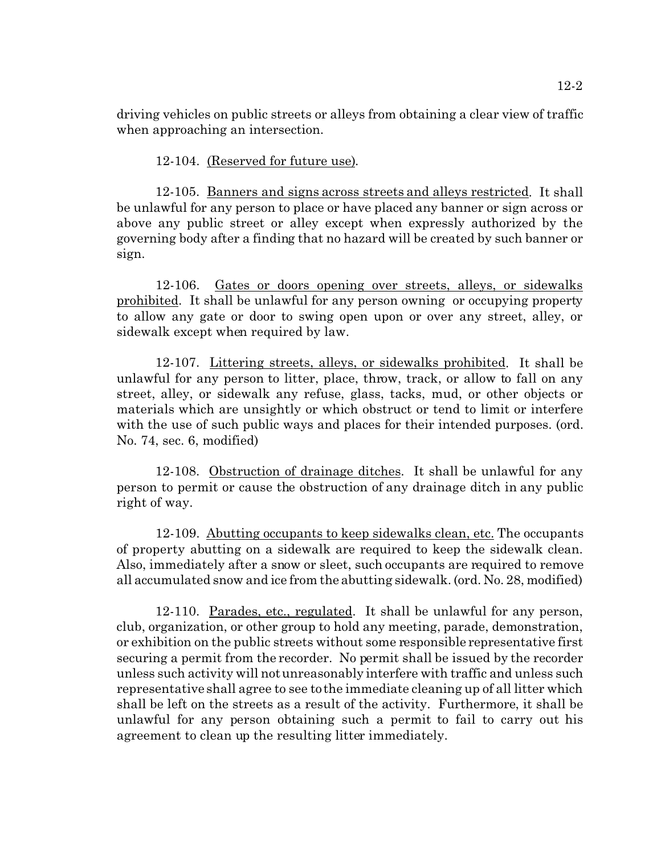driving vehicles on public streets or alleys from obtaining a clear view of traffic when approaching an intersection.

12-104. (Reserved for future use).

12-105. Banners and signs across streets and alleys restricted. It shall be unlawful for any person to place or have placed any banner or sign across or above any public street or alley except when expressly authorized by the governing body after a finding that no hazard will be created by such banner or sign.

12-106. Gates or doors opening over streets, alleys, or sidewalks prohibited. It shall be unlawful for any person owning or occupying property to allow any gate or door to swing open upon or over any street, alley, or sidewalk except when required by law.

12-107. Littering streets, alleys, or sidewalks prohibited. It shall be unlawful for any person to litter, place, throw, track, or allow to fall on any street, alley, or sidewalk any refuse, glass, tacks, mud, or other objects or materials which are unsightly or which obstruct or tend to limit or interfere with the use of such public ways and places for their intended purposes. (ord. No. 74, sec. 6, modified)

12-108. Obstruction of drainage ditches. It shall be unlawful for any person to permit or cause the obstruction of any drainage ditch in any public right of way.

12-109. Abutting occupants to keep sidewalks clean, etc. The occupants of property abutting on a sidewalk are required to keep the sidewalk clean. Also, immediately after a snow or sleet, such occupants are required to remove all accumulated snow and ice from the abutting sidewalk. (ord. No. 28, modified)

12-110. Parades, etc., regulated. It shall be unlawful for any person, club, organization, or other group to hold any meeting, parade, demonstration, or exhibition on the public streets without some responsible representative first securing a permit from the recorder. No permit shall be issued by the recorder unless such activity will not unreasonably interfere with traffic and unless such representative shall agree to see to the immediate cleaning up of all litter which shall be left on the streets as a result of the activity. Furthermore, it shall be unlawful for any person obtaining such a permit to fail to carry out his agreement to clean up the resulting litter immediately.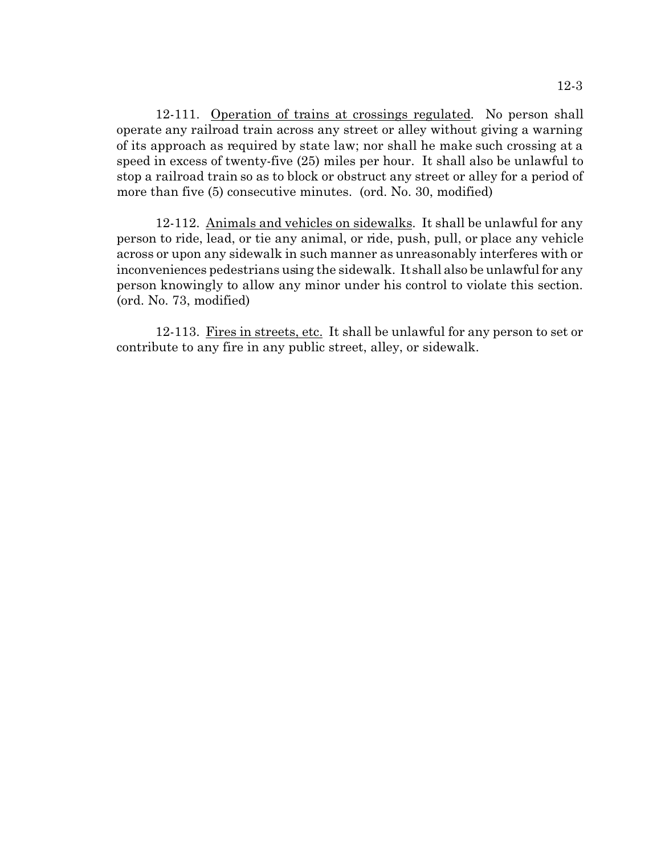12-111. Operation of trains at crossings regulated. No person shall operate any railroad train across any street or alley without giving a warning of its approach as required by state law; nor shall he make such crossing at a speed in excess of twenty-five (25) miles per hour. It shall also be unlawful to stop a railroad train so as to block or obstruct any street or alley for a period of more than five (5) consecutive minutes. (ord. No. 30, modified)

12-112. Animals and vehicles on sidewalks. It shall be unlawful for any person to ride, lead, or tie any animal, or ride, push, pull, or place any vehicle across or upon any sidewalk in such manner as unreasonably interferes with or inconveniences pedestrians using the sidewalk. It shall also be unlawful for any person knowingly to allow any minor under his control to violate this section. (ord. No. 73, modified)

12-113. Fires in streets, etc. It shall be unlawful for any person to set or contribute to any fire in any public street, alley, or sidewalk.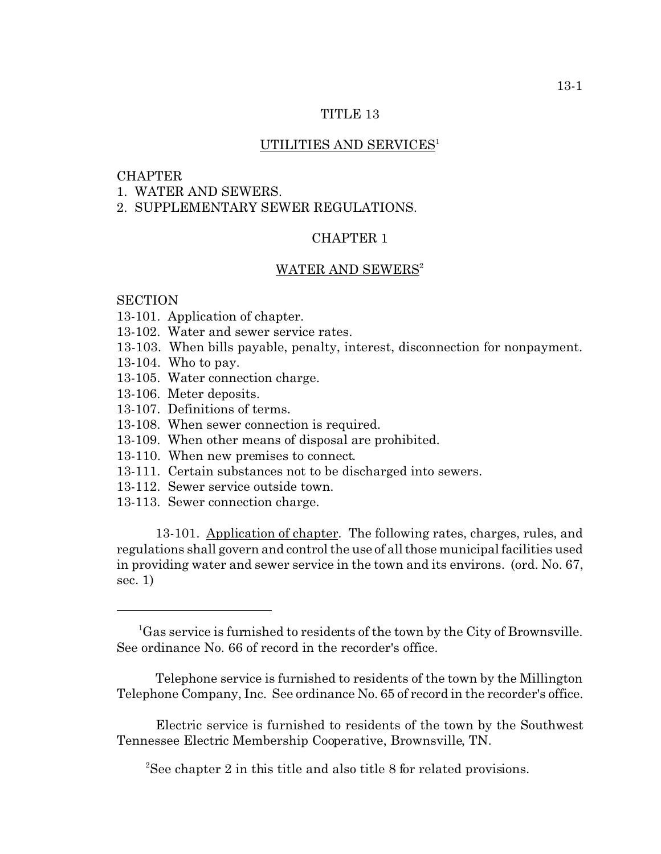### TITLE 13

### UTILITIES AND SERVICES<sup>1</sup>

#### CHAPTER

1. WATER AND SEWERS.

2. SUPPLEMENTARY SEWER REGULATIONS.

## CHAPTER 1

### WATER AND SEWERS<sup>2</sup>

### **SECTION**

- 13-101. Application of chapter.
- 13-102. Water and sewer service rates.
- 13-103. When bills payable, penalty, interest, disconnection for nonpayment.
- 13-104. Who to pay.
- 13-105. Water connection charge.
- 13-106. Meter deposits.
- 13-107. Definitions of terms.
- 13-108. When sewer connection is required.
- 13-109. When other means of disposal are prohibited.
- 13-110. When new premises to connect.
- 13-111. Certain substances not to be discharged into sewers.
- 13-112. Sewer service outside town.
- 13-113. Sewer connection charge.

13-101. Application of chapter. The following rates, charges, rules, and regulations shall govern and control the use of all those municipal facilities used in providing water and sewer service in the town and its environs. (ord. No. 67, sec. 1)

Telephone service is furnished to residents of the town by the Millington Telephone Company, Inc. See ordinance No. 65 of record in the recorder's office.

Electric service is furnished to residents of the town by the Southwest Tennessee Electric Membership Cooperative, Brownsville, TN.

<sup>2</sup>See chapter 2 in this title and also title 8 for related provisions.

 ${}^{1}$ Gas service is furnished to residents of the town by the City of Brownsville. See ordinance No. 66 of record in the recorder's office.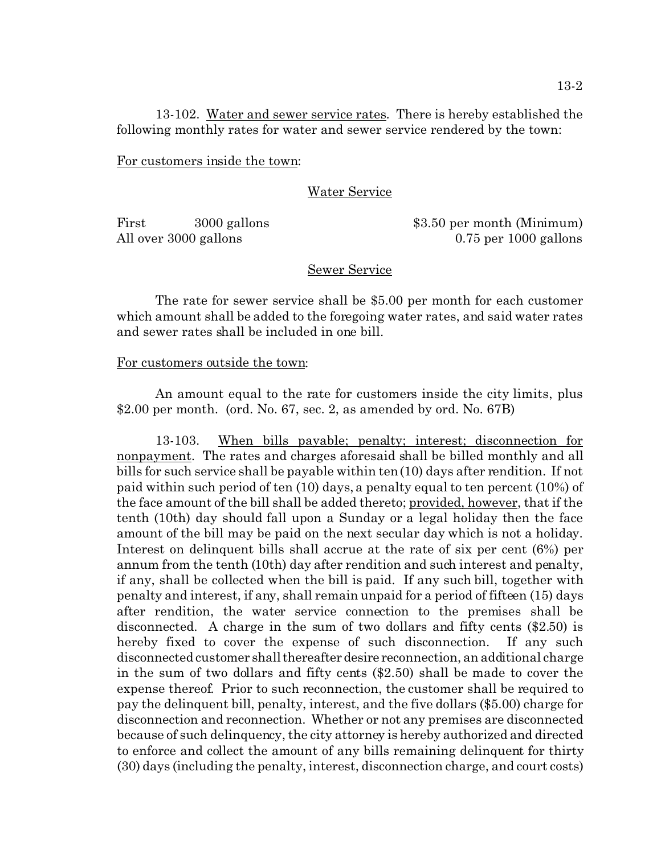13-102. Water and sewer service rates. There is hereby established the following monthly rates for water and sewer service rendered by the town:

For customers inside the town:

## Water Service

First 3000 gallons \$3.50 per month (Minimum) All over 3000 gallons 0.75 per 1000 gallons

### Sewer Service

The rate for sewer service shall be \$5.00 per month for each customer which amount shall be added to the foregoing water rates, and said water rates and sewer rates shall be included in one bill.

## For customers outside the town:

An amount equal to the rate for customers inside the city limits, plus \$2.00 per month. (ord. No. 67, sec. 2, as amended by ord. No. 67B)

13-103. When bills payable; penalty; interest; disconnection for nonpayment. The rates and charges aforesaid shall be billed monthly and all bills for such service shall be payable within ten (10) days after rendition. If not paid within such period of ten (10) days, a penalty equal to ten percent (10%) of the face amount of the bill shall be added thereto; provided, however, that if the tenth (10th) day should fall upon a Sunday or a legal holiday then the face amount of the bill may be paid on the next secular day which is not a holiday. Interest on delinquent bills shall accrue at the rate of six per cent (6%) per annum from the tenth (10th) day after rendition and such interest and penalty, if any, shall be collected when the bill is paid. If any such bill, together with penalty and interest, if any, shall remain unpaid for a period of fifteen (15) days after rendition, the water service connection to the premises shall be disconnected. A charge in the sum of two dollars and fifty cents (\$2.50) is hereby fixed to cover the expense of such disconnection. If any such disconnected customer shallthereafter desire reconnection, an additional charge in the sum of two dollars and fifty cents (\$2.50) shall be made to cover the expense thereof. Prior to such reconnection, the customer shall be required to pay the delinquent bill, penalty, interest, and the five dollars (\$5.00) charge for disconnection and reconnection. Whether or not any premises are disconnected because of such delinquency, the city attorney is hereby authorized and directed to enforce and collect the amount of any bills remaining delinquent for thirty (30) days (including the penalty, interest, disconnection charge, and court costs)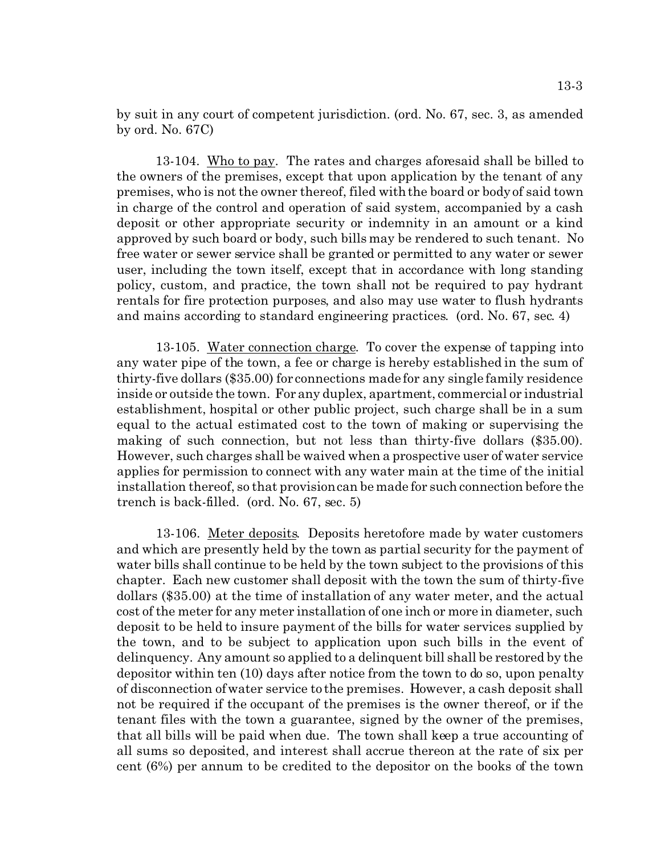by suit in any court of competent jurisdiction. (ord. No. 67, sec. 3, as amended by ord. No. 67C)

13-104. Who to pay. The rates and charges aforesaid shall be billed to the owners of the premises, except that upon application by the tenant of any premises, who is not the owner thereof, filed with the board or body of said town in charge of the control and operation of said system, accompanied by a cash deposit or other appropriate security or indemnity in an amount or a kind approved by such board or body, such bills may be rendered to such tenant. No free water or sewer service shall be granted or permitted to any water or sewer user, including the town itself, except that in accordance with long standing policy, custom, and practice, the town shall not be required to pay hydrant rentals for fire protection purposes, and also may use water to flush hydrants and mains according to standard engineering practices. (ord. No. 67, sec. 4)

13-105. Water connection charge. To cover the expense of tapping into any water pipe of the town, a fee or charge is hereby established in the sum of thirty-five dollars (\$35.00) for connections made for any single family residence inside or outside the town. For any duplex, apartment, commercial or industrial establishment, hospital or other public project, such charge shall be in a sum equal to the actual estimated cost to the town of making or supervising the making of such connection, but not less than thirty-five dollars (\$35.00). However, such charges shall be waived when a prospective user of water service applies for permission to connect with any water main at the time of the initial installation thereof, so that provision can be made for such connection before the trench is back-filled. (ord. No. 67, sec. 5)

13-106. Meter deposits. Deposits heretofore made by water customers and which are presently held by the town as partial security for the payment of water bills shall continue to be held by the town subject to the provisions of this chapter. Each new customer shall deposit with the town the sum of thirty-five dollars (\$35.00) at the time of installation of any water meter, and the actual cost of the meter for any meter installation of one inch or more in diameter, such deposit to be held to insure payment of the bills for water services supplied by the town, and to be subject to application upon such bills in the event of delinquency. Any amount so applied to a delinquent bill shall be restored by the depositor within ten (10) days after notice from the town to do so, upon penalty of disconnection of water service to the premises. However, a cash deposit shall not be required if the occupant of the premises is the owner thereof, or if the tenant files with the town a guarantee, signed by the owner of the premises, that all bills will be paid when due. The town shall keep a true accounting of all sums so deposited, and interest shall accrue thereon at the rate of six per cent (6%) per annum to be credited to the depositor on the books of the town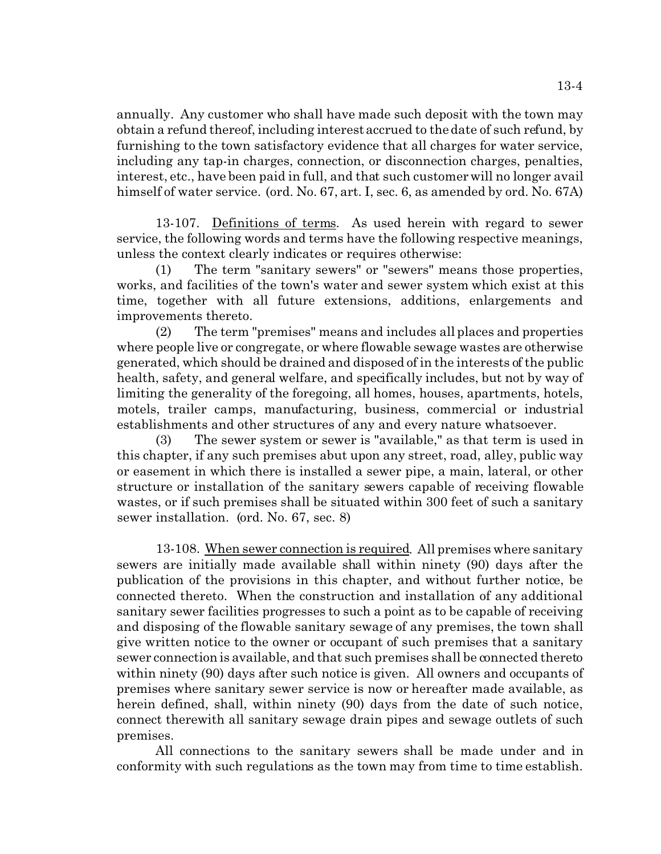annually. Any customer who shall have made such deposit with the town may obtain a refund thereof, including interest accrued to the date of such refund, by furnishing to the town satisfactory evidence that all charges for water service, including any tap-in charges, connection, or disconnection charges, penalties, interest, etc., have been paid in full, and that such customer will no longer avail himself of water service. (ord. No. 67, art. I, sec. 6, as amended by ord. No. 67A)

13-107. Definitions of terms. As used herein with regard to sewer service, the following words and terms have the following respective meanings, unless the context clearly indicates or requires otherwise:

(1) The term "sanitary sewers" or "sewers" means those properties, works, and facilities of the town's water and sewer system which exist at this time, together with all future extensions, additions, enlargements and improvements thereto.

(2) The term "premises" means and includes all places and properties where people live or congregate, or where flowable sewage wastes are otherwise generated, which should be drained and disposed of in the interests of the public health, safety, and general welfare, and specifically includes, but not by way of limiting the generality of the foregoing, all homes, houses, apartments, hotels, motels, trailer camps, manufacturing, business, commercial or industrial establishments and other structures of any and every nature whatsoever.

(3) The sewer system or sewer is "available," as that term is used in this chapter, if any such premises abut upon any street, road, alley, public way or easement in which there is installed a sewer pipe, a main, lateral, or other structure or installation of the sanitary sewers capable of receiving flowable wastes, or if such premises shall be situated within 300 feet of such a sanitary sewer installation. (ord. No. 67, sec. 8)

13-108. When sewer connection is required. All premises where sanitary sewers are initially made available shall within ninety (90) days after the publication of the provisions in this chapter, and without further notice, be connected thereto. When the construction and installation of any additional sanitary sewer facilities progresses to such a point as to be capable of receiving and disposing of the flowable sanitary sewage of any premises, the town shall give written notice to the owner or occupant of such premises that a sanitary sewer connection is available, and that such premises shall be connected thereto within ninety (90) days after such notice is given. All owners and occupants of premises where sanitary sewer service is now or hereafter made available, as herein defined, shall, within ninety (90) days from the date of such notice, connect therewith all sanitary sewage drain pipes and sewage outlets of such premises.

All connections to the sanitary sewers shall be made under and in conformity with such regulations as the town may from time to time establish.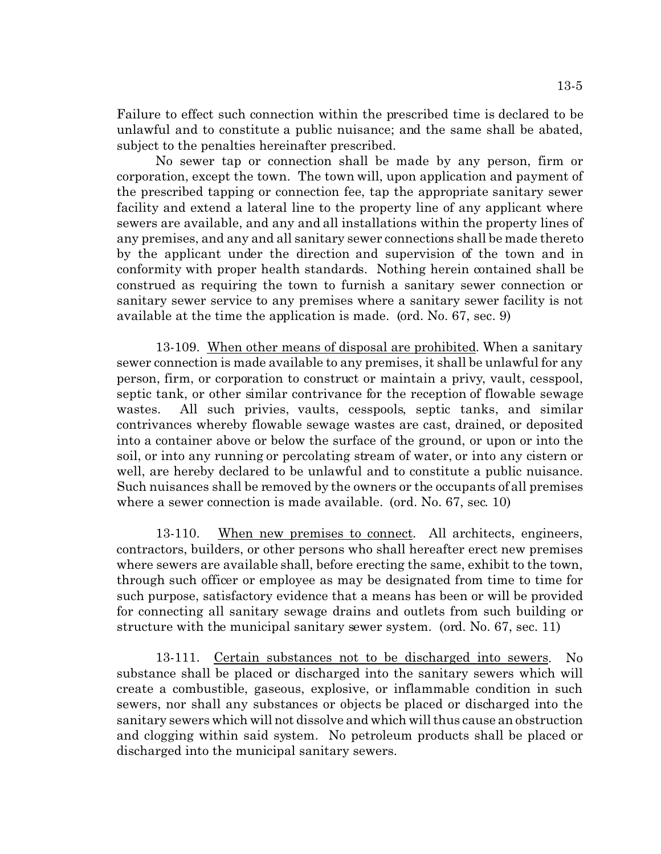Failure to effect such connection within the prescribed time is declared to be unlawful and to constitute a public nuisance; and the same shall be abated, subject to the penalties hereinafter prescribed.

No sewer tap or connection shall be made by any person, firm or corporation, except the town. The town will, upon application and payment of the prescribed tapping or connection fee, tap the appropriate sanitary sewer facility and extend a lateral line to the property line of any applicant where sewers are available, and any and all installations within the property lines of any premises, and any and all sanitary sewer connections shall be made thereto by the applicant under the direction and supervision of the town and in conformity with proper health standards. Nothing herein contained shall be construed as requiring the town to furnish a sanitary sewer connection or sanitary sewer service to any premises where a sanitary sewer facility is not available at the time the application is made. (ord. No. 67, sec. 9)

13-109. When other means of disposal are prohibited. When a sanitary sewer connection is made available to any premises, it shall be unlawful for any person, firm, or corporation to construct or maintain a privy, vault, cesspool, septic tank, or other similar contrivance for the reception of flowable sewage wastes. All such privies, vaults, cesspools, septic tanks, and similar contrivances whereby flowable sewage wastes are cast, drained, or deposited into a container above or below the surface of the ground, or upon or into the soil, or into any running or percolating stream of water, or into any cistern or well, are hereby declared to be unlawful and to constitute a public nuisance. Such nuisances shall be removed by the owners or the occupants of all premises where a sewer connection is made available. (ord. No. 67, sec. 10)

13-110. When new premises to connect. All architects, engineers, contractors, builders, or other persons who shall hereafter erect new premises where sewers are available shall, before erecting the same, exhibit to the town, through such officer or employee as may be designated from time to time for such purpose, satisfactory evidence that a means has been or will be provided for connecting all sanitary sewage drains and outlets from such building or structure with the municipal sanitary sewer system. (ord. No. 67, sec. 11)

13-111. Certain substances not to be discharged into sewers. No substance shall be placed or discharged into the sanitary sewers which will create a combustible, gaseous, explosive, or inflammable condition in such sewers, nor shall any substances or objects be placed or discharged into the sanitary sewers which will not dissolve and which will thus cause an obstruction and clogging within said system. No petroleum products shall be placed or discharged into the municipal sanitary sewers.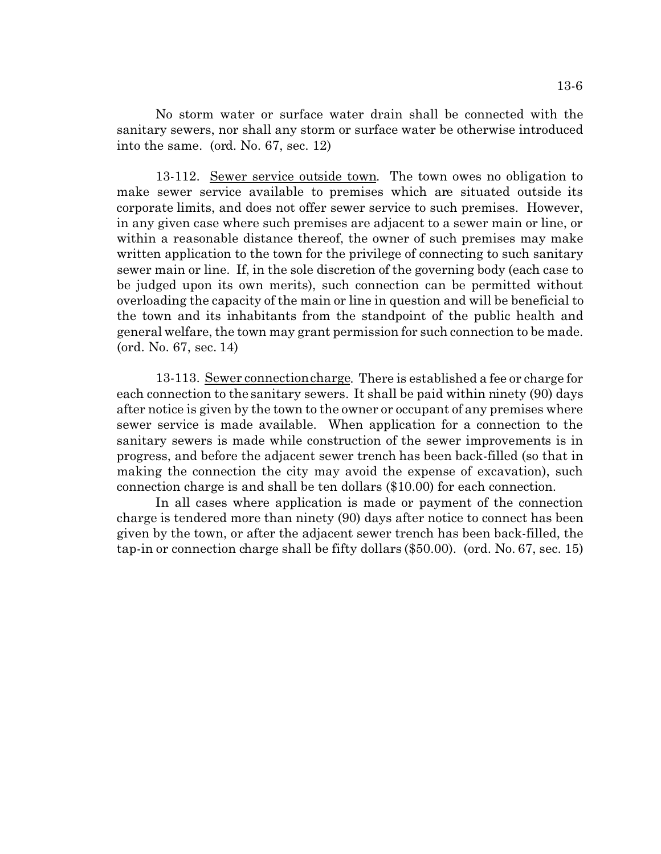No storm water or surface water drain shall be connected with the sanitary sewers, nor shall any storm or surface water be otherwise introduced into the same. (ord. No. 67, sec. 12)

13-112. Sewer service outside town. The town owes no obligation to make sewer service available to premises which are situated outside its corporate limits, and does not offer sewer service to such premises. However, in any given case where such premises are adjacent to a sewer main or line, or within a reasonable distance thereof, the owner of such premises may make written application to the town for the privilege of connecting to such sanitary sewer main or line. If, in the sole discretion of the governing body (each case to be judged upon its own merits), such connection can be permitted without overloading the capacity of the main or line in question and will be beneficial to the town and its inhabitants from the standpoint of the public health and general welfare, the town may grant permission for such connection to be made. (ord. No. 67, sec. 14)

13-113. Sewer connection charge. There is established a fee or charge for each connection to the sanitary sewers. It shall be paid within ninety (90) days after notice is given by the town to the owner or occupant of any premises where sewer service is made available. When application for a connection to the sanitary sewers is made while construction of the sewer improvements is in progress, and before the adjacent sewer trench has been back-filled (so that in making the connection the city may avoid the expense of excavation), such connection charge is and shall be ten dollars (\$10.00) for each connection.

In all cases where application is made or payment of the connection charge is tendered more than ninety (90) days after notice to connect has been given by the town, or after the adjacent sewer trench has been back-filled, the tap-in or connection charge shall be fifty dollars (\$50.00). (ord. No. 67, sec. 15)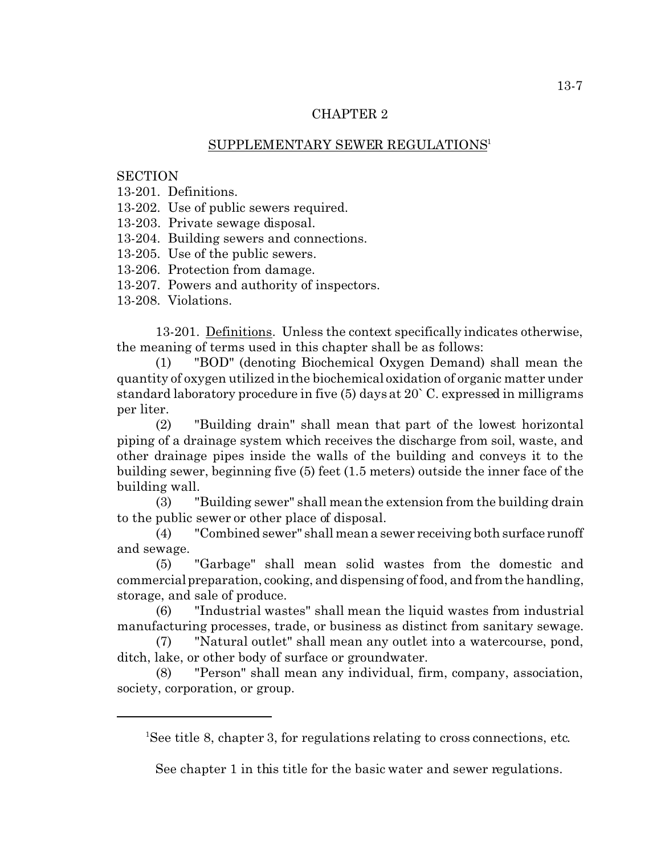# SUPPLEMENTARY SEWER REGULATIONS<sup>1</sup>

# **SECTION**

13-201. Definitions.

13-202. Use of public sewers required.

13-203. Private sewage disposal.

13-204. Building sewers and connections.

13-205. Use of the public sewers.

13-206. Protection from damage.

13-207. Powers and authority of inspectors.

13-208. Violations.

13-201. Definitions. Unless the context specifically indicates otherwise, the meaning of terms used in this chapter shall be as follows:

(1) "BOD" (denoting Biochemical Oxygen Demand) shall mean the quantity of oxygen utilized in the biochemical oxidation of organic matter under standard laboratory procedure in five (5) days at 20` C. expressed in milligrams per liter.

(2) "Building drain" shall mean that part of the lowest horizontal piping of a drainage system which receives the discharge from soil, waste, and other drainage pipes inside the walls of the building and conveys it to the building sewer, beginning five (5) feet (1.5 meters) outside the inner face of the building wall.

(3) "Building sewer" shall mean the extension from the building drain to the public sewer or other place of disposal.

(4) "Combined sewer" shall mean a sewer receiving both surface runoff and sewage.

(5) "Garbage" shall mean solid wastes from the domestic and commercial preparation, cooking, and dispensing of food, and from the handling, storage, and sale of produce.

(6) "Industrial wastes" shall mean the liquid wastes from industrial manufacturing processes, trade, or business as distinct from sanitary sewage.

(7) "Natural outlet" shall mean any outlet into a watercourse, pond, ditch, lake, or other body of surface or groundwater.

(8) "Person" shall mean any individual, firm, company, association, society, corporation, or group.

See chapter 1 in this title for the basic water and sewer regulations.

<sup>&</sup>lt;sup>1</sup>See title 8, chapter 3, for regulations relating to cross connections, etc.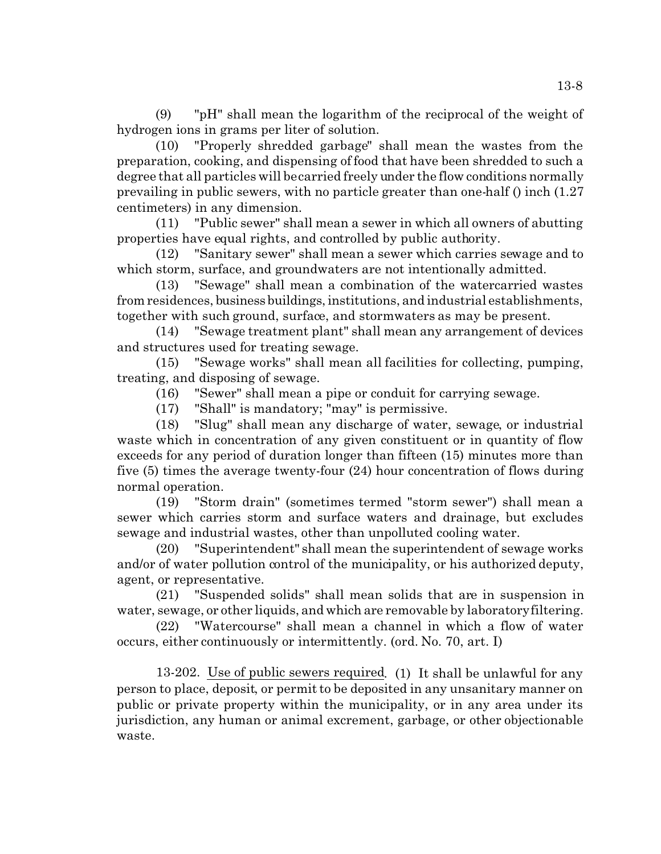(9) "pH" shall mean the logarithm of the reciprocal of the weight of hydrogen ions in grams per liter of solution.

(10) "Properly shredded garbage" shall mean the wastes from the preparation, cooking, and dispensing of food that have been shredded to such a degree that all particles will be carried freely under the flow conditions normally prevailing in public sewers, with no particle greater than one-half () inch (1.27 centimeters) in any dimension.

(11) "Public sewer" shall mean a sewer in which all owners of abutting properties have equal rights, and controlled by public authority.

(12) "Sanitary sewer" shall mean a sewer which carries sewage and to which storm, surface, and groundwaters are not intentionally admitted.

(13) "Sewage" shall mean a combination of the watercarried wastes from residences, business buildings, institutions, and industrial establishments, together with such ground, surface, and stormwaters as may be present.

(14) "Sewage treatment plant" shall mean any arrangement of devices and structures used for treating sewage.

(15) "Sewage works" shall mean all facilities for collecting, pumping, treating, and disposing of sewage.

(16) "Sewer" shall mean a pipe or conduit for carrying sewage.

(17) "Shall" is mandatory; "may" is permissive.

(18) "Slug" shall mean any discharge of water, sewage, or industrial waste which in concentration of any given constituent or in quantity of flow exceeds for any period of duration longer than fifteen (15) minutes more than five (5) times the average twenty-four (24) hour concentration of flows during normal operation.

(19) "Storm drain" (sometimes termed "storm sewer") shall mean a sewer which carries storm and surface waters and drainage, but excludes sewage and industrial wastes, other than unpolluted cooling water.

(20) "Superintendent" shall mean the superintendent of sewage works and/or of water pollution control of the municipality, or his authorized deputy, agent, or representative.

(21) "Suspended solids" shall mean solids that are in suspension in water, sewage, or other liquids, and which are removable by laboratory filtering.

(22) "Watercourse" shall mean a channel in which a flow of water occurs, either continuously or intermittently. (ord. No. 70, art. I)

13-202. Use of public sewers required. (1) It shall be unlawful for any person to place, deposit, or permit to be deposited in any unsanitary manner on public or private property within the municipality, or in any area under its jurisdiction, any human or animal excrement, garbage, or other objectionable waste.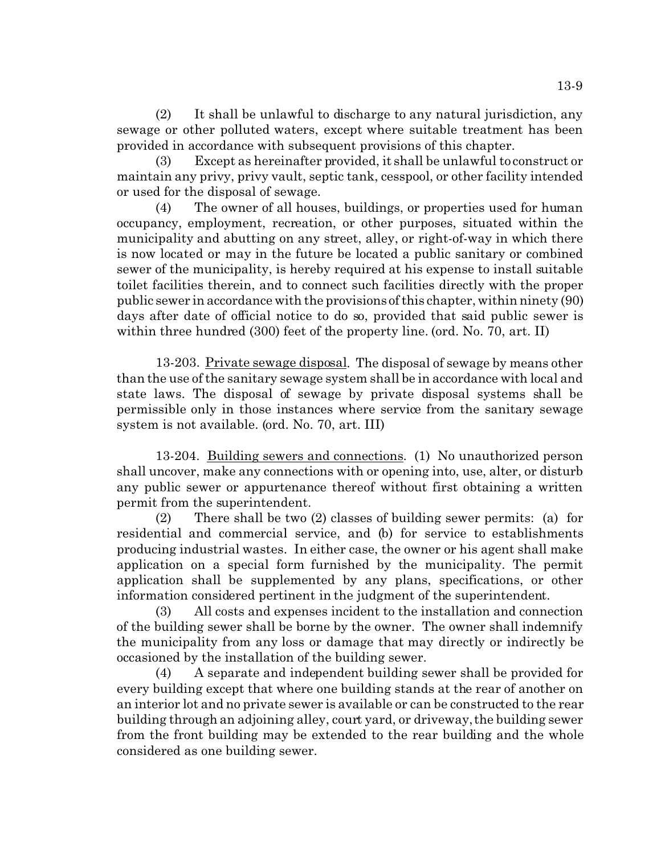(2) It shall be unlawful to discharge to any natural jurisdiction, any sewage or other polluted waters, except where suitable treatment has been provided in accordance with subsequent provisions of this chapter.

(3) Except as hereinafter provided, it shall be unlawful to construct or maintain any privy, privy vault, septic tank, cesspool, or other facility intended or used for the disposal of sewage.

(4) The owner of all houses, buildings, or properties used for human occupancy, employment, recreation, or other purposes, situated within the municipality and abutting on any street, alley, or right-of-way in which there is now located or may in the future be located a public sanitary or combined sewer of the municipality, is hereby required at his expense to install suitable toilet facilities therein, and to connect such facilities directly with the proper public sewer in accordance with the provisions of this chapter, within ninety (90) days after date of official notice to do so, provided that said public sewer is within three hundred (300) feet of the property line. (ord. No. 70, art. II)

13-203. Private sewage disposal. The disposal of sewage by means other than the use of the sanitary sewage system shall be in accordance with local and state laws. The disposal of sewage by private disposal systems shall be permissible only in those instances where service from the sanitary sewage system is not available. (ord. No. 70, art. III)

13-204. Building sewers and connections. (1) No unauthorized person shall uncover, make any connections with or opening into, use, alter, or disturb any public sewer or appurtenance thereof without first obtaining a written permit from the superintendent.

(2) There shall be two (2) classes of building sewer permits: (a) for residential and commercial service, and (b) for service to establishments producing industrial wastes. In either case, the owner or his agent shall make application on a special form furnished by the municipality. The permit application shall be supplemented by any plans, specifications, or other information considered pertinent in the judgment of the superintendent.

(3) All costs and expenses incident to the installation and connection of the building sewer shall be borne by the owner. The owner shall indemnify the municipality from any loss or damage that may directly or indirectly be occasioned by the installation of the building sewer.

(4) A separate and independent building sewer shall be provided for every building except that where one building stands at the rear of another on an interior lot and no private sewer is available or can be constructed to the rear building through an adjoining alley, court yard, or driveway, the building sewer from the front building may be extended to the rear building and the whole considered as one building sewer.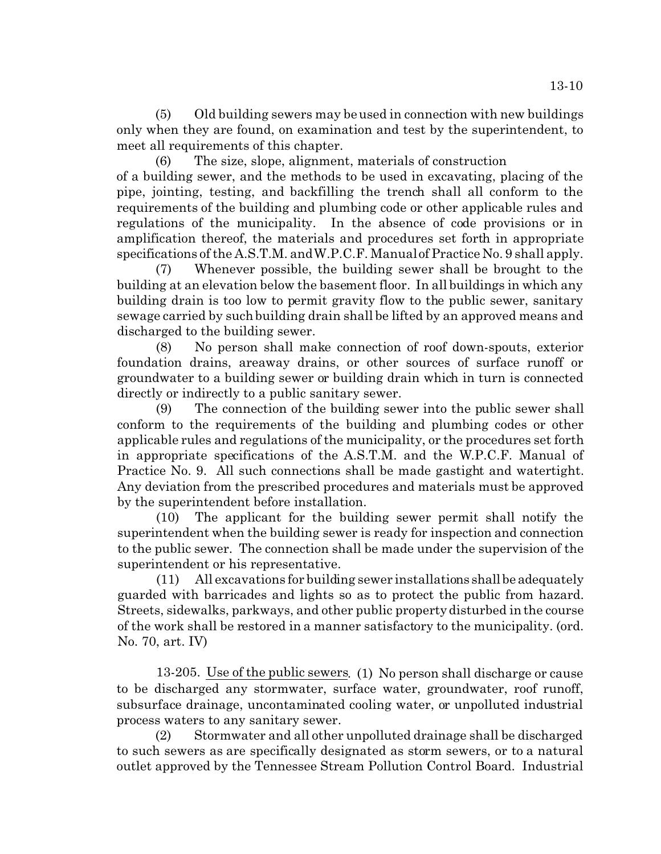(5) Old building sewers may be used in connection with new buildings only when they are found, on examination and test by the superintendent, to meet all requirements of this chapter.

(6) The size, slope, alignment, materials of construction of a building sewer, and the methods to be used in excavating, placing of the pipe, jointing, testing, and backfilling the trench shall all conform to the requirements of the building and plumbing code or other applicable rules and regulations of the municipality. In the absence of code provisions or in amplification thereof, the materials and procedures set forth in appropriate specifications of the A.S.T.M. and W.P.C.F. Manual of Practice No. 9 shall apply.

(7) Whenever possible, the building sewer shall be brought to the building at an elevation below the basement floor. In all buildings in which any building drain is too low to permit gravity flow to the public sewer, sanitary sewage carried by such building drain shall be lifted by an approved means and discharged to the building sewer.

(8) No person shall make connection of roof down-spouts, exterior foundation drains, areaway drains, or other sources of surface runoff or groundwater to a building sewer or building drain which in turn is connected directly or indirectly to a public sanitary sewer.

(9) The connection of the building sewer into the public sewer shall conform to the requirements of the building and plumbing codes or other applicable rules and regulations of the municipality, or the procedures set forth in appropriate specifications of the A.S.T.M. and the W.P.C.F. Manual of Practice No. 9. All such connections shall be made gastight and watertight. Any deviation from the prescribed procedures and materials must be approved by the superintendent before installation.

(10) The applicant for the building sewer permit shall notify the superintendent when the building sewer is ready for inspection and connection to the public sewer. The connection shall be made under the supervision of the superintendent or his representative.

(11) All excavations for building sewer installations shall be adequately guarded with barricades and lights so as to protect the public from hazard. Streets, sidewalks, parkways, and other public property disturbed in the course of the work shall be restored in a manner satisfactory to the municipality. (ord. No. 70, art. IV)

13-205. Use of the public sewers. (1) No person shall discharge or cause to be discharged any stormwater, surface water, groundwater, roof runoff, subsurface drainage, uncontaminated cooling water, or unpolluted industrial process waters to any sanitary sewer.

(2) Stormwater and all other unpolluted drainage shall be discharged to such sewers as are specifically designated as storm sewers, or to a natural outlet approved by the Tennessee Stream Pollution Control Board. Industrial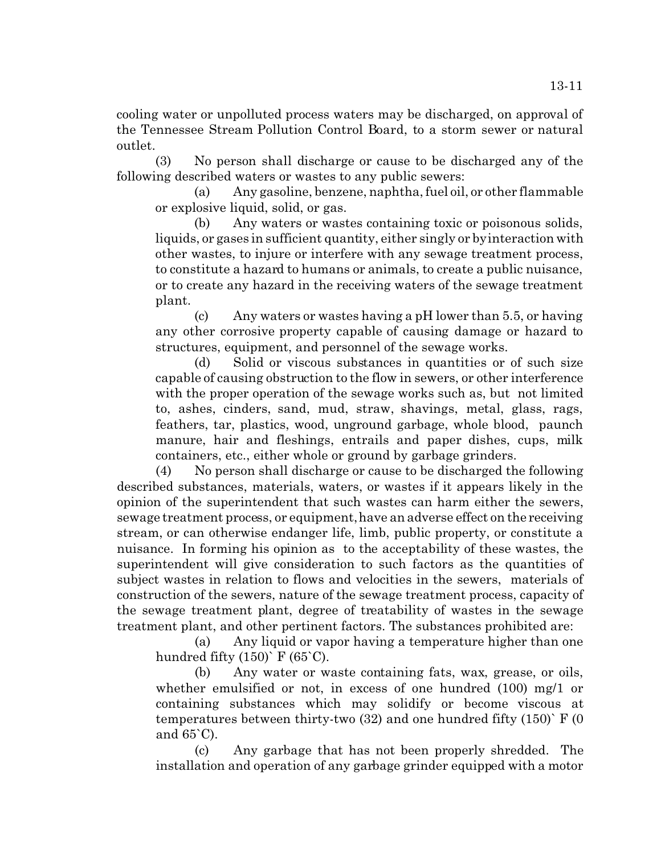cooling water or unpolluted process waters may be discharged, on approval of the Tennessee Stream Pollution Control Board, to a storm sewer or natural outlet.

(3) No person shall discharge or cause to be discharged any of the following described waters or wastes to any public sewers:

(a) Any gasoline, benzene, naphtha, fuel oil, or other flammable or explosive liquid, solid, or gas.

(b) Any waters or wastes containing toxic or poisonous solids, liquids, or gases in sufficient quantity, either singly or by interaction with other wastes, to injure or interfere with any sewage treatment process, to constitute a hazard to humans or animals, to create a public nuisance, or to create any hazard in the receiving waters of the sewage treatment plant.

(c) Any waters or wastes having a pH lower than 5.5, or having any other corrosive property capable of causing damage or hazard to structures, equipment, and personnel of the sewage works.

(d) Solid or viscous substances in quantities or of such size capable of causing obstruction to the flow in sewers, or other interference with the proper operation of the sewage works such as, but not limited to, ashes, cinders, sand, mud, straw, shavings, metal, glass, rags, feathers, tar, plastics, wood, unground garbage, whole blood, paunch manure, hair and fleshings, entrails and paper dishes, cups, milk containers, etc., either whole or ground by garbage grinders.

(4) No person shall discharge or cause to be discharged the following described substances, materials, waters, or wastes if it appears likely in the opinion of the superintendent that such wastes can harm either the sewers, sewage treatment process, or equipment, have an adverse effect on the receiving stream, or can otherwise endanger life, limb, public property, or constitute a nuisance. In forming his opinion as to the acceptability of these wastes, the superintendent will give consideration to such factors as the quantities of subject wastes in relation to flows and velocities in the sewers, materials of construction of the sewers, nature of the sewage treatment process, capacity of the sewage treatment plant, degree of treatability of wastes in the sewage treatment plant, and other pertinent factors. The substances prohibited are:

(a) Any liquid or vapor having a temperature higher than one hundred fifty  $(150)$ <sup>'</sup> F  $(65$ <sup>'</sup>C).

(b) Any water or waste containing fats, wax, grease, or oils, whether emulsified or not, in excess of one hundred (100) mg/1 or containing substances which may solidify or become viscous at temperatures between thirty-two  $(32)$  and one hundred fifty  $(150)$  F  $(0)$ and 65`C).

(c) Any garbage that has not been properly shredded. The installation and operation of any garbage grinder equipped with a motor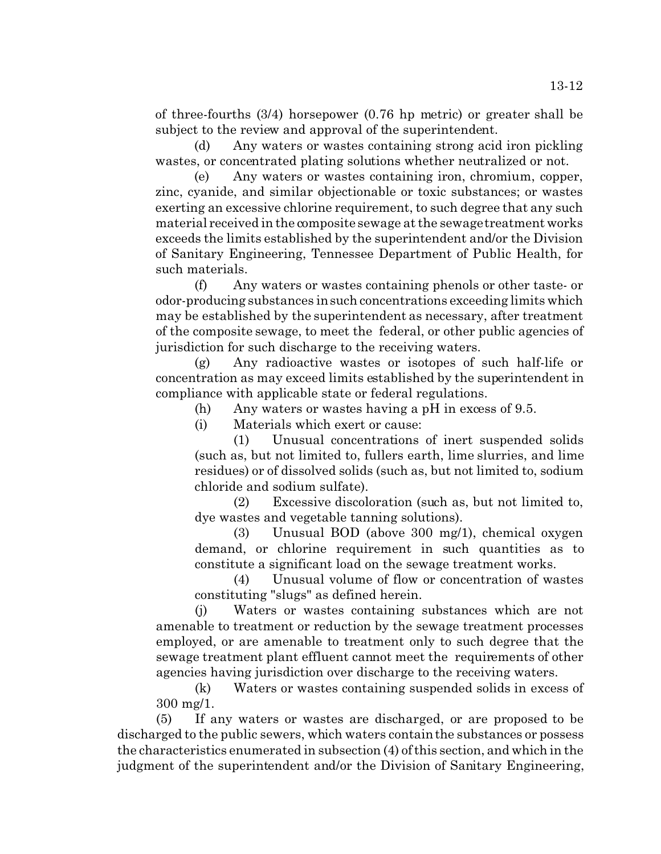of three-fourths (3/4) horsepower (0.76 hp metric) or greater shall be subject to the review and approval of the superintendent.

(d) Any waters or wastes containing strong acid iron pickling wastes, or concentrated plating solutions whether neutralized or not.

(e) Any waters or wastes containing iron, chromium, copper, zinc, cyanide, and similar objectionable or toxic substances; or wastes exerting an excessive chlorine requirement, to such degree that any such material received in the composite sewage at the sewage treatment works exceeds the limits established by the superintendent and/or the Division of Sanitary Engineering, Tennessee Department of Public Health, for such materials.

(f) Any waters or wastes containing phenols or other taste- or odor-producing substances in such concentrations exceeding limits which may be established by the superintendent as necessary, after treatment of the composite sewage, to meet the federal, or other public agencies of jurisdiction for such discharge to the receiving waters.

(g) Any radioactive wastes or isotopes of such half-life or concentration as may exceed limits established by the superintendent in compliance with applicable state or federal regulations.

(h) Any waters or wastes having a pH in excess of 9.5.

(i) Materials which exert or cause:

(1) Unusual concentrations of inert suspended solids (such as, but not limited to, fullers earth, lime slurries, and lime residues) or of dissolved solids (such as, but not limited to, sodium chloride and sodium sulfate).

(2) Excessive discoloration (such as, but not limited to, dye wastes and vegetable tanning solutions).

(3) Unusual BOD (above 300 mg/1), chemical oxygen demand, or chlorine requirement in such quantities as to constitute a significant load on the sewage treatment works.

(4) Unusual volume of flow or concentration of wastes constituting "slugs" as defined herein.

(j) Waters or wastes containing substances which are not amenable to treatment or reduction by the sewage treatment processes employed, or are amenable to treatment only to such degree that the sewage treatment plant effluent cannot meet the requirements of other agencies having jurisdiction over discharge to the receiving waters.

(k) Waters or wastes containing suspended solids in excess of 300 mg/1.

(5) If any waters or wastes are discharged, or are proposed to be discharged to the public sewers, which waters contain the substances or possess the characteristics enumerated in subsection (4) of this section, and which in the judgment of the superintendent and/or the Division of Sanitary Engineering,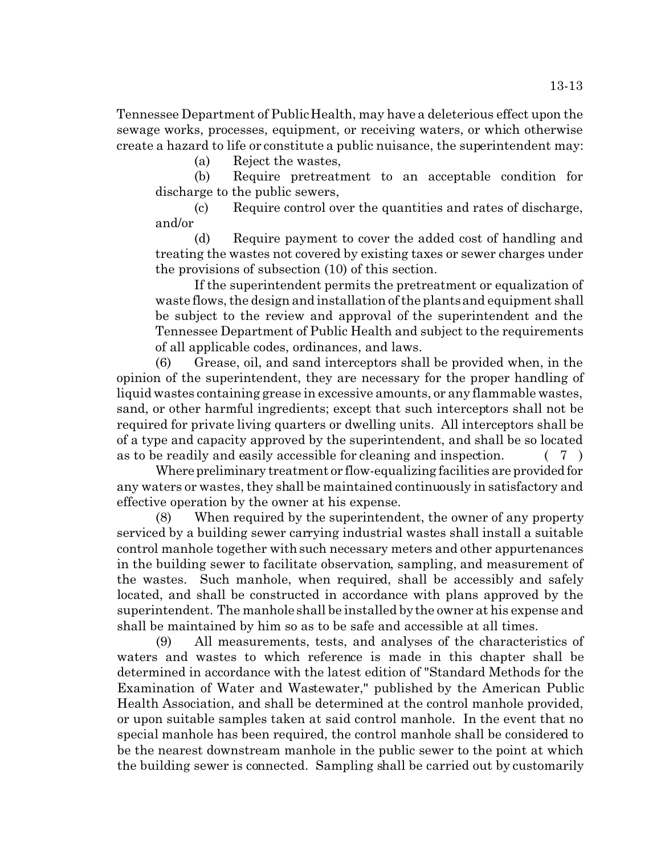Tennessee Department of Public Health, may have a deleterious effect upon the sewage works, processes, equipment, or receiving waters, or which otherwise create a hazard to life or constitute a public nuisance, the superintendent may:

(a) Reject the wastes,

(b) Require pretreatment to an acceptable condition for discharge to the public sewers,

(c) Require control over the quantities and rates of discharge, and/or

(d) Require payment to cover the added cost of handling and treating the wastes not covered by existing taxes or sewer charges under the provisions of subsection (10) of this section.

If the superintendent permits the pretreatment or equalization of waste flows, the design and installation of the plants and equipment shall be subject to the review and approval of the superintendent and the Tennessee Department of Public Health and subject to the requirements of all applicable codes, ordinances, and laws.

(6) Grease, oil, and sand interceptors shall be provided when, in the opinion of the superintendent, they are necessary for the proper handling of liquid wastes containing grease in excessive amounts, or any flammable wastes, sand, or other harmful ingredients; except that such interceptors shall not be required for private living quarters or dwelling units. All interceptors shall be of a type and capacity approved by the superintendent, and shall be so located as to be readily and easily accessible for cleaning and inspection. ( 7 )

Where preliminary treatment or flow-equalizing facilities are provided for any waters or wastes, they shall be maintained continuously in satisfactory and effective operation by the owner at his expense.

(8) When required by the superintendent, the owner of any property serviced by a building sewer carrying industrial wastes shall install a suitable control manhole together with such necessary meters and other appurtenances in the building sewer to facilitate observation, sampling, and measurement of the wastes. Such manhole, when required, shall be accessibly and safely located, and shall be constructed in accordance with plans approved by the superintendent. The manhole shall be installed by the owner at his expense and shall be maintained by him so as to be safe and accessible at all times.

(9) All measurements, tests, and analyses of the characteristics of waters and wastes to which reference is made in this chapter shall be determined in accordance with the latest edition of "Standard Methods for the Examination of Water and Wastewater," published by the American Public Health Association, and shall be determined at the control manhole provided, or upon suitable samples taken at said control manhole. In the event that no special manhole has been required, the control manhole shall be considered to be the nearest downstream manhole in the public sewer to the point at which the building sewer is connected. Sampling shall be carried out by customarily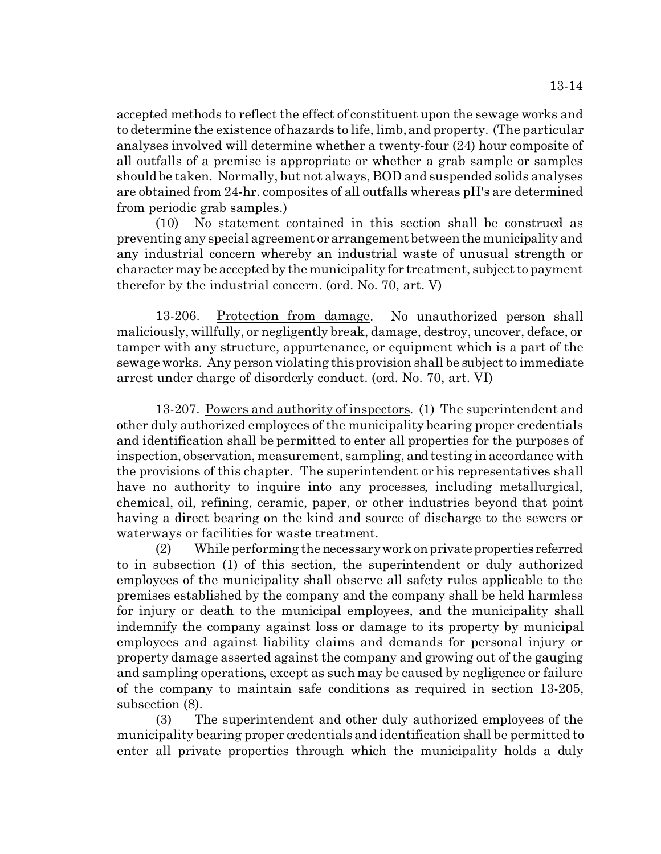accepted methods to reflect the effect of constituent upon the sewage works and to determine the existence of hazards to life, limb, and property. (The particular analyses involved will determine whether a twenty-four (24) hour composite of all outfalls of a premise is appropriate or whether a grab sample or samples should be taken. Normally, but not always, BOD and suspended solids analyses are obtained from 24-hr. composites of all outfalls whereas pH's are determined from periodic grab samples.)

(10) No statement contained in this section shall be construed as preventing any special agreement or arrangement between the municipality and any industrial concern whereby an industrial waste of unusual strength or character may be accepted by the municipality for treatment, subject to payment therefor by the industrial concern. (ord. No. 70, art. V)

13-206. Protection from damage. No unauthorized person shall maliciously, willfully, or negligently break, damage, destroy, uncover, deface, or tamper with any structure, appurtenance, or equipment which is a part of the sewage works. Any person violating this provision shall be subject to immediate arrest under charge of disorderly conduct. (ord. No. 70, art. VI)

13-207. Powers and authority of inspectors. (1) The superintendent and other duly authorized employees of the municipality bearing proper credentials and identification shall be permitted to enter all properties for the purposes of inspection, observation, measurement, sampling, and testing in accordance with the provisions of this chapter. The superintendent or his representatives shall have no authority to inquire into any processes, including metallurgical, chemical, oil, refining, ceramic, paper, or other industries beyond that point having a direct bearing on the kind and source of discharge to the sewers or waterways or facilities for waste treatment.

 $(2)$  While performing the necessary work on private properties referred to in subsection (1) of this section, the superintendent or duly authorized employees of the municipality shall observe all safety rules applicable to the premises established by the company and the company shall be held harmless for injury or death to the municipal employees, and the municipality shall indemnify the company against loss or damage to its property by municipal employees and against liability claims and demands for personal injury or property damage asserted against the company and growing out of the gauging and sampling operations, except as such may be caused by negligence or failure of the company to maintain safe conditions as required in section 13-205, subsection (8).

(3) The superintendent and other duly authorized employees of the municipality bearing proper credentials and identification shall be permitted to enter all private properties through which the municipality holds a duly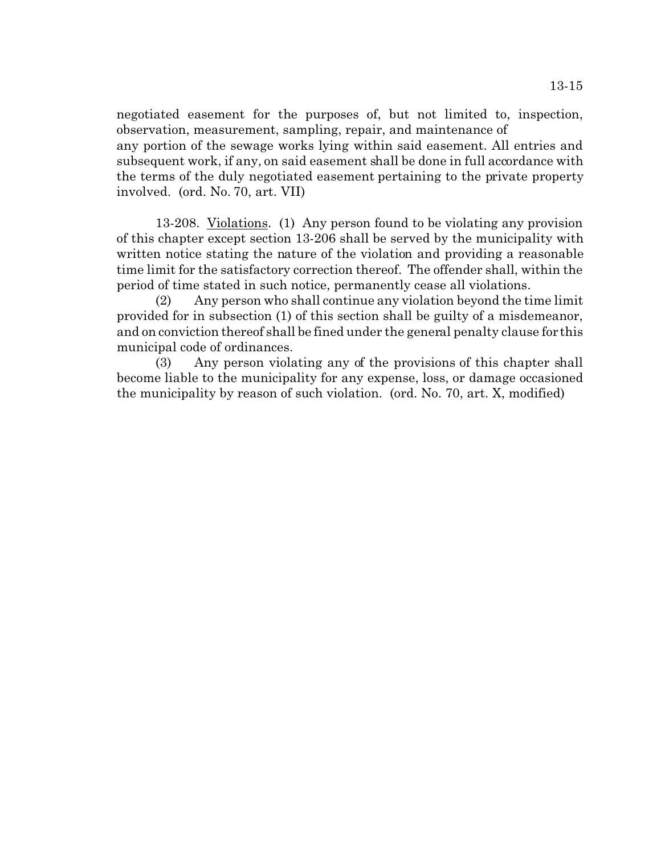negotiated easement for the purposes of, but not limited to, inspection, observation, measurement, sampling, repair, and maintenance of any portion of the sewage works lying within said easement. All entries and subsequent work, if any, on said easement shall be done in full accordance with the terms of the duly negotiated easement pertaining to the private property involved. (ord. No. 70, art. VII)

13-208. Violations. (1) Any person found to be violating any provision of this chapter except section 13-206 shall be served by the municipality with written notice stating the nature of the violation and providing a reasonable time limit for the satisfactory correction thereof. The offender shall, within the period of time stated in such notice, permanently cease all violations.

(2) Any person who shall continue any violation beyond the time limit provided for in subsection (1) of this section shall be guilty of a misdemeanor, and on conviction thereof shall be fined under the general penalty clause for this municipal code of ordinances.

(3) Any person violating any of the provisions of this chapter shall become liable to the municipality for any expense, loss, or damage occasioned the municipality by reason of such violation. (ord. No. 70, art. X, modified)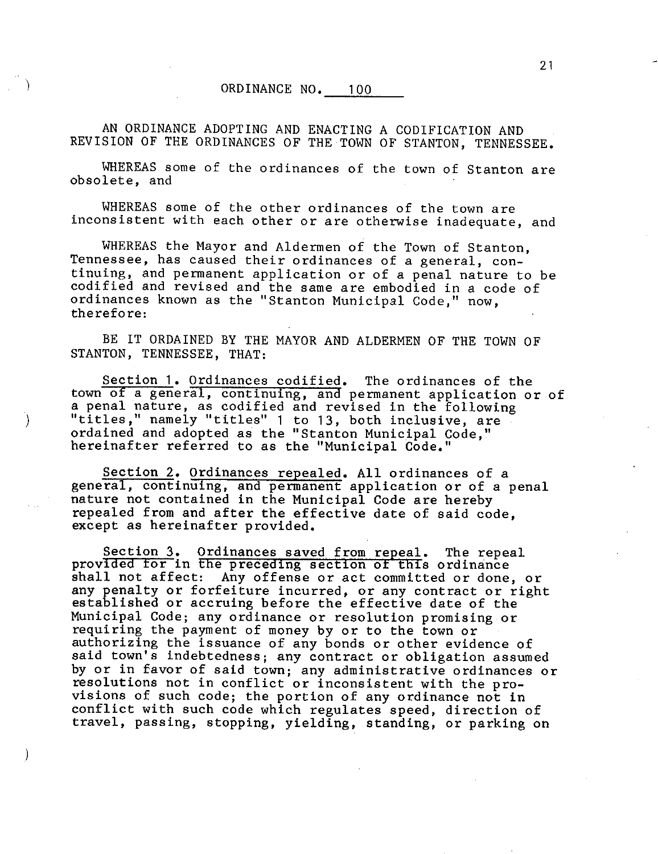## ORDINANCE NO. 100

AN ORDINANCE ADOPTING AND ENACTING A CODIFICATION AND REVISION OF THE ORDINANCES OF THE TOWN OF STANTON, TENNESSEE.

WHEREAS some of the ordinances of the town of Stanton are obsolete, and

WHEREAS some of the other ordinances of the town are inconsistent with each other or are otherwise inadequate, and

WHEREAS the Mayor and Aldermen of the Town of Stanton, Tennessee, has caused their ordinances of a general, continuing, and permanent application or of a penal nature to be codified and revised and the same are embodied in a code of ordinances known as the "Stanton Municipal Code," now, therefore:

BE IT ORDAINED BY THE MAYOR AND ALDERMEN OF THE TOWN OF STANTON, TENNESSEE, THAT:

Section 1. Ordinances codified. The ordinances of the town of a general, continuing, and permanent application or of a penal nature, as codified and revised in the following "titles," namely "titles" 1 to 13, both inclusive, are ordained and adopted as the "Stanton Municipal Code," hereinafter referred to as the "Municipal Code."

 $\mathcal{E}$ 

Section 2. Ordinances repealed. All ordinances of a general, continuing, and permanent application or of a penal nature not contained in the Municipal Code are hereby repealed from and after the effective date of said code. except as hereinafter provided.

Section 3. Ordinances saved from repeal. The repeal provided for in the preceding section of this ordinance shall not affect: Any offense or act committed or done, or any penalty or forfeiture incurred, or any contract or right established or accruing before the effective date of the Municipal Code; any ordinance or resolution promising or requiring the payment of money by or to the town or authorizing the issuance of any bonds or other evidence of said town's indebtedness; any contract or obligation assumed by or in favor of said town; any administrative ordinances or resolutions not in conflict or inconsistent with the provisions of such code; the portion of any ordinance not in conflict with such code which regulates speed, direction of travel, passing, stopping, yielding, standing, or parking on

 $21$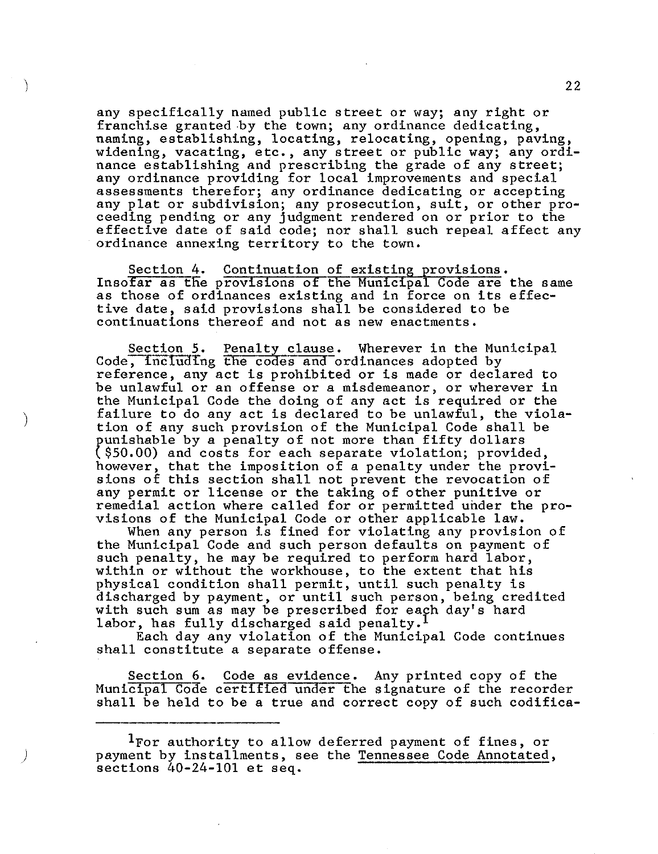any specifically named public street or way; any right or franchise granted by the town; any ordinance dedicating, naming, establishing, locating, relocating, opening, paving, widening, vacating, etc., any street or public way; any ordinance establishing and prescribing the grade of any street;<br>any ordinance providing for local improvements and special assessments therefor; any ordinance dedicating or accepting any plat or subdivision; any prosecution, suit, or other pro-<br>ceeding pending or any judgment rendered on or prior to the effective date of said code; nor shall such repeal affect any ordinance annexing territory to the town.

Section 4. Continuation of existing provisions. Insofar as the provisions of the Municipal Code are the same as those of ordinances existing and in force on its effective date, said provisions shall be considered to be continuations thereof and not as new enactments.

Section 5. Penalty clause. Wherever in the Municipal Code, including the codes and ordinances adopted by reference, any act is prohibited or is made or declared to be unlawful or an offense or a misdemeanor, or wherever in the Municipal Code the doing of any act is required or the failure to do any act is declared to be unlawful, the violation of any such provision of the Municipal Code shall be punishable by a penalty of not more than fifty dollars  $($ \$50.00) and costs for each separate violation; provided, however, that the imposition of a penalty under the provi-<br>sions of this section shall not prevent the revocation of any permit or license or the taking of other punitive or remedial action where called for or permitted under the pro-<br>visions of the Municipal Code or other applicable law.

When any person is fined for violating any provision of the Municipal Code and such person defaults on payment of such penalty, he may be required to perform hard labor, within or without the workhouse, to the extent that his physical condition shall permit, until such penalty is discharged by payment, or until such person, being credited with such sum as may be prescribed for each day's hard labor, has fully discharged said penalty.<sup>1</sup>

Each day any violation of the Municipal Code continues shall constitute a separate offense.

Section 6. Code as evidence. Any printed copy of the Municipal Code certified under the signature of the recorder shall be held to be a true and correct copy of such codifica-

<sup>&</sup>lt;sup>1</sup>For authority to allow deferred payment of fines, or payment by installments, see the Tennessee Code Annotated, sections  $40-24-101$  et seq.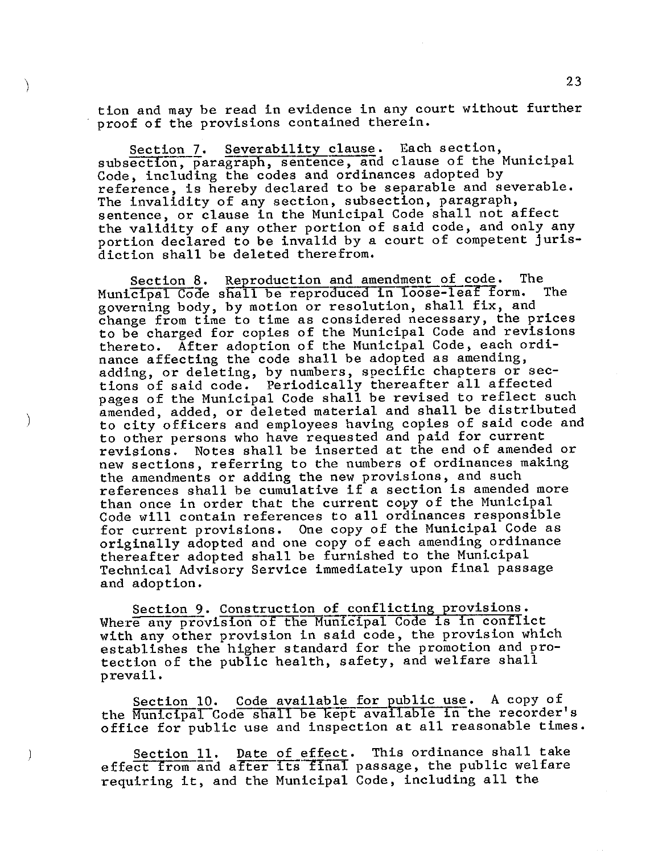tion and may be read in evidence in any court without further proof of the provisions contained therein.

Severability clause. Each section, Section 7. subsection, paragraph, sentence, and clause of the Municipal Code, including the codes and ordinances adopted by reference, is hereby declared to be separable and severable. The invalidity of any section, subsection, paragraph, sentence, or clause in the Municipal Code shall not affect the validity of any other portion of said code, and only any portion declared to be invalid by a court of competent jurisdiction shall be deleted therefrom.

Reproduction and amendment of code. The Section 8. Municipal Code shall be reproduced in loose-leaf form. The governing body, by motion or resolution, shall fix, and change from time to time as considered necessary, the prices to be charged for copies of the Municipal Code and revisions thereto. After adoption of the Municipal Code, each ordinance affecting the code shall be adopted as amending, adding, or deleting, by numbers, specific chapters or sections of said code. Periodically thereafter all affected pages of the Municipal Code shall be revised to reflect such amended, added, or deleted material and shall be distributed to city officers and employees having copies of said code and to other persons who have requested and paid for current Notes shall be inserted at the end of amended or revisions. new sections, referring to the numbers of ordinances making the amendments or adding the new provisions, and such references shall be cumulative if a section is amended more than once in order that the current copy of the Municipal Code will contain references to all ordinances responsible for current provisions. One copy of the Municipal Code as originally adopted and one copy of each amending ordinance thereafter adopted shall be furnished to the Municipal Technical Advisory Service immediately upon final passage and adoption.

 $\lambda$ 

Section 9. Construction of conflicting provisions.<br>Where any provision of the Municipal Code is in conflict with any other provision in said code, the provision which establishes the higher standard for the promotion and protection of the public health, safety, and welfare shall prevail.

Section 10. Code available for public use. A copy of the Municipal Code shall be kept available in the recorder's office for public use and inspection at all reasonable times.

Date of effect. This ordinance shall take **Section 11.** effect from and after its final passage, the public welfare requiring it, and the Municipal Code, including all the